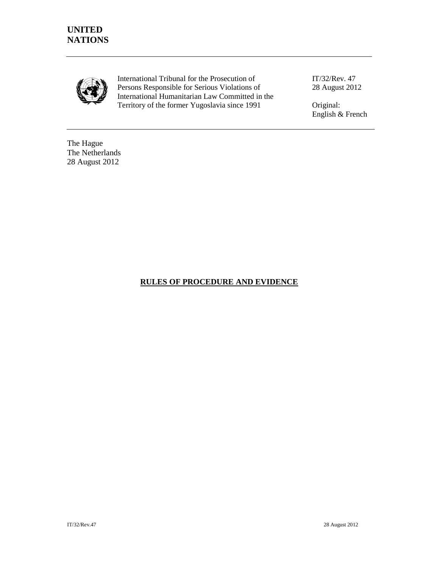

International Tribunal for the Prosecution of Persons Responsible for Serious Violations of International Humanitarian Law Committed in the Territory of the former Yugoslavia since 1991

IT/32/Rev. 47 28 August 2012

Original: English & French

The Hague The Netherlands 28 August 2012

# **RULES OF PROCEDURE AND EVIDENCE**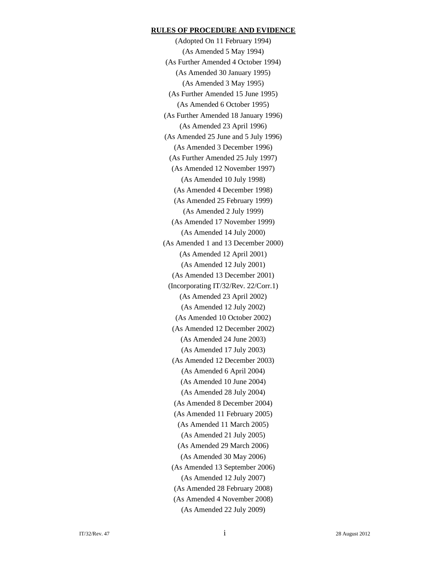#### **RULES OF PROCEDURE AND EVIDENCE**

(Adopted On 11 February 1994) (As Amended 5 May 1994) (As Further Amended 4 October 1994) (As Amended 30 January 1995) (As Amended 3 May 1995) (As Further Amended 15 June 1995) (As Amended 6 October 1995) (As Further Amended 18 January 1996) (As Amended 23 April 1996) (As Amended 25 June and 5 July 1996) (As Amended 3 December 1996) (As Further Amended 25 July 1997) (As Amended 12 November 1997) (As Amended 10 July 1998) (As Amended 4 December 1998) (As Amended 25 February 1999) (As Amended 2 July 1999) (As Amended 17 November 1999) (As Amended 14 July 2000) (As Amended 1 and 13 December 2000) (As Amended 12 April 2001) (As Amended 12 July 2001) (As Amended 13 December 2001) (Incorporating IT/32/Rev. 22/Corr.1) (As Amended 23 April 2002) (As Amended 12 July 2002) (As Amended 10 October 2002) (As Amended 12 December 2002) (As Amended 24 June 2003) (As Amended 17 July 2003) (As Amended 12 December 2003) (As Amended 6 April 2004) (As Amended 10 June 2004) (As Amended 28 July 2004) (As Amended 8 December 2004) (As Amended 11 February 2005) (As Amended 11 March 2005) (As Amended 21 July 2005) (As Amended 29 March 2006) (As Amended 30 May 2006) (As Amended 13 September 2006) (As Amended 12 July 2007) (As Amended 28 February 2008) (As Amended 4 November 2008) (As Amended 22 July 2009)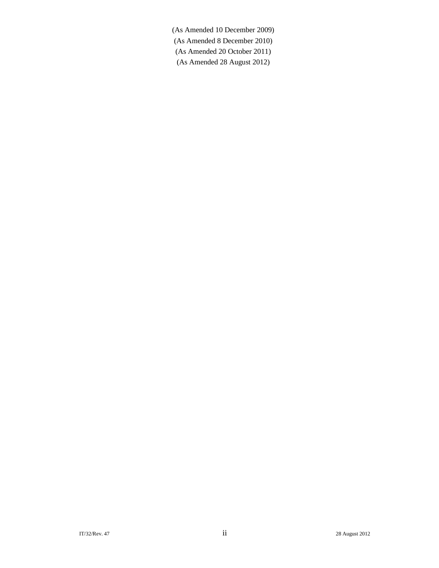(As Amended 10 December 2009) (As Amended 8 December 2010) (As Amended 20 October 2011) (As Amended 28 August 2012)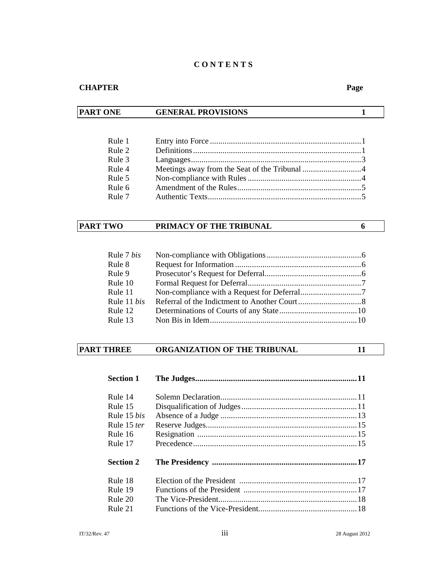## **C O N T E N T S**

**PART ONE GENERAL PROVISIONS** 1

#### **CHAPTER Page**

# Rule 1 Entry into Force ........................................................................1 Rule 2 Definitions ................................................................................1 Rule 3 Languages.................................................................................3 Rule 4 Meetings away from the Seat of the Tribunal ...............................4 Rule 5 Non-compliance with Rules ......................................................4 Rule 6 Amendment of the Rules...........................................................5 Rule 7 Authentic Texts.........................................................................5

# **PART TWO PRIMACY OF THE TRIBUNAL 6**

| Rule 7 bis  |  |
|-------------|--|
| Rule 8      |  |
| Rule 9      |  |
| Rule 10     |  |
| Rule 11     |  |
| Rule 11 bis |  |
| Rule 12     |  |
| Rule 13     |  |
|             |  |

# **PART THREE** ORGANIZATION OF THE TRIBUNAL 11

| <b>Section 1</b>   |  |
|--------------------|--|
| Rule 14            |  |
| Rule 15            |  |
| Rule 15 <i>bis</i> |  |
| Rule 15 ter        |  |
| Rule 16            |  |
| Rule 17            |  |
| <b>Section 2</b>   |  |
| Rule 18            |  |
| Rule 19            |  |
| Rule 20            |  |
| Rule 21            |  |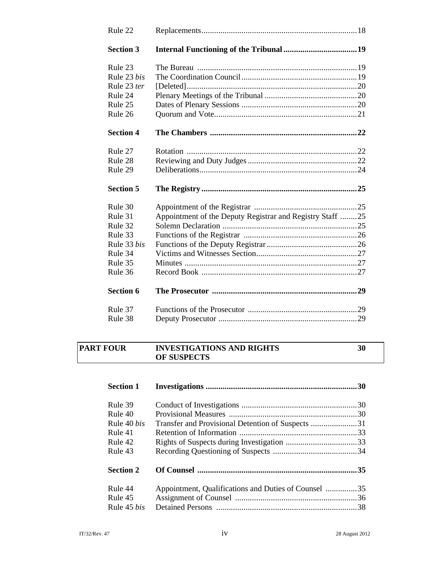| Rule 22          |                                                           |  |
|------------------|-----------------------------------------------------------|--|
| <b>Section 3</b> |                                                           |  |
| Rule 23          |                                                           |  |
| Rule 23 bis      |                                                           |  |
| Rule 23 ter      |                                                           |  |
| Rule 24          |                                                           |  |
| Rule 25          |                                                           |  |
| Rule 26          |                                                           |  |
| <b>Section 4</b> |                                                           |  |
| Rule 27          |                                                           |  |
| Rule 28          |                                                           |  |
| Rule 29          |                                                           |  |
| <b>Section 5</b> |                                                           |  |
| Rule 30          |                                                           |  |
| Rule 31          | Appointment of the Deputy Registrar and Registry Staff 25 |  |
| Rule 32          |                                                           |  |
| Rule 33          |                                                           |  |
| Rule 33 bis      |                                                           |  |
| Rule 34          |                                                           |  |
| Rule 35          |                                                           |  |
| Rule 36          |                                                           |  |
| <b>Section 6</b> |                                                           |  |
| Rule 37          |                                                           |  |
|                  |                                                           |  |
| Rule 38          |                                                           |  |

# **PART FOUR INVESTIGATIONS AND RIGHTS 30 OF SUSPECTS**

| <b>Section 1</b> |                                                      |  |
|------------------|------------------------------------------------------|--|
| Rule 39          |                                                      |  |
| Rule 40          |                                                      |  |
| Rule 40 bis      | Transfer and Provisional Detention of Suspects 31    |  |
| Rule 41          |                                                      |  |
| Rule 42          |                                                      |  |
| Rule 43          |                                                      |  |
| <b>Section 2</b> |                                                      |  |
| Rule 44          | Appointment, Qualifications and Duties of Counsel 35 |  |
| Rule 45          |                                                      |  |
| Rule 45 bis      |                                                      |  |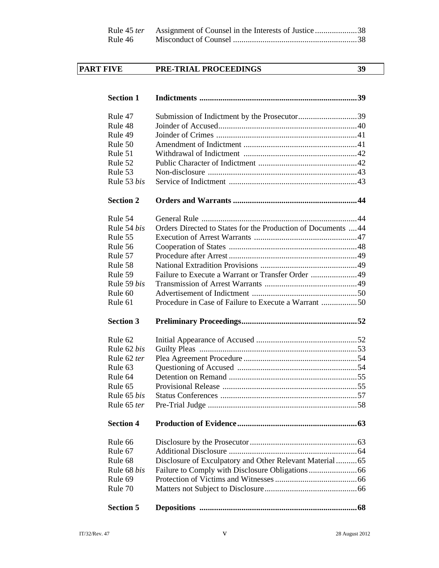| Rule 46 |  |
|---------|--|

# **PART FIVE PRE-TRIAL PROCEEDINGS** 39

| Rule 47<br>Submission of Indictment by the Prosecutor39<br>Rule 48<br>Rule 49<br>Rule 50<br>Rule 51<br>Rule 52<br>Rule 53<br>Rule 53 bis<br><b>Section 2</b><br>Rule 54<br>Orders Directed to States for the Production of Documents 44<br>Rule 54 bis<br>Rule 55<br>Rule 56<br>Rule 57<br>Rule 58<br>Rule 59<br>Rule 59 bis<br>Rule 60<br>Rule 61<br>Procedure in Case of Failure to Execute a Warrant 50<br><b>Section 3</b><br>Rule 62<br>Rule 62 bis<br>Rule 62 ter |  |
|-------------------------------------------------------------------------------------------------------------------------------------------------------------------------------------------------------------------------------------------------------------------------------------------------------------------------------------------------------------------------------------------------------------------------------------------------------------------------|--|
|                                                                                                                                                                                                                                                                                                                                                                                                                                                                         |  |
|                                                                                                                                                                                                                                                                                                                                                                                                                                                                         |  |
|                                                                                                                                                                                                                                                                                                                                                                                                                                                                         |  |
|                                                                                                                                                                                                                                                                                                                                                                                                                                                                         |  |
|                                                                                                                                                                                                                                                                                                                                                                                                                                                                         |  |
|                                                                                                                                                                                                                                                                                                                                                                                                                                                                         |  |
|                                                                                                                                                                                                                                                                                                                                                                                                                                                                         |  |
|                                                                                                                                                                                                                                                                                                                                                                                                                                                                         |  |
|                                                                                                                                                                                                                                                                                                                                                                                                                                                                         |  |
|                                                                                                                                                                                                                                                                                                                                                                                                                                                                         |  |
|                                                                                                                                                                                                                                                                                                                                                                                                                                                                         |  |
|                                                                                                                                                                                                                                                                                                                                                                                                                                                                         |  |
|                                                                                                                                                                                                                                                                                                                                                                                                                                                                         |  |
|                                                                                                                                                                                                                                                                                                                                                                                                                                                                         |  |
|                                                                                                                                                                                                                                                                                                                                                                                                                                                                         |  |
|                                                                                                                                                                                                                                                                                                                                                                                                                                                                         |  |
|                                                                                                                                                                                                                                                                                                                                                                                                                                                                         |  |
|                                                                                                                                                                                                                                                                                                                                                                                                                                                                         |  |
|                                                                                                                                                                                                                                                                                                                                                                                                                                                                         |  |
|                                                                                                                                                                                                                                                                                                                                                                                                                                                                         |  |
|                                                                                                                                                                                                                                                                                                                                                                                                                                                                         |  |
|                                                                                                                                                                                                                                                                                                                                                                                                                                                                         |  |
|                                                                                                                                                                                                                                                                                                                                                                                                                                                                         |  |
| Rule 63                                                                                                                                                                                                                                                                                                                                                                                                                                                                 |  |
| Rule 64                                                                                                                                                                                                                                                                                                                                                                                                                                                                 |  |
| Rule 65                                                                                                                                                                                                                                                                                                                                                                                                                                                                 |  |
| Rule 65 bis                                                                                                                                                                                                                                                                                                                                                                                                                                                             |  |
| Rule 65 ter                                                                                                                                                                                                                                                                                                                                                                                                                                                             |  |
| <b>Section 4</b>                                                                                                                                                                                                                                                                                                                                                                                                                                                        |  |
| Rule 66                                                                                                                                                                                                                                                                                                                                                                                                                                                                 |  |
| Rule 67                                                                                                                                                                                                                                                                                                                                                                                                                                                                 |  |
| Disclosure of Exculpatory and Other Relevant Material  65<br>Rule 68                                                                                                                                                                                                                                                                                                                                                                                                    |  |
| Rule 68 bis                                                                                                                                                                                                                                                                                                                                                                                                                                                             |  |
| Rule 69                                                                                                                                                                                                                                                                                                                                                                                                                                                                 |  |
| Rule 70                                                                                                                                                                                                                                                                                                                                                                                                                                                                 |  |
| <b>Section 5</b>                                                                                                                                                                                                                                                                                                                                                                                                                                                        |  |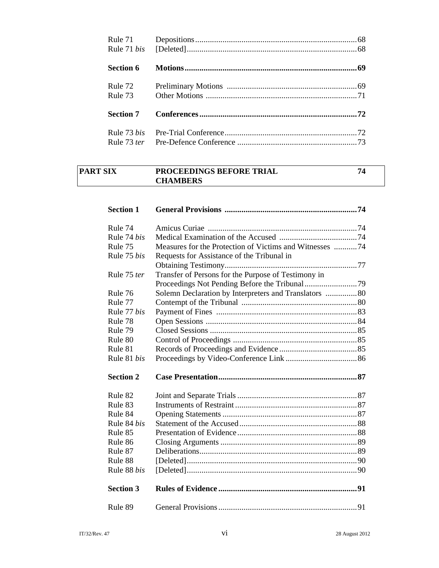| Rule 71<br>Rule 71 bis |  |
|------------------------|--|
| <b>Section 6</b>       |  |
| Rule 72<br>Rule 73     |  |
| <b>Section 7</b>       |  |
| Rule 73 <i>bis</i>     |  |

# **PART SIX PROCEEDINGS BEFORE TRIAL 74 CHAMBERS**

| <b>Section 1</b> |                                                         |  |
|------------------|---------------------------------------------------------|--|
| Rule 74          |                                                         |  |
| Rule 74 bis      |                                                         |  |
| Rule 75          | Measures for the Protection of Victims and Witnesses 74 |  |
| Rule 75 bis      | Requests for Assistance of the Tribunal in              |  |
|                  |                                                         |  |
| Rule 75 ter      | Transfer of Persons for the Purpose of Testimony in     |  |
|                  |                                                         |  |
| Rule 76          | Solemn Declaration by Interpreters and Translators  80  |  |
| Rule 77          |                                                         |  |
| Rule 77 bis      |                                                         |  |
| Rule 78          |                                                         |  |
| Rule 79          |                                                         |  |
| Rule 80          |                                                         |  |
| Rule 81          |                                                         |  |
| Rule 81 bis      |                                                         |  |
| <b>Section 2</b> |                                                         |  |
| Rule 82          |                                                         |  |
| Rule 83          |                                                         |  |
| Rule 84          |                                                         |  |
| Rule 84 bis      |                                                         |  |
| Rule 85          |                                                         |  |
| Rule 86          |                                                         |  |
| Rule 87          |                                                         |  |
| Rule 88          |                                                         |  |
| Rule 88 bis      |                                                         |  |
| <b>Section 3</b> |                                                         |  |
| Rule 89          |                                                         |  |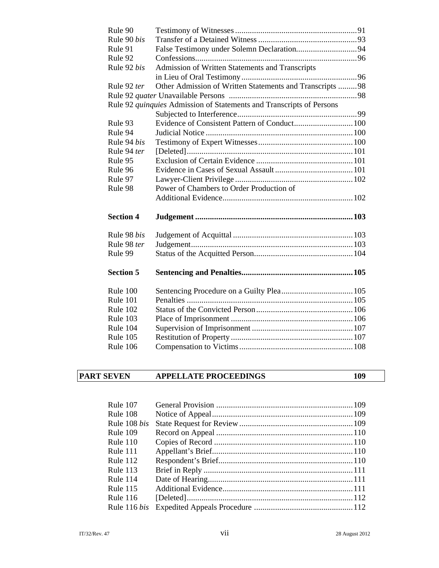| Rule 90                     |                                                                      |  |
|-----------------------------|----------------------------------------------------------------------|--|
| Rule 90 bis                 |                                                                      |  |
| Rule 91                     |                                                                      |  |
| Rule 92                     |                                                                      |  |
| Rule 92 bis                 | Admission of Written Statements and Transcripts                      |  |
|                             |                                                                      |  |
| Rule 92 ter                 | Other Admission of Written Statements and Transcripts  98            |  |
|                             |                                                                      |  |
|                             | Rule 92 quinquies Admission of Statements and Transcripts of Persons |  |
|                             |                                                                      |  |
| Rule 93                     | Evidence of Consistent Pattern of Conduct 100                        |  |
| Rule 94                     |                                                                      |  |
| Rule 94 bis                 |                                                                      |  |
| Rule 94 ter                 |                                                                      |  |
| Rule 95                     |                                                                      |  |
| Rule 96                     |                                                                      |  |
| Rule 97                     |                                                                      |  |
| Rule 98                     | Power of Chambers to Order Production of                             |  |
|                             |                                                                      |  |
|                             |                                                                      |  |
|                             |                                                                      |  |
| <b>Section 4</b>            |                                                                      |  |
| Rule 98 bis                 |                                                                      |  |
| Rule 98 ter                 |                                                                      |  |
| Rule 99                     |                                                                      |  |
|                             |                                                                      |  |
| <b>Section 5</b>            |                                                                      |  |
|                             |                                                                      |  |
| Rule 100                    |                                                                      |  |
| Rule 101                    |                                                                      |  |
| Rule 102                    |                                                                      |  |
| Rule 103                    |                                                                      |  |
| Rule 104                    |                                                                      |  |
| Rule 105<br><b>Rule 106</b> |                                                                      |  |

# **PART SEVEN APPELLATE PROCEEDINGS 109**

| Rule 116 bis |  |
|--------------|--|
|              |  |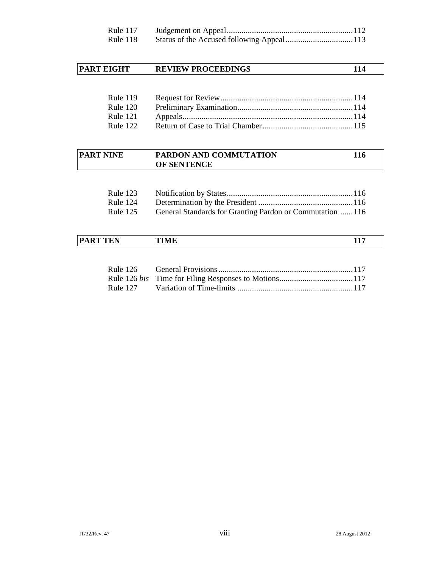| Rule $117$ |  |
|------------|--|
| Rule 118   |  |

# **PART EIGHT REVIEW PROCEEDINGS** 114

# **PART NINE PARDON AND COMMUTATION 116 OF SENTENCE**

| Rule $123$      |                                                          |  |
|-----------------|----------------------------------------------------------|--|
| Rule 124        |                                                          |  |
| <b>Rule 125</b> | General Standards for Granting Pardon or Commutation 116 |  |

# **PART TEN TIME** 117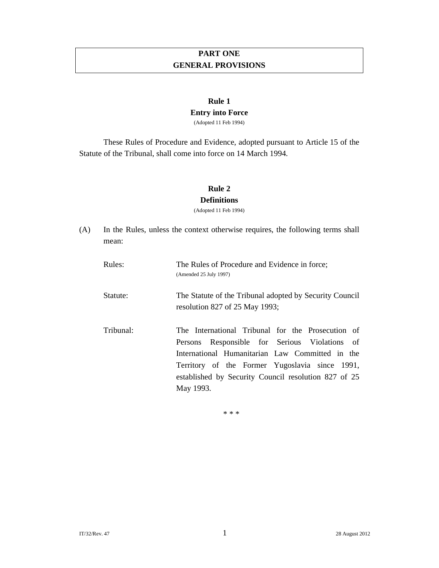# **PART ONE GENERAL PROVISIONS**

# **Rule 1 Entry into Force**  (Adopted 11 Feb 1994)

These Rules of Procedure and Evidence, adopted pursuant to Article 15 of the Statute of the Tribunal, shall come into force on 14 March 1994.

# **Rule 2**

# **Definitions**

# (Adopted 11 Feb 1994)

(A) In the Rules, unless the context otherwise requires, the following terms shall mean:

| Rules:    | The Rules of Procedure and Evidence in force;<br>(Amended 25 July 1997)                                                                                                                                                                                                      |
|-----------|------------------------------------------------------------------------------------------------------------------------------------------------------------------------------------------------------------------------------------------------------------------------------|
| Statute:  | The Statute of the Tribunal adopted by Security Council<br>resolution 827 of 25 May 1993;                                                                                                                                                                                    |
| Tribunal: | The International Tribunal for the Prosecution of<br>Persons Responsible for Serious Violations of<br>International Humanitarian Law Committed in the<br>Territory of the Former Yugoslavia since 1991,<br>established by Security Council resolution 827 of 25<br>May 1993. |

\* \* \*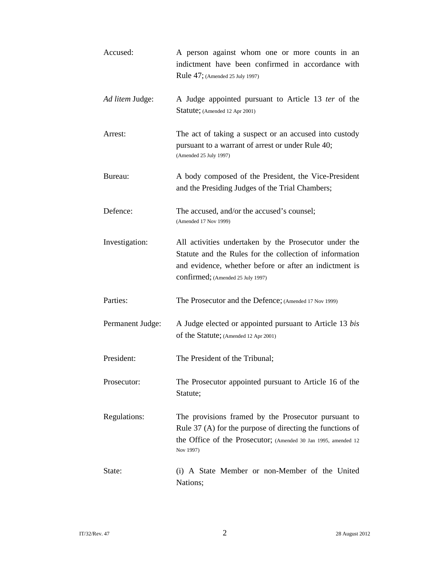| Accused:         | A person against whom one or more counts in an<br>indictment have been confirmed in accordance with<br>Rule 47; (Amended 25 July 1997)                                                                          |
|------------------|-----------------------------------------------------------------------------------------------------------------------------------------------------------------------------------------------------------------|
| Ad litem Judge:  | A Judge appointed pursuant to Article 13 ter of the<br>Statute; (Amended 12 Apr 2001)                                                                                                                           |
| Arrest:          | The act of taking a suspect or an accused into custody<br>pursuant to a warrant of arrest or under Rule 40;<br>(Amended 25 July 1997)                                                                           |
| Bureau:          | A body composed of the President, the Vice-President<br>and the Presiding Judges of the Trial Chambers;                                                                                                         |
| Defence:         | The accused, and/or the accused's counsel;<br>(Amended 17 Nov 1999)                                                                                                                                             |
| Investigation:   | All activities undertaken by the Prosecutor under the<br>Statute and the Rules for the collection of information<br>and evidence, whether before or after an indictment is<br>confirmed; (Amended 25 July 1997) |
| Parties:         | The Prosecutor and the Defence; (Amended 17 Nov 1999)                                                                                                                                                           |
| Permanent Judge: | A Judge elected or appointed pursuant to Article 13 bis<br>of the Statute; (Amended 12 Apr 2001)                                                                                                                |
| President:       | The President of the Tribunal;                                                                                                                                                                                  |
| Prosecutor:      | The Prosecutor appointed pursuant to Article 16 of the<br>Statute;                                                                                                                                              |
| Regulations:     | The provisions framed by the Prosecutor pursuant to<br>Rule $37(A)$ for the purpose of directing the functions of<br>the Office of the Prosecutor; (Amended 30 Jan 1995, amended 12<br>Nov 1997)                |
| State:           | (i) A State Member or non-Member of the United<br>Nations;                                                                                                                                                      |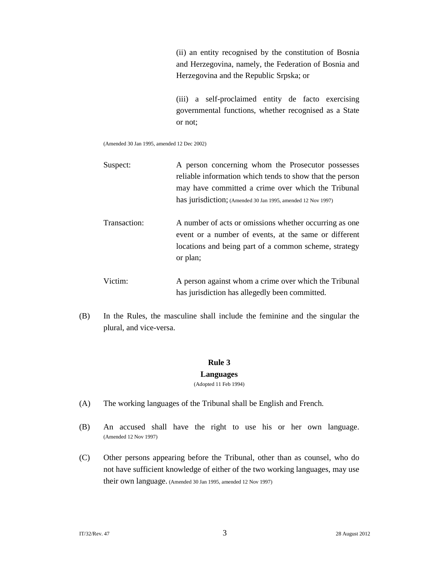(ii) an entity recognised by the constitution of Bosnia and Herzegovina, namely, the Federation of Bosnia and Herzegovina and the Republic Srpska; or

 (iii) a self-proclaimed entity de facto exercising governmental functions, whether recognised as a State or not;

(Amended 30 Jan 1995, amended 12 Dec 2002)

| Suspect:     | A person concerning whom the Prosecutor possesses<br>reliable information which tends to show that the person<br>may have committed a crime over which the Tribunal<br>has jurisdiction; (Amended 30 Jan 1995, amended 12 Nov 1997) |
|--------------|-------------------------------------------------------------------------------------------------------------------------------------------------------------------------------------------------------------------------------------|
| Transaction: | A number of acts or omissions whether occurring as one<br>event or a number of events, at the same or different<br>locations and being part of a common scheme, strategy<br>or plan;                                                |
| Victim:      | A person against whom a crime over which the Tribunal<br>has jurisdiction has allegedly been committed.                                                                                                                             |

(B) In the Rules, the masculine shall include the feminine and the singular the plural, and vice-versa.

#### **Rule 3**

#### **Languages**

(Adopted 11 Feb 1994)

- (A) The working languages of the Tribunal shall be English and French.
- (B) An accused shall have the right to use his or her own language. (Amended 12 Nov 1997)
- (C) Other persons appearing before the Tribunal, other than as counsel, who do not have sufficient knowledge of either of the two working languages, may use their own language. (Amended 30 Jan 1995, amended 12 Nov 1997)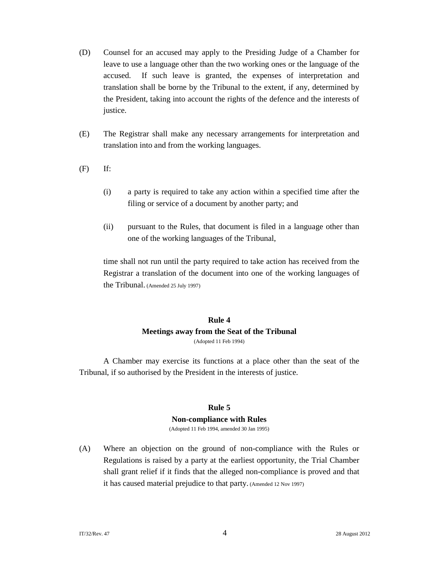- (D) Counsel for an accused may apply to the Presiding Judge of a Chamber for leave to use a language other than the two working ones or the language of the accused. If such leave is granted, the expenses of interpretation and translation shall be borne by the Tribunal to the extent, if any, determined by the President, taking into account the rights of the defence and the interests of justice.
- (E) The Registrar shall make any necessary arrangements for interpretation and translation into and from the working languages.
- $(F)$  If:
	- (i) a party is required to take any action within a specified time after the filing or service of a document by another party; and
	- (ii) pursuant to the Rules, that document is filed in a language other than one of the working languages of the Tribunal,

time shall not run until the party required to take action has received from the Registrar a translation of the document into one of the working languages of the Tribunal. (Amended 25 July 1997)

## **Rule 4 Meetings away from the Seat of the Tribunal**  (Adopted 11 Feb 1994)

 A Chamber may exercise its functions at a place other than the seat of the Tribunal, if so authorised by the President in the interests of justice.

# **Rule 5 Non-compliance with Rules**

(Adopted 11 Feb 1994, amended 30 Jan 1995)

(A) Where an objection on the ground of non-compliance with the Rules or Regulations is raised by a party at the earliest opportunity, the Trial Chamber shall grant relief if it finds that the alleged non-compliance is proved and that it has caused material prejudice to that party. (Amended 12 Nov 1997)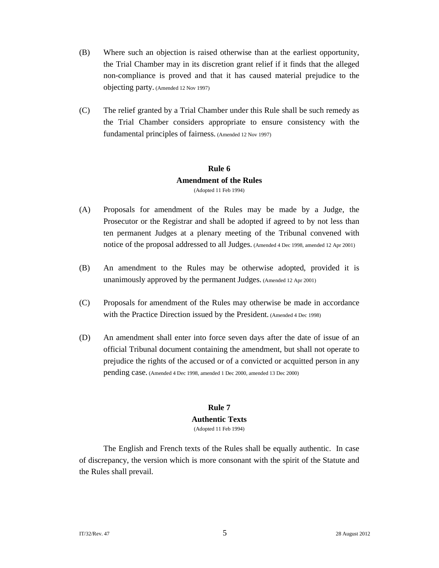- (B) Where such an objection is raised otherwise than at the earliest opportunity, the Trial Chamber may in its discretion grant relief if it finds that the alleged non-compliance is proved and that it has caused material prejudice to the objecting party. (Amended 12 Nov 1997)
- (C) The relief granted by a Trial Chamber under this Rule shall be such remedy as the Trial Chamber considers appropriate to ensure consistency with the fundamental principles of fairness. (Amended 12 Nov 1997)

# **Rule 6 Amendment of the Rules**  (Adopted 11 Feb 1994)

- (A) Proposals for amendment of the Rules may be made by a Judge, the Prosecutor or the Registrar and shall be adopted if agreed to by not less than ten permanent Judges at a plenary meeting of the Tribunal convened with notice of the proposal addressed to all Judges. (Amended 4 Dec 1998, amended 12 Apr 2001)
- (B) An amendment to the Rules may be otherwise adopted, provided it is unanimously approved by the permanent Judges. (Amended 12 Apr 2001)
- (C) Proposals for amendment of the Rules may otherwise be made in accordance with the Practice Direction issued by the President. (Amended 4 Dec 1998)
- (D) An amendment shall enter into force seven days after the date of issue of an official Tribunal document containing the amendment, but shall not operate to prejudice the rights of the accused or of a convicted or acquitted person in any pending case. (Amended 4 Dec 1998, amended 1 Dec 2000, amended 13 Dec 2000)

# **Rule 7 Authentic Texts**

(Adopted 11 Feb 1994)

 The English and French texts of the Rules shall be equally authentic. In case of discrepancy, the version which is more consonant with the spirit of the Statute and the Rules shall prevail.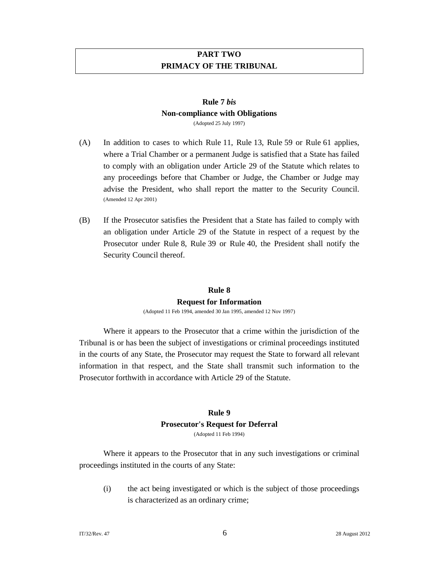# **PART TWO PRIMACY OF THE TRIBUNAL**

# **Rule 7** *bis* **Non-compliance with Obligations**

(Adopted 25 July 1997)

- (A) In addition to cases to which Rule 11, Rule 13, Rule 59 or Rule 61 applies, where a Trial Chamber or a permanent Judge is satisfied that a State has failed to comply with an obligation under Article 29 of the Statute which relates to any proceedings before that Chamber or Judge, the Chamber or Judge may advise the President, who shall report the matter to the Security Council. (Amended 12 Apr 2001)
- (B) If the Prosecutor satisfies the President that a State has failed to comply with an obligation under Article 29 of the Statute in respect of a request by the Prosecutor under Rule 8, Rule 39 or Rule 40, the President shall notify the Security Council thereof.

# **Rule 8 Request for Information**

(Adopted 11 Feb 1994, amended 30 Jan 1995, amended 12 Nov 1997)

 Where it appears to the Prosecutor that a crime within the jurisdiction of the Tribunal is or has been the subject of investigations or criminal proceedings instituted in the courts of any State, the Prosecutor may request the State to forward all relevant information in that respect, and the State shall transmit such information to the Prosecutor forthwith in accordance with Article 29 of the Statute.

#### **Rule 9**

#### **Prosecutor's Request for Deferral**

(Adopted 11 Feb 1994)

 Where it appears to the Prosecutor that in any such investigations or criminal proceedings instituted in the courts of any State:

(i) the act being investigated or which is the subject of those proceedings is characterized as an ordinary crime;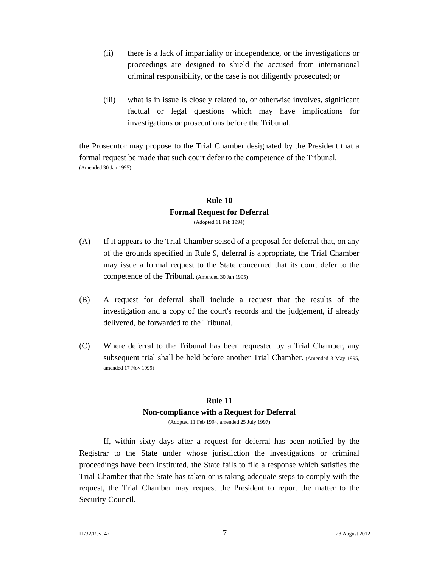- (ii) there is a lack of impartiality or independence, or the investigations or proceedings are designed to shield the accused from international criminal responsibility, or the case is not diligently prosecuted; or
- (iii) what is in issue is closely related to, or otherwise involves, significant factual or legal questions which may have implications for investigations or prosecutions before the Tribunal,

the Prosecutor may propose to the Trial Chamber designated by the President that a formal request be made that such court defer to the competence of the Tribunal. (Amended 30 Jan 1995)

## **Rule 10 Formal Request for Deferral**  (Adopted 11 Feb 1994)

- (A) If it appears to the Trial Chamber seised of a proposal for deferral that, on any of the grounds specified in Rule 9, deferral is appropriate, the Trial Chamber may issue a formal request to the State concerned that its court defer to the competence of the Tribunal. (Amended 30 Jan 1995)
- (B) A request for deferral shall include a request that the results of the investigation and a copy of the court's records and the judgement, if already delivered, be forwarded to the Tribunal.
- (C) Where deferral to the Tribunal has been requested by a Trial Chamber, any subsequent trial shall be held before another Trial Chamber. (Amended 3 May 1995, amended 17 Nov 1999)

# **Rule 11 Non-compliance with a Request for Deferral**

(Adopted 11 Feb 1994, amended 25 July 1997)

 If, within sixty days after a request for deferral has been notified by the Registrar to the State under whose jurisdiction the investigations or criminal proceedings have been instituted, the State fails to file a response which satisfies the Trial Chamber that the State has taken or is taking adequate steps to comply with the request, the Trial Chamber may request the President to report the matter to the Security Council.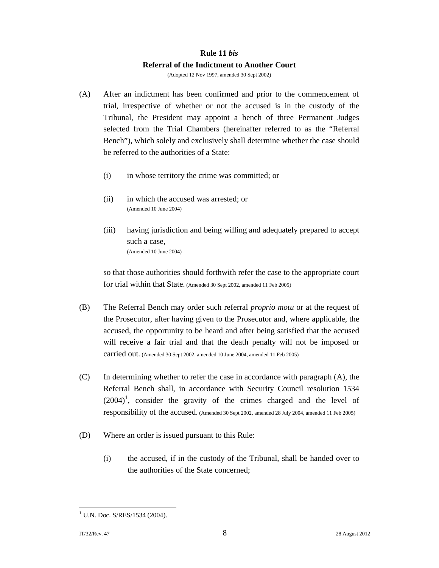# **Rule 11** *bis* **Referral of the Indictment to Another Court**

(Adopted 12 Nov 1997, amended 30 Sept 2002)

- (A) After an indictment has been confirmed and prior to the commencement of trial, irrespective of whether or not the accused is in the custody of the Tribunal, the President may appoint a bench of three Permanent Judges selected from the Trial Chambers (hereinafter referred to as the "Referral Bench"), which solely and exclusively shall determine whether the case should be referred to the authorities of a State:
	- (i) in whose territory the crime was committed; or
	- (ii) in which the accused was arrested; or (Amended 10 June 2004)
	- (iii) having jurisdiction and being willing and adequately prepared to accept such a case, (Amended 10 June 2004)

so that those authorities should forthwith refer the case to the appropriate court for trial within that State. (Amended 30 Sept 2002, amended 11 Feb 2005)

- (B) The Referral Bench may order such referral *proprio motu* or at the request of the Prosecutor, after having given to the Prosecutor and, where applicable, the accused, the opportunity to be heard and after being satisfied that the accused will receive a fair trial and that the death penalty will not be imposed or carried out. (Amended 30 Sept 2002, amended 10 June 2004, amended 11 Feb 2005)
- (C) In determining whether to refer the case in accordance with paragraph (A), the Referral Bench shall, in accordance with Security Council resolution 1534  $(2004)^1$ , consider the gravity of the crimes charged and the level of responsibility of the accused. (Amended 30 Sept 2002, amended 28 July 2004, amended 11 Feb 2005)
- (D) Where an order is issued pursuant to this Rule:
	- (i) the accused, if in the custody of the Tribunal, shall be handed over to the authorities of the State concerned;

<sup>-</sup><sup>1</sup> U.N. Doc. S/RES/1534 (2004).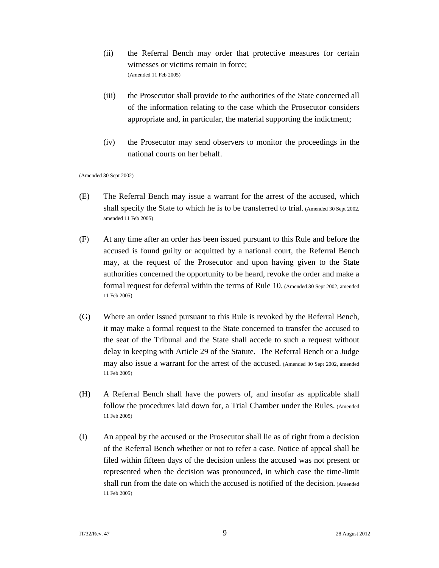- (ii) the Referral Bench may order that protective measures for certain witnesses or victims remain in force; (Amended 11 Feb 2005)
- (iii) the Prosecutor shall provide to the authorities of the State concerned all of the information relating to the case which the Prosecutor considers appropriate and, in particular, the material supporting the indictment;
- (iv) the Prosecutor may send observers to monitor the proceedings in the national courts on her behalf.

(Amended 30 Sept 2002)

- (E) The Referral Bench may issue a warrant for the arrest of the accused, which shall specify the State to which he is to be transferred to trial. (Amended 30 Sept 2002, amended 11 Feb 2005)
- (F) At any time after an order has been issued pursuant to this Rule and before the accused is found guilty or acquitted by a national court, the Referral Bench may, at the request of the Prosecutor and upon having given to the State authorities concerned the opportunity to be heard, revoke the order and make a formal request for deferral within the terms of Rule 10. (Amended 30 Sept 2002, amended 11 Feb 2005)
- (G) Where an order issued pursuant to this Rule is revoked by the Referral Bench, it may make a formal request to the State concerned to transfer the accused to the seat of the Tribunal and the State shall accede to such a request without delay in keeping with Article 29 of the Statute. The Referral Bench or a Judge may also issue a warrant for the arrest of the accused. (Amended 30 Sept 2002, amended 11 Feb 2005)
- (H) A Referral Bench shall have the powers of, and insofar as applicable shall follow the procedures laid down for, a Trial Chamber under the Rules. (Amended 11 Feb 2005)
- (I) An appeal by the accused or the Prosecutor shall lie as of right from a decision of the Referral Bench whether or not to refer a case. Notice of appeal shall be filed within fifteen days of the decision unless the accused was not present or represented when the decision was pronounced, in which case the time-limit shall run from the date on which the accused is notified of the decision. (Amended 11 Feb 2005)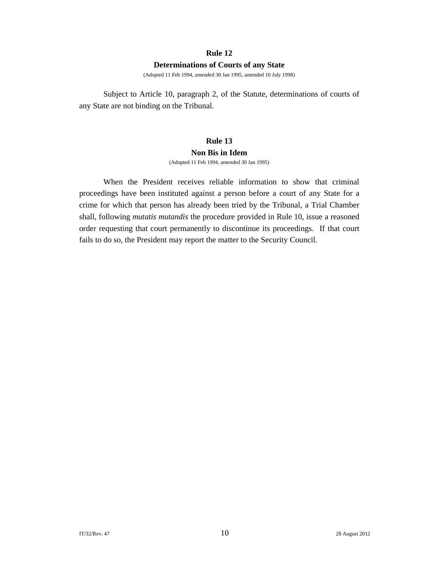#### **Rule 12**

#### **Determinations of Courts of any State**

(Adopted 11 Feb 1994, amended 30 Jan 1995, amended 10 July 1998)

 Subject to Article 10, paragraph 2, of the Statute, determinations of courts of any State are not binding on the Tribunal.

#### **Rule 13**

#### **Non Bis in Idem**

(Adopted 11 Feb 1994, amended 30 Jan 1995)

 When the President receives reliable information to show that criminal proceedings have been instituted against a person before a court of any State for a crime for which that person has already been tried by the Tribunal, a Trial Chamber shall, following *mutatis mutandis* the procedure provided in Rule 10, issue a reasoned order requesting that court permanently to discontinue its proceedings. If that court fails to do so, the President may report the matter to the Security Council.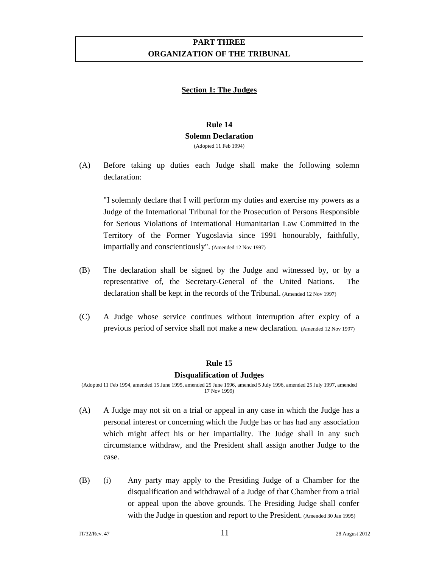# **PART THREE ORGANIZATION OF THE TRIBUNAL**

#### **Section 1: The Judges**

# **Rule 14 Solemn Declaration**

(Adopted 11 Feb 1994)

(A) Before taking up duties each Judge shall make the following solemn declaration:

"I solemnly declare that I will perform my duties and exercise my powers as a Judge of the International Tribunal for the Prosecution of Persons Responsible for Serious Violations of International Humanitarian Law Committed in the Territory of the Former Yugoslavia since 1991 honourably, faithfully, impartially and conscientiously". (Amended 12 Nov 1997)

- (B) The declaration shall be signed by the Judge and witnessed by, or by a representative of, the Secretary-General of the United Nations. The declaration shall be kept in the records of the Tribunal. (Amended 12 Nov 1997)
- (C) A Judge whose service continues without interruption after expiry of a previous period of service shall not make a new declaration. (Amended 12 Nov 1997)

#### **Rule 15**

#### **Disqualification of Judges**

(Adopted 11 Feb 1994, amended 15 June 1995, amended 25 June 1996, amended 5 July 1996, amended 25 July 1997, amended 17 Nov 1999)

- (A) A Judge may not sit on a trial or appeal in any case in which the Judge has a personal interest or concerning which the Judge has or has had any association which might affect his or her impartiality. The Judge shall in any such circumstance withdraw, and the President shall assign another Judge to the case.
- (B) (i) Any party may apply to the Presiding Judge of a Chamber for the disqualification and withdrawal of a Judge of that Chamber from a trial or appeal upon the above grounds. The Presiding Judge shall confer with the Judge in question and report to the President. (Amended 30 Jan 1995)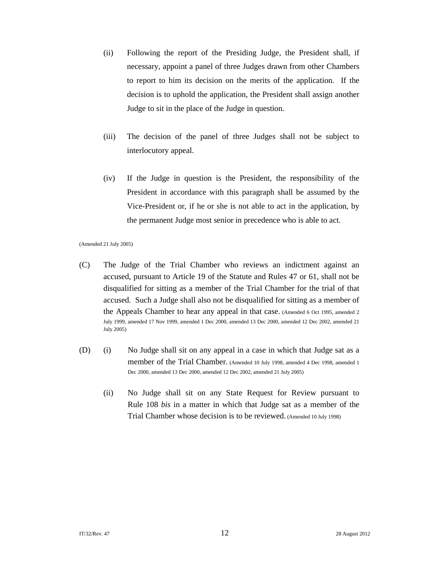- (ii) Following the report of the Presiding Judge, the President shall, if necessary, appoint a panel of three Judges drawn from other Chambers to report to him its decision on the merits of the application. If the decision is to uphold the application, the President shall assign another Judge to sit in the place of the Judge in question.
- (iii) The decision of the panel of three Judges shall not be subject to interlocutory appeal.
- (iv) If the Judge in question is the President, the responsibility of the President in accordance with this paragraph shall be assumed by the Vice-President or, if he or she is not able to act in the application, by the permanent Judge most senior in precedence who is able to act.

(Amended 21 July 2005)

- (C) The Judge of the Trial Chamber who reviews an indictment against an accused, pursuant to Article 19 of the Statute and Rules 47 or 61, shall not be disqualified for sitting as a member of the Trial Chamber for the trial of that accused. Such a Judge shall also not be disqualified for sitting as a member of the Appeals Chamber to hear any appeal in that case. (Amended 6 Oct 1995, amended 2 July 1999, amended 17 Nov 1999, amended 1 Dec 2000, amended 13 Dec 2000, amended 12 Dec 2002, amended 21 July 2005)
- (D) (i) No Judge shall sit on any appeal in a case in which that Judge sat as a member of the Trial Chamber. (Amended 10 July 1998, amended 4 Dec 1998, amended 1 Dec 2000, amended 13 Dec 2000, amended 12 Dec 2002, amended 21 July 2005)
	- (ii) No Judge shall sit on any State Request for Review pursuant to Rule 108 *bis* in a matter in which that Judge sat as a member of the Trial Chamber whose decision is to be reviewed. (Amended 10 July 1998)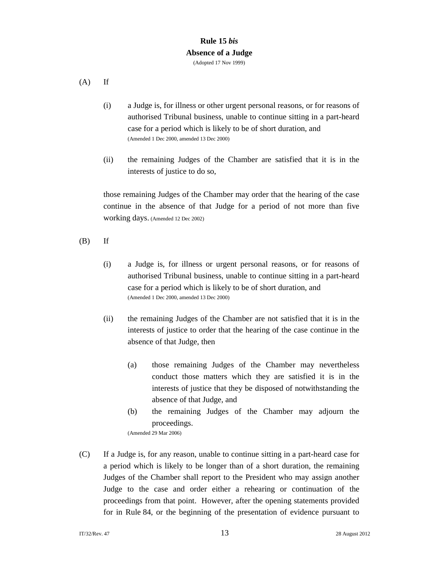# **Rule 15** *bis* **Absence of a Judge**

(Adopted 17 Nov 1999)

 $(A)$  If

- (i) a Judge is, for illness or other urgent personal reasons, or for reasons of authorised Tribunal business, unable to continue sitting in a part-heard case for a period which is likely to be of short duration, and (Amended 1 Dec 2000, amended 13 Dec 2000)
- (ii) the remaining Judges of the Chamber are satisfied that it is in the interests of justice to do so,

those remaining Judges of the Chamber may order that the hearing of the case continue in the absence of that Judge for a period of not more than five working days. (Amended 12 Dec 2002)

 $(B)$  If

- (i) a Judge is, for illness or urgent personal reasons, or for reasons of authorised Tribunal business, unable to continue sitting in a part-heard case for a period which is likely to be of short duration, and (Amended 1 Dec 2000, amended 13 Dec 2000)
- (ii) the remaining Judges of the Chamber are not satisfied that it is in the interests of justice to order that the hearing of the case continue in the absence of that Judge, then
	- (a) those remaining Judges of the Chamber may nevertheless conduct those matters which they are satisfied it is in the interests of justice that they be disposed of notwithstanding the absence of that Judge, and
	- (b) the remaining Judges of the Chamber may adjourn the proceedings.

(Amended 29 Mar 2006)

(C) If a Judge is, for any reason, unable to continue sitting in a part-heard case for a period which is likely to be longer than of a short duration, the remaining Judges of the Chamber shall report to the President who may assign another Judge to the case and order either a rehearing or continuation of the proceedings from that point. However, after the opening statements provided for in Rule 84, or the beginning of the presentation of evidence pursuant to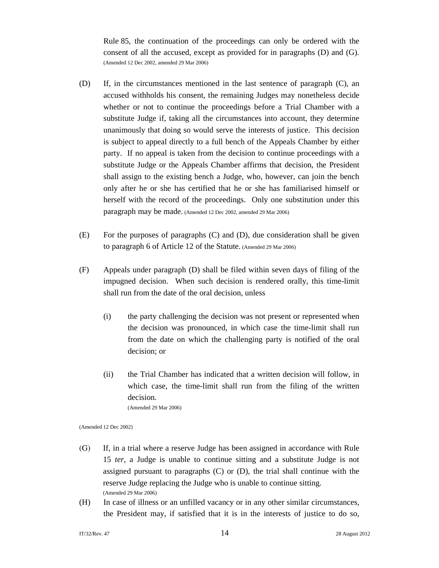Rule 85, the continuation of the proceedings can only be ordered with the consent of all the accused, except as provided for in paragraphs (D) and (G). (Amended 12 Dec 2002, amended 29 Mar 2006)

- (D) If, in the circumstances mentioned in the last sentence of paragraph (C), an accused withholds his consent, the remaining Judges may nonetheless decide whether or not to continue the proceedings before a Trial Chamber with a substitute Judge if, taking all the circumstances into account, they determine unanimously that doing so would serve the interests of justice. This decision is subject to appeal directly to a full bench of the Appeals Chamber by either party. If no appeal is taken from the decision to continue proceedings with a substitute Judge or the Appeals Chamber affirms that decision, the President shall assign to the existing bench a Judge, who, however, can join the bench only after he or she has certified that he or she has familiarised himself or herself with the record of the proceedings. Only one substitution under this paragraph may be made. (Amended 12 Dec 2002, amended 29 Mar 2006)
- (E) For the purposes of paragraphs (C) and (D), due consideration shall be given to paragraph 6 of Article 12 of the Statute. (Amended 29 Mar 2006)
- (F) Appeals under paragraph (D) shall be filed within seven days of filing of the impugned decision. When such decision is rendered orally, this time-limit shall run from the date of the oral decision, unless
	- (i) the party challenging the decision was not present or represented when the decision was pronounced, in which case the time-limit shall run from the date on which the challenging party is notified of the oral decision; or
	- (ii) the Trial Chamber has indicated that a written decision will follow, in which case, the time-limit shall run from the filing of the written decision. (Amended 29 Mar 2006)

- (G) If, in a trial where a reserve Judge has been assigned in accordance with Rule 15 *ter*, a Judge is unable to continue sitting and a substitute Judge is not assigned pursuant to paragraphs (C) or (D), the trial shall continue with the reserve Judge replacing the Judge who is unable to continue sitting. (Amended 29 Mar 2006)
- (H) In case of illness or an unfilled vacancy or in any other similar circumstances, the President may, if satisfied that it is in the interests of justice to do so,

<sup>(</sup>Amended 12 Dec 2002)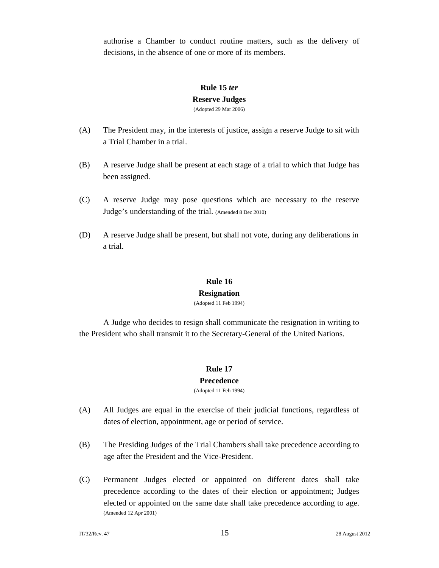authorise a Chamber to conduct routine matters, such as the delivery of decisions, in the absence of one or more of its members.

## **Rule 15** *ter* **Reserve Judges**  (Adopted 29 Mar 2006)

(A) The President may, in the interests of justice, assign a reserve Judge to sit with a Trial Chamber in a trial.

- (B) A reserve Judge shall be present at each stage of a trial to which that Judge has been assigned.
- (C) A reserve Judge may pose questions which are necessary to the reserve Judge's understanding of the trial. (Amended 8 Dec 2010)
- (D) A reserve Judge shall be present, but shall not vote, during any deliberations in a trial.

# **Rule 16**

#### **Resignation**

#### (Adopted 11 Feb 1994)

A Judge who decides to resign shall communicate the resignation in writing to the President who shall transmit it to the Secretary-General of the United Nations.

# **Rule 17**

# **Precedence**

(Adopted 11 Feb 1994)

- (A) All Judges are equal in the exercise of their judicial functions, regardless of dates of election, appointment, age or period of service.
- (B) The Presiding Judges of the Trial Chambers shall take precedence according to age after the President and the Vice-President.
- (C) Permanent Judges elected or appointed on different dates shall take precedence according to the dates of their election or appointment; Judges elected or appointed on the same date shall take precedence according to age. (Amended 12 Apr 2001)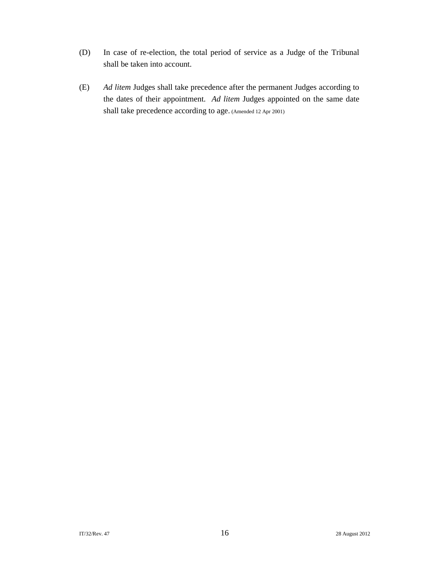- (D) In case of re-election, the total period of service as a Judge of the Tribunal shall be taken into account.
- (E) *Ad litem* Judges shall take precedence after the permanent Judges according to the dates of their appointment. *Ad litem* Judges appointed on the same date shall take precedence according to age. (Amended 12 Apr 2001)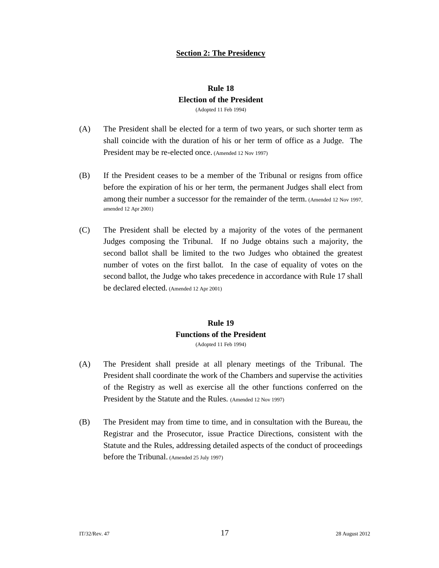## **Section 2: The Presidency**

# **Rule 18 Election of the President**

(Adopted 11 Feb 1994)

- (A) The President shall be elected for a term of two years, or such shorter term as shall coincide with the duration of his or her term of office as a Judge. The President may be re-elected once. (Amended 12 Nov 1997)
- (B) If the President ceases to be a member of the Tribunal or resigns from office before the expiration of his or her term, the permanent Judges shall elect from among their number a successor for the remainder of the term. (Amended 12 Nov 1997, amended 12 Apr 2001)
- (C) The President shall be elected by a majority of the votes of the permanent Judges composing the Tribunal. If no Judge obtains such a majority, the second ballot shall be limited to the two Judges who obtained the greatest number of votes on the first ballot. In the case of equality of votes on the second ballot, the Judge who takes precedence in accordance with Rule 17 shall be declared elected. (Amended 12 Apr 2001)

## **Rule 19 Functions of the President**  (Adopted 11 Feb 1994)

- (A) The President shall preside at all plenary meetings of the Tribunal. The President shall coordinate the work of the Chambers and supervise the activities of the Registry as well as exercise all the other functions conferred on the President by the Statute and the Rules. (Amended 12 Nov 1997)
- (B) The President may from time to time, and in consultation with the Bureau, the Registrar and the Prosecutor, issue Practice Directions, consistent with the Statute and the Rules, addressing detailed aspects of the conduct of proceedings before the Tribunal. (Amended 25 July 1997)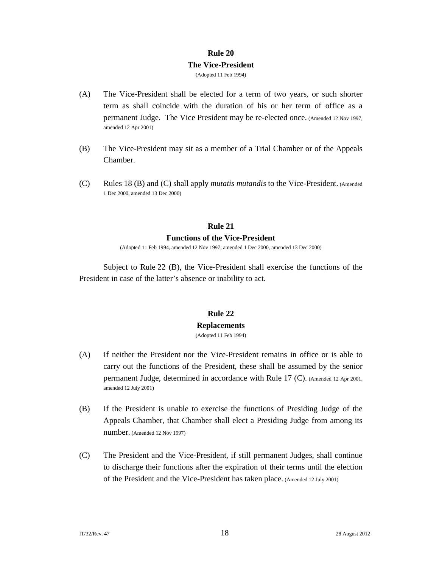# **Rule 20**

# **The Vice-President**

(Adopted 11 Feb 1994)

- (A) The Vice-President shall be elected for a term of two years, or such shorter term as shall coincide with the duration of his or her term of office as a permanent Judge. The Vice President may be re-elected once. (Amended 12 Nov 1997, amended 12 Apr 2001)
- (B) The Vice-President may sit as a member of a Trial Chamber or of the Appeals Chamber.
- (C) Rules 18 (B) and (C) shall apply *mutatis mutandis* to the Vice-President. (Amended 1 Dec 2000, amended 13 Dec 2000)

# **Rule 21**

#### **Functions of the Vice-President**

(Adopted 11 Feb 1994, amended 12 Nov 1997, amended 1 Dec 2000, amended 13 Dec 2000)

Subject to Rule 22 (B), the Vice-President shall exercise the functions of the President in case of the latter's absence or inability to act.

# **Rule 22**

#### **Replacements**

#### (Adopted 11 Feb 1994)

- (A) If neither the President nor the Vice-President remains in office or is able to carry out the functions of the President, these shall be assumed by the senior permanent Judge, determined in accordance with Rule 17 (C). (Amended 12 Apr 2001, amended 12 July 2001)
- (B) If the President is unable to exercise the functions of Presiding Judge of the Appeals Chamber, that Chamber shall elect a Presiding Judge from among its number. (Amended 12 Nov 1997)
- (C) The President and the Vice-President, if still permanent Judges, shall continue to discharge their functions after the expiration of their terms until the election of the President and the Vice-President has taken place. (Amended 12 July 2001)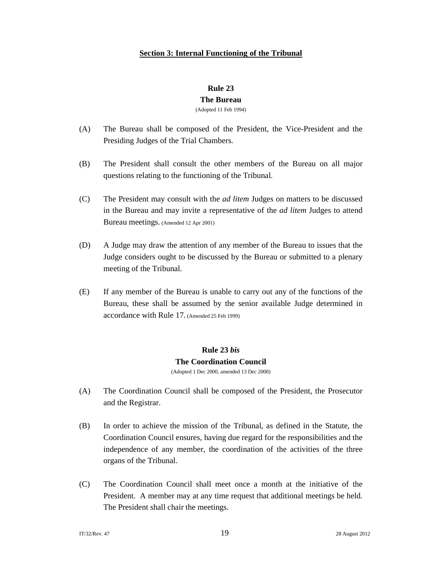## **Section 3: Internal Functioning of the Tribunal**

#### **Rule 23**

#### **The Bureau**

(Adopted 11 Feb 1994)

- (A) The Bureau shall be composed of the President, the Vice-President and the Presiding Judges of the Trial Chambers.
- (B) The President shall consult the other members of the Bureau on all major questions relating to the functioning of the Tribunal.
- (C) The President may consult with the *ad litem* Judges on matters to be discussed in the Bureau and may invite a representative of the *ad litem* Judges to attend Bureau meetings. (Amended 12 Apr 2001)
- (D) A Judge may draw the attention of any member of the Bureau to issues that the Judge considers ought to be discussed by the Bureau or submitted to a plenary meeting of the Tribunal.
- (E) If any member of the Bureau is unable to carry out any of the functions of the Bureau, these shall be assumed by the senior available Judge determined in accordance with Rule 17. (Amended 25 Feb 1999)

# **Rule 23** *bis* **The Coordination Council**

(Adopted 1 Dec 2000, amended 13 Dec 2000)

- (A) The Coordination Council shall be composed of the President, the Prosecutor and the Registrar.
- (B) In order to achieve the mission of the Tribunal, as defined in the Statute, the Coordination Council ensures, having due regard for the responsibilities and the independence of any member, the coordination of the activities of the three organs of the Tribunal.
- (C) The Coordination Council shall meet once a month at the initiative of the President. A member may at any time request that additional meetings be held. The President shall chair the meetings.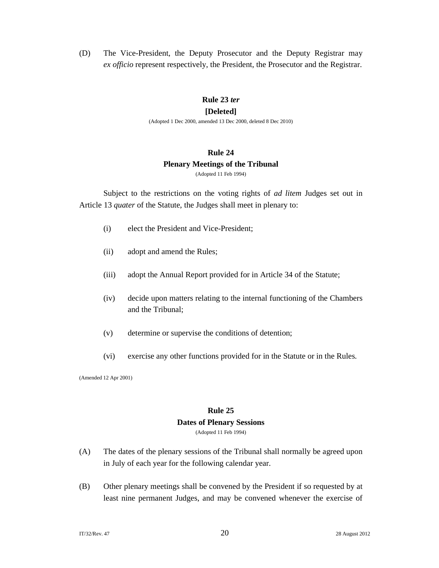(D) The Vice-President, the Deputy Prosecutor and the Deputy Registrar may *ex officio* represent respectively, the President, the Prosecutor and the Registrar.

#### **Rule 23** *ter*

#### **[Deleted]**

(Adopted 1 Dec 2000, amended 13 Dec 2000, deleted 8 Dec 2010)

#### **Rule 24**

#### **Plenary Meetings of the Tribunal**

(Adopted 11 Feb 1994)

 Subject to the restrictions on the voting rights of *ad litem* Judges set out in Article 13 *quater* of the Statute, the Judges shall meet in plenary to:

- (i) elect the President and Vice-President;
- (ii) adopt and amend the Rules;
- (iii) adopt the Annual Report provided for in Article 34 of the Statute;
- (iv) decide upon matters relating to the internal functioning of the Chambers and the Tribunal;
- (v) determine or supervise the conditions of detention;
- (vi) exercise any other functions provided for in the Statute or in the Rules.

(Amended 12 Apr 2001)

# **Rule 25 Dates of Plenary Sessions**

(Adopted 11 Feb 1994)

- (A) The dates of the plenary sessions of the Tribunal shall normally be agreed upon in July of each year for the following calendar year.
- (B) Other plenary meetings shall be convened by the President if so requested by at least nine permanent Judges, and may be convened whenever the exercise of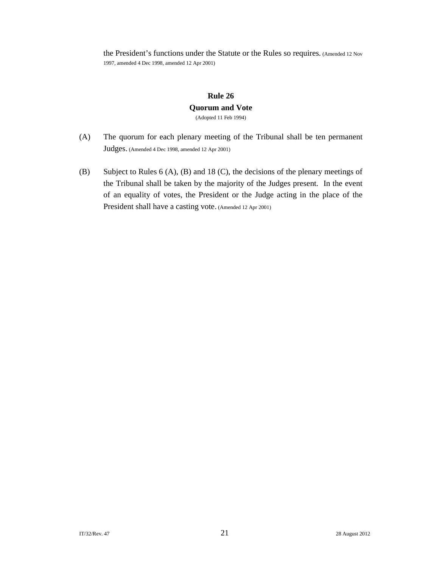the President's functions under the Statute or the Rules so requires. (Amended 12 Nov 1997, amended 4 Dec 1998, amended 12 Apr 2001)

#### **Rule 26**

## **Quorum and Vote**

(Adopted 11 Feb 1994)

- (A) The quorum for each plenary meeting of the Tribunal shall be ten permanent Judges. (Amended 4 Dec 1998, amended 12 Apr 2001)
- (B) Subject to Rules 6 (A), (B) and 18 (C), the decisions of the plenary meetings of the Tribunal shall be taken by the majority of the Judges present. In the event of an equality of votes, the President or the Judge acting in the place of the President shall have a casting vote. (Amended 12 Apr 2001)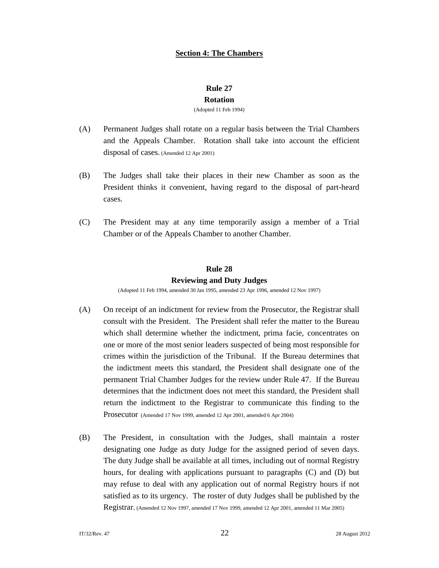## **Section 4: The Chambers**

#### **Rule 27**

#### **Rotation**

(Adopted 11 Feb 1994)

- (A) Permanent Judges shall rotate on a regular basis between the Trial Chambers and the Appeals Chamber. Rotation shall take into account the efficient disposal of cases. (Amended 12 Apr 2001)
- (B) The Judges shall take their places in their new Chamber as soon as the President thinks it convenient, having regard to the disposal of part-heard cases.
- (C) The President may at any time temporarily assign a member of a Trial Chamber or of the Appeals Chamber to another Chamber.

# **Rule 28 Reviewing and Duty Judges**

(Adopted 11 Feb 1994, amended 30 Jan 1995, amended 23 Apr 1996, amended 12 Nov 1997)

- (A) On receipt of an indictment for review from the Prosecutor, the Registrar shall consult with the President. The President shall refer the matter to the Bureau which shall determine whether the indictment, prima facie, concentrates on one or more of the most senior leaders suspected of being most responsible for crimes within the jurisdiction of the Tribunal. If the Bureau determines that the indictment meets this standard, the President shall designate one of the permanent Trial Chamber Judges for the review under Rule 47. If the Bureau determines that the indictment does not meet this standard, the President shall return the indictment to the Registrar to communicate this finding to the Prosecutor (Amended 17 Nov 1999, amended 12 Apr 2001, amended 6 Apr 2004)
- (B) The President, in consultation with the Judges, shall maintain a roster designating one Judge as duty Judge for the assigned period of seven days. The duty Judge shall be available at all times, including out of normal Registry hours, for dealing with applications pursuant to paragraphs (C) and (D) but may refuse to deal with any application out of normal Registry hours if not satisfied as to its urgency. The roster of duty Judges shall be published by the Registrar. (Amended 12 Nov 1997, amended 17 Nov 1999, amended 12 Apr 2001, amended 11 Mar 2005)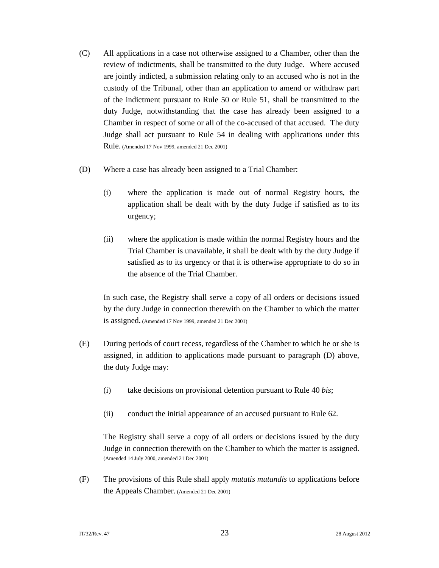- (C) All applications in a case not otherwise assigned to a Chamber, other than the review of indictments, shall be transmitted to the duty Judge. Where accused are jointly indicted, a submission relating only to an accused who is not in the custody of the Tribunal, other than an application to amend or withdraw part of the indictment pursuant to Rule 50 or Rule 51, shall be transmitted to the duty Judge, notwithstanding that the case has already been assigned to a Chamber in respect of some or all of the co-accused of that accused. The duty Judge shall act pursuant to Rule 54 in dealing with applications under this Rule. (Amended 17 Nov 1999, amended 21 Dec 2001)
- (D) Where a case has already been assigned to a Trial Chamber:
	- (i) where the application is made out of normal Registry hours, the application shall be dealt with by the duty Judge if satisfied as to its urgency;
	- (ii) where the application is made within the normal Registry hours and the Trial Chamber is unavailable, it shall be dealt with by the duty Judge if satisfied as to its urgency or that it is otherwise appropriate to do so in the absence of the Trial Chamber.

In such case, the Registry shall serve a copy of all orders or decisions issued by the duty Judge in connection therewith on the Chamber to which the matter is assigned. (Amended 17 Nov 1999, amended 21 Dec 2001)

- (E) During periods of court recess, regardless of the Chamber to which he or she is assigned, in addition to applications made pursuant to paragraph (D) above, the duty Judge may:
	- (i) take decisions on provisional detention pursuant to Rule 40 *bis*;
	- (ii) conduct the initial appearance of an accused pursuant to Rule 62.

The Registry shall serve a copy of all orders or decisions issued by the duty Judge in connection therewith on the Chamber to which the matter is assigned. (Amended 14 July 2000, amended 21 Dec 2001)

(F) The provisions of this Rule shall apply *mutatis mutandis* to applications before the Appeals Chamber. (Amended 21 Dec 2001)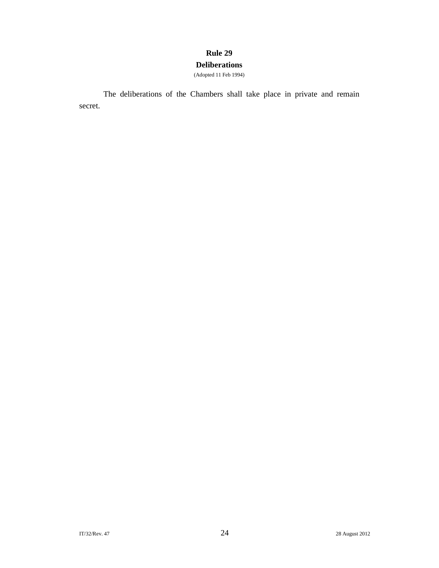# **Rule 29 Deliberations**

(Adopted 11 Feb 1994)

 The deliberations of the Chambers shall take place in private and remain secret.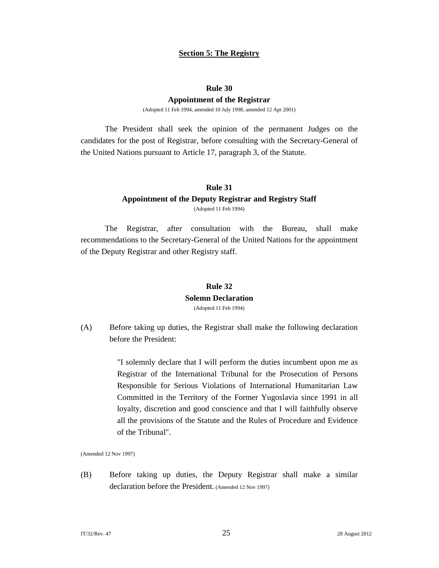#### **Section 5: The Registry**

#### **Rule 30**

#### **Appointment of the Registrar**

(Adopted 11 Feb 1994, amended 10 July 1998, amended 12 Apr 2001)

 The President shall seek the opinion of the permanent Judges on the candidates for the post of Registrar, before consulting with the Secretary-General of the United Nations pursuant to Article 17, paragraph 3, of the Statute.

# **Rule 31 Appointment of the Deputy Registrar and Registry Staff**  (Adopted 11 Feb 1994)

 The Registrar, after consultation with the Bureau, shall make recommendations to the Secretary-General of the United Nations for the appointment of the Deputy Registrar and other Registry staff.

#### **Rule 32**

#### **Solemn Declaration**

(Adopted 11 Feb 1994)

(A) Before taking up duties, the Registrar shall make the following declaration before the President:

> "I solemnly declare that I will perform the duties incumbent upon me as Registrar of the International Tribunal for the Prosecution of Persons Responsible for Serious Violations of International Humanitarian Law Committed in the Territory of the Former Yugoslavia since 1991 in all loyalty, discretion and good conscience and that I will faithfully observe all the provisions of the Statute and the Rules of Procedure and Evidence of the Tribunal".

(Amended 12 Nov 1997)

(B) Before taking up duties, the Deputy Registrar shall make a similar declaration before the President. (Amended 12 Nov 1997)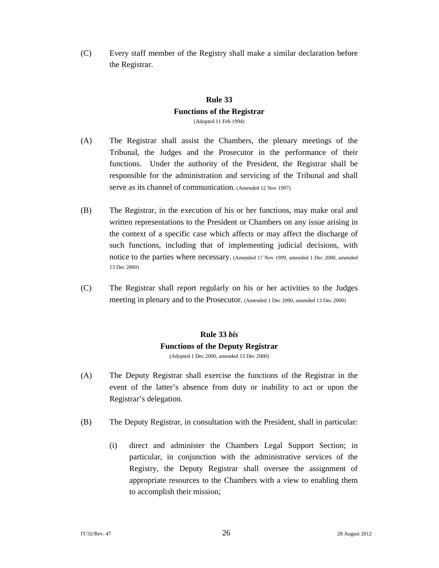(C) Every staff member of the Registry shall make a similar declaration before the Registrar.

# **Rule 33 Functions of the Registrar**

(Adopted 11 Feb 1994)

- (A) The Registrar shall assist the Chambers, the plenary meetings of the Tribunal, the Judges and the Prosecutor in the performance of their functions. Under the authority of the President, the Registrar shall be responsible for the administration and servicing of the Tribunal and shall serve as its channel of communication. (Amended 12 Nov 1997)
- (B) The Registrar, in the execution of his or her functions, may make oral and written representations to the President or Chambers on any issue arising in the context of a specific case which affects or may affect the discharge of such functions, including that of implementing judicial decisions, with notice to the parties where necessary. (Amended 17 Nov 1999, amended 1 Dec 2000, amended 13 Dec 2000)
- (C) The Registrar shall report regularly on his or her activities to the Judges meeting in plenary and to the Prosecutor. (Amended 1 Dec 2000, amended 13 Dec 2000)

# **Rule 33** *bis* **Functions of the Deputy Registrar**  (Adopted 1 Dec 2000, amended 13 Dec 2000)

- (A) The Deputy Registrar shall exercise the functions of the Registrar in the event of the latter's absence from duty or inability to act or upon the Registrar's delegation.
- (B) The Deputy Registrar, in consultation with the President, shall in particular:
	- (i) direct and administer the Chambers Legal Support Section; in particular, in conjunction with the administrative services of the Registry, the Deputy Registrar shall oversee the assignment of appropriate resources to the Chambers with a view to enabling them to accomplish their mission;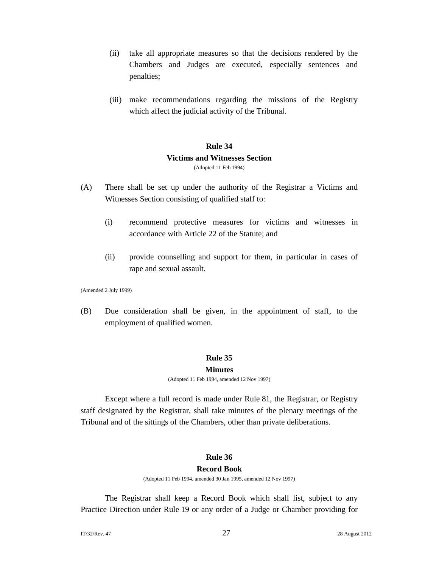- (ii) take all appropriate measures so that the decisions rendered by the Chambers and Judges are executed, especially sentences and penalties;
- (iii) make recommendations regarding the missions of the Registry which affect the judicial activity of the Tribunal.

## **Rule 34 Victims and Witnesses Section**  (Adopted 11 Feb 1994)

- (A) There shall be set up under the authority of the Registrar a Victims and Witnesses Section consisting of qualified staff to:
	- (i) recommend protective measures for victims and witnesses in accordance with Article 22 of the Statute; and
	- (ii) provide counselling and support for them, in particular in cases of rape and sexual assault.

(Amended 2 July 1999)

(B) Due consideration shall be given, in the appointment of staff, to the employment of qualified women.

#### **Rule 35**

#### **Minutes**

(Adopted 11 Feb 1994, amended 12 Nov 1997)

 Except where a full record is made under Rule 81, the Registrar, or Registry staff designated by the Registrar, shall take minutes of the plenary meetings of the Tribunal and of the sittings of the Chambers, other than private deliberations.

# **Rule 36**

# **Record Book**

(Adopted 11 Feb 1994, amended 30 Jan 1995, amended 12 Nov 1997)

 The Registrar shall keep a Record Book which shall list, subject to any Practice Direction under Rule 19 or any order of a Judge or Chamber providing for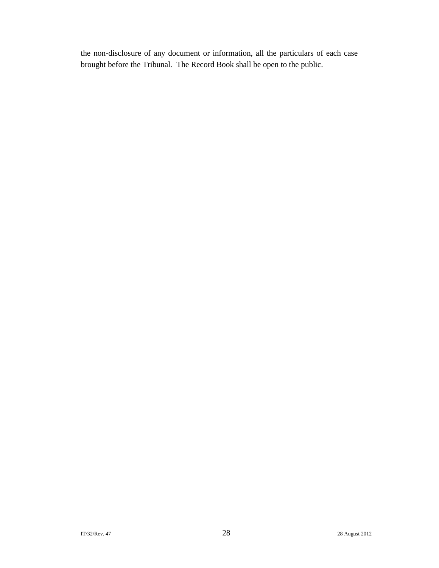the non-disclosure of any document or information, all the particulars of each case brought before the Tribunal. The Record Book shall be open to the public.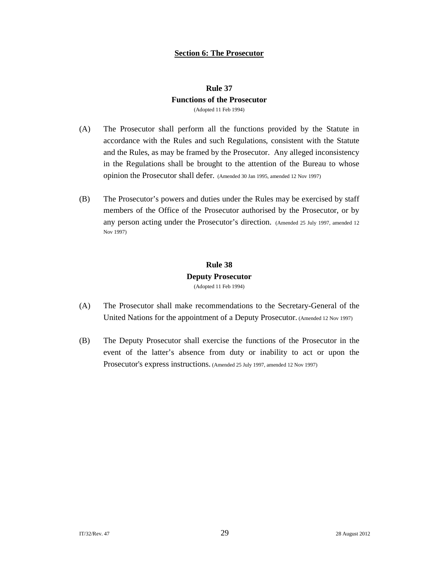### **Section 6: The Prosecutor**

## **Rule 37 Functions of the Prosecutor**

(Adopted 11 Feb 1994)

- (A) The Prosecutor shall perform all the functions provided by the Statute in accordance with the Rules and such Regulations, consistent with the Statute and the Rules, as may be framed by the Prosecutor. Any alleged inconsistency in the Regulations shall be brought to the attention of the Bureau to whose opinion the Prosecutor shall defer. (Amended 30 Jan 1995, amended 12 Nov 1997)
- (B) The Prosecutor's powers and duties under the Rules may be exercised by staff members of the Office of the Prosecutor authorised by the Prosecutor, or by any person acting under the Prosecutor's direction. (Amended 25 July 1997, amended 12 Nov 1997)

### **Rule 38 Deputy Prosecutor**  (Adopted 11 Feb 1994)

- (A) The Prosecutor shall make recommendations to the Secretary-General of the United Nations for the appointment of a Deputy Prosecutor. (Amended 12 Nov 1997)
- (B) The Deputy Prosecutor shall exercise the functions of the Prosecutor in the event of the latter's absence from duty or inability to act or upon the Prosecutor's express instructions. (Amended 25 July 1997, amended 12 Nov 1997)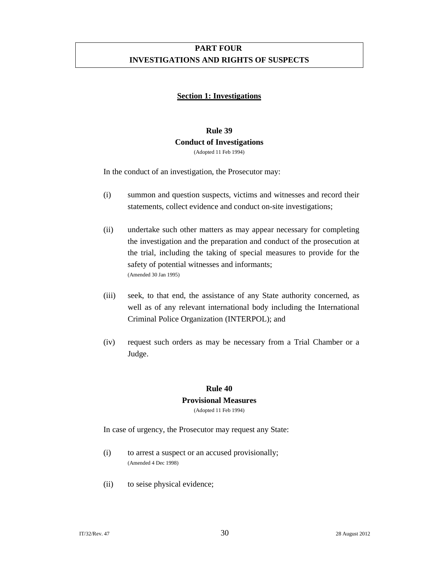## **PART FOUR INVESTIGATIONS AND RIGHTS OF SUSPECTS**

#### **Section 1: Investigations**

#### **Rule 39**

#### **Conduct of Investigations**

(Adopted 11 Feb 1994)

In the conduct of an investigation, the Prosecutor may:

- (i) summon and question suspects, victims and witnesses and record their statements, collect evidence and conduct on-site investigations;
- (ii) undertake such other matters as may appear necessary for completing the investigation and the preparation and conduct of the prosecution at the trial, including the taking of special measures to provide for the safety of potential witnesses and informants; (Amended 30 Jan 1995)
- (iii) seek, to that end, the assistance of any State authority concerned, as well as of any relevant international body including the International Criminal Police Organization (INTERPOL); and
- (iv) request such orders as may be necessary from a Trial Chamber or a Judge.

## **Rule 40 Provisional Measures**

(Adopted 11 Feb 1994)

In case of urgency, the Prosecutor may request any State:

- (i) to arrest a suspect or an accused provisionally; (Amended 4 Dec 1998)
- (ii) to seise physical evidence;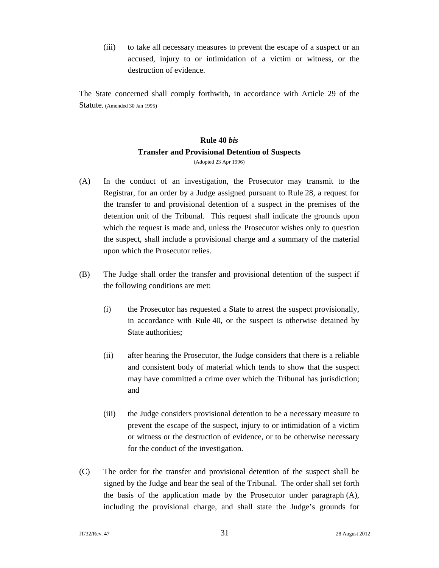(iii) to take all necessary measures to prevent the escape of a suspect or an accused, injury to or intimidation of a victim or witness, or the destruction of evidence.

The State concerned shall comply forthwith, in accordance with Article 29 of the Statute. (Amended 30 Jan 1995)

## **Rule 40** *bis* **Transfer and Provisional Detention of Suspects**  (Adopted 23 Apr 1996)

- (A) In the conduct of an investigation, the Prosecutor may transmit to the Registrar, for an order by a Judge assigned pursuant to Rule 28, a request for the transfer to and provisional detention of a suspect in the premises of the detention unit of the Tribunal. This request shall indicate the grounds upon which the request is made and, unless the Prosecutor wishes only to question the suspect, shall include a provisional charge and a summary of the material upon which the Prosecutor relies.
- (B) The Judge shall order the transfer and provisional detention of the suspect if the following conditions are met:
	- (i) the Prosecutor has requested a State to arrest the suspect provisionally, in accordance with Rule 40, or the suspect is otherwise detained by State authorities;
	- (ii) after hearing the Prosecutor, the Judge considers that there is a reliable and consistent body of material which tends to show that the suspect may have committed a crime over which the Tribunal has jurisdiction; and
	- (iii) the Judge considers provisional detention to be a necessary measure to prevent the escape of the suspect, injury to or intimidation of a victim or witness or the destruction of evidence, or to be otherwise necessary for the conduct of the investigation.
- (C) The order for the transfer and provisional detention of the suspect shall be signed by the Judge and bear the seal of the Tribunal. The order shall set forth the basis of the application made by the Prosecutor under paragraph (A), including the provisional charge, and shall state the Judge's grounds for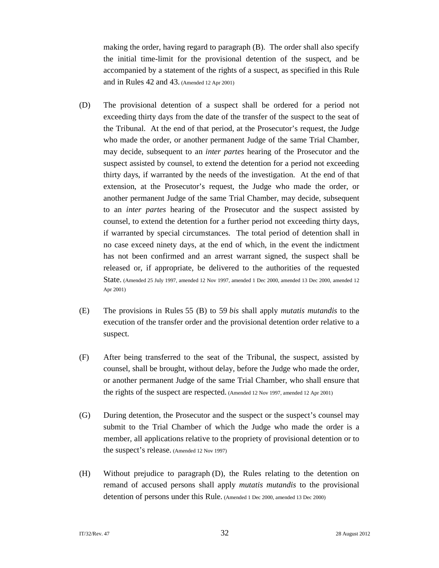making the order, having regard to paragraph (B). The order shall also specify the initial time-limit for the provisional detention of the suspect, and be accompanied by a statement of the rights of a suspect, as specified in this Rule and in Rules 42 and 43. (Amended 12 Apr 2001)

- (D) The provisional detention of a suspect shall be ordered for a period not exceeding thirty days from the date of the transfer of the suspect to the seat of the Tribunal. At the end of that period, at the Prosecutor's request, the Judge who made the order, or another permanent Judge of the same Trial Chamber, may decide, subsequent to an *inter partes* hearing of the Prosecutor and the suspect assisted by counsel, to extend the detention for a period not exceeding thirty days, if warranted by the needs of the investigation. At the end of that extension, at the Prosecutor's request, the Judge who made the order, or another permanent Judge of the same Trial Chamber, may decide, subsequent to an *inter partes* hearing of the Prosecutor and the suspect assisted by counsel, to extend the detention for a further period not exceeding thirty days, if warranted by special circumstances. The total period of detention shall in no case exceed ninety days, at the end of which, in the event the indictment has not been confirmed and an arrest warrant signed, the suspect shall be released or, if appropriate, be delivered to the authorities of the requested State. (Amended 25 July 1997, amended 12 Nov 1997, amended 1 Dec 2000, amended 13 Dec 2000, amended 12 Apr 2001)
- (E) The provisions in Rules 55 (B) to 59 *bis* shall apply *mutatis mutandis* to the execution of the transfer order and the provisional detention order relative to a suspect.
- (F) After being transferred to the seat of the Tribunal, the suspect, assisted by counsel, shall be brought, without delay, before the Judge who made the order, or another permanent Judge of the same Trial Chamber, who shall ensure that the rights of the suspect are respected. (Amended 12 Nov 1997, amended 12 Apr 2001)
- (G) During detention, the Prosecutor and the suspect or the suspect's counsel may submit to the Trial Chamber of which the Judge who made the order is a member, all applications relative to the propriety of provisional detention or to the suspect's release. (Amended 12 Nov 1997)
- (H) Without prejudice to paragraph (D), the Rules relating to the detention on remand of accused persons shall apply *mutatis mutandis* to the provisional detention of persons under this Rule. (Amended 1 Dec 2000, amended 13 Dec 2000)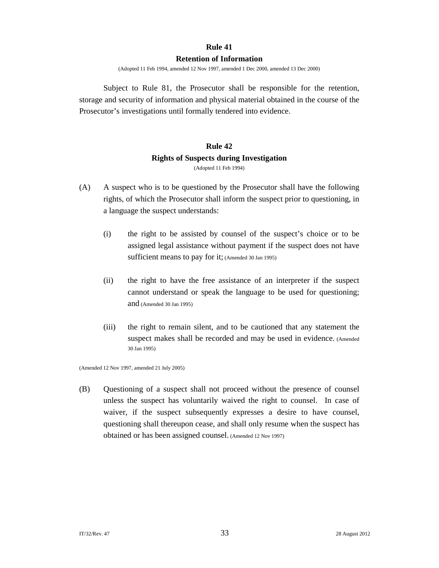#### **Retention of Information**

(Adopted 11 Feb 1994, amended 12 Nov 1997, amended 1 Dec 2000, amended 13 Dec 2000)

 Subject to Rule 81, the Prosecutor shall be responsible for the retention, storage and security of information and physical material obtained in the course of the Prosecutor's investigations until formally tendered into evidence.

## **Rule 42 Rights of Suspects during Investigation**  (Adopted 11 Feb 1994)

- (A) A suspect who is to be questioned by the Prosecutor shall have the following rights, of which the Prosecutor shall inform the suspect prior to questioning, in a language the suspect understands:
	- (i) the right to be assisted by counsel of the suspect's choice or to be assigned legal assistance without payment if the suspect does not have sufficient means to pay for it; (Amended 30 Jan 1995)
	- (ii) the right to have the free assistance of an interpreter if the suspect cannot understand or speak the language to be used for questioning; and (Amended 30 Jan 1995)
	- (iii) the right to remain silent, and to be cautioned that any statement the suspect makes shall be recorded and may be used in evidence. (Amended 30 Jan 1995)

(Amended 12 Nov 1997, amended 21 July 2005)

(B) Questioning of a suspect shall not proceed without the presence of counsel unless the suspect has voluntarily waived the right to counsel. In case of waiver, if the suspect subsequently expresses a desire to have counsel, questioning shall thereupon cease, and shall only resume when the suspect has obtained or has been assigned counsel. (Amended 12 Nov 1997)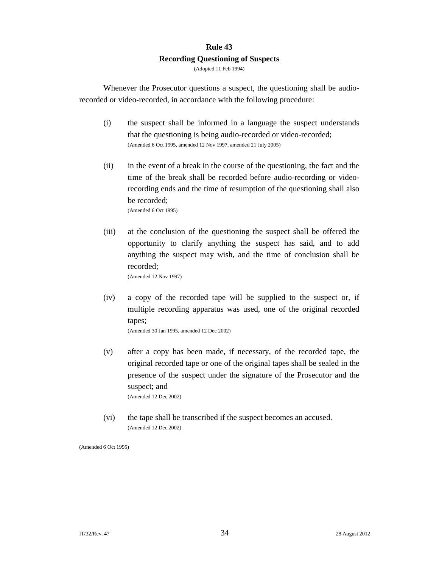# **Rule 43 Recording Questioning of Suspects**

(Adopted 11 Feb 1994)

 Whenever the Prosecutor questions a suspect, the questioning shall be audiorecorded or video-recorded, in accordance with the following procedure:

- (i) the suspect shall be informed in a language the suspect understands that the questioning is being audio-recorded or video-recorded; (Amended 6 Oct 1995, amended 12 Nov 1997, amended 21 July 2005)
- (ii) in the event of a break in the course of the questioning, the fact and the time of the break shall be recorded before audio-recording or videorecording ends and the time of resumption of the questioning shall also be recorded; (Amended 6 Oct 1995)
- (iii) at the conclusion of the questioning the suspect shall be offered the opportunity to clarify anything the suspect has said, and to add anything the suspect may wish, and the time of conclusion shall be recorded; (Amended 12 Nov 1997)
- (iv) a copy of the recorded tape will be supplied to the suspect or, if multiple recording apparatus was used, one of the original recorded tapes; (Amended 30 Jan 1995, amended 12 Dec 2002)
- (v) after a copy has been made, if necessary, of the recorded tape, the original recorded tape or one of the original tapes shall be sealed in the presence of the suspect under the signature of the Prosecutor and the suspect; and (Amended 12 Dec 2002)
- (vi) the tape shall be transcribed if the suspect becomes an accused. (Amended 12 Dec 2002)

(Amended 6 Oct 1995)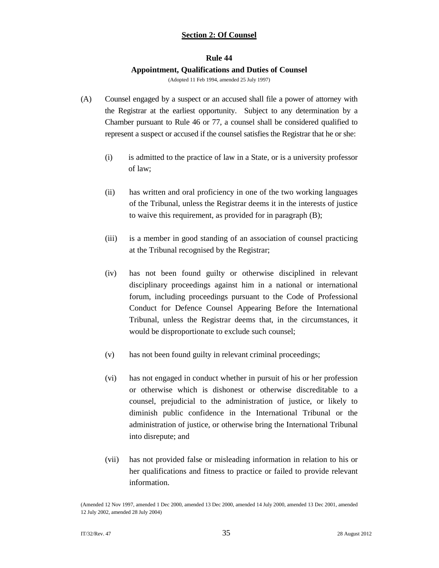### **Section 2: Of Counsel**

#### **Rule 44**

#### **Appointment, Qualifications and Duties of Counsel**

(Adopted 11 Feb 1994, amended 25 July 1997)

- (A) Counsel engaged by a suspect or an accused shall file a power of attorney with the Registrar at the earliest opportunity. Subject to any determination by a Chamber pursuant to Rule 46 or 77*,* a counsel shall be considered qualified to represent a suspect or accused if the counsel satisfies the Registrar that he or she:
	- (i) is admitted to the practice of law in a State, or is a university professor of law;
	- (ii) has written and oral proficiency in one of the two working languages of the Tribunal, unless the Registrar deems it in the interests of justice to waive this requirement, as provided for in paragraph (B);
	- (iii) is a member in good standing of an association of counsel practicing at the Tribunal recognised by the Registrar;
	- (iv) has not been found guilty or otherwise disciplined in relevant disciplinary proceedings against him in a national or international forum, including proceedings pursuant to the Code of Professional Conduct for Defence Counsel Appearing Before the International Tribunal, unless the Registrar deems that, in the circumstances, it would be disproportionate to exclude such counsel;
	- (v) has not been found guilty in relevant criminal proceedings;
	- (vi) has not engaged in conduct whether in pursuit of his or her profession or otherwise which is dishonest or otherwise discreditable to a counsel, prejudicial to the administration of justice, or likely to diminish public confidence in the International Tribunal or the administration of justice, or otherwise bring the International Tribunal into disrepute; and
	- (vii) has not provided false or misleading information in relation to his or her qualifications and fitness to practice or failed to provide relevant information.

<sup>(</sup>Amended 12 Nov 1997, amended 1 Dec 2000, amended 13 Dec 2000, amended 14 July 2000, amended 13 Dec 2001, amended 12 July 2002, amended 28 July 2004)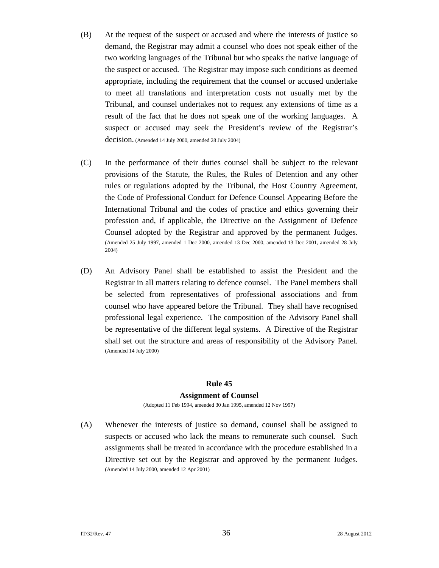- (B) At the request of the suspect or accused and where the interests of justice so demand, the Registrar may admit a counsel who does not speak either of the two working languages of the Tribunal but who speaks the native language of the suspect or accused. The Registrar may impose such conditions as deemed appropriate, including the requirement that the counsel or accused undertake to meet all translations and interpretation costs not usually met by the Tribunal, and counsel undertakes not to request any extensions of time as a result of the fact that he does not speak one of the working languages. A suspect or accused may seek the President's review of the Registrar's decision. (Amended 14 July 2000, amended 28 July 2004)
- (C) In the performance of their duties counsel shall be subject to the relevant provisions of the Statute, the Rules, the Rules of Detention and any other rules or regulations adopted by the Tribunal, the Host Country Agreement, the Code of Professional Conduct for Defence Counsel Appearing Before the International Tribunal and the codes of practice and ethics governing their profession and, if applicable, the Directive on the Assignment of Defence Counsel adopted by the Registrar and approved by the permanent Judges. (Amended 25 July 1997, amended 1 Dec 2000, amended 13 Dec 2000, amended 13 Dec 2001, amended 28 July 2004)
- (D) An Advisory Panel shall be established to assist the President and the Registrar in all matters relating to defence counsel. The Panel members shall be selected from representatives of professional associations and from counsel who have appeared before the Tribunal. They shall have recognised professional legal experience. The composition of the Advisory Panel shall be representative of the different legal systems. A Directive of the Registrar shall set out the structure and areas of responsibility of the Advisory Panel. (Amended 14 July 2000)

#### **Assignment of Counsel**

(Adopted 11 Feb 1994, amended 30 Jan 1995, amended 12 Nov 1997)

(A) Whenever the interests of justice so demand, counsel shall be assigned to suspects or accused who lack the means to remunerate such counsel. Such assignments shall be treated in accordance with the procedure established in a Directive set out by the Registrar and approved by the permanent Judges. (Amended 14 July 2000, amended 12 Apr 2001)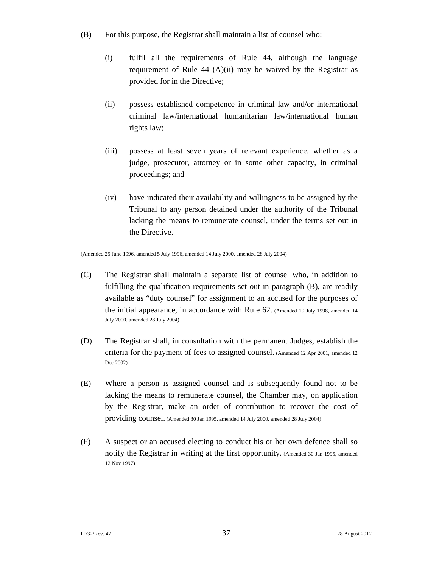- (B) For this purpose, the Registrar shall maintain a list of counsel who:
	- (i) fulfil all the requirements of Rule 44, although the language requirement of Rule 44 (A)(ii) may be waived by the Registrar as provided for in the Directive;
	- (ii) possess established competence in criminal law and/or international criminal law/international humanitarian law/international human rights law;
	- (iii) possess at least seven years of relevant experience, whether as a judge, prosecutor, attorney or in some other capacity, in criminal proceedings; and
	- (iv) have indicated their availability and willingness to be assigned by the Tribunal to any person detained under the authority of the Tribunal lacking the means to remunerate counsel, under the terms set out in the Directive.

(Amended 25 June 1996, amended 5 July 1996, amended 14 July 2000, amended 28 July 2004)

- (C) The Registrar shall maintain a separate list of counsel who, in addition to fulfilling the qualification requirements set out in paragraph (B), are readily available as "duty counsel" for assignment to an accused for the purposes of the initial appearance, in accordance with Rule 62. (Amended 10 July 1998, amended 14 July 2000, amended 28 July 2004)
- (D) The Registrar shall, in consultation with the permanent Judges, establish the criteria for the payment of fees to assigned counsel. (Amended 12 Apr 2001, amended 12 Dec 2002)
- (E) Where a person is assigned counsel and is subsequently found not to be lacking the means to remunerate counsel, the Chamber may, on application by the Registrar, make an order of contribution to recover the cost of providing counsel. (Amended 30 Jan 1995, amended 14 July 2000, amended 28 July 2004)
- (F) A suspect or an accused electing to conduct his or her own defence shall so notify the Registrar in writing at the first opportunity. (Amended 30 Jan 1995, amended 12 Nov 1997)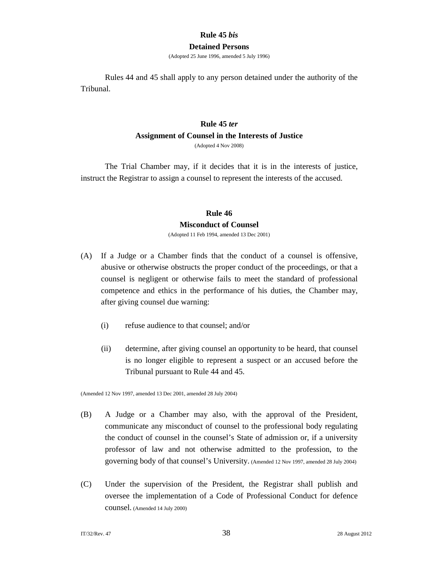#### **Rule 45** *bis*

#### **Detained Persons**

(Adopted 25 June 1996, amended 5 July 1996)

 Rules 44 and 45 shall apply to any person detained under the authority of the Tribunal.

# **Rule 45** *ter* **Assignment of Counsel in the Interests of Justice**

(Adopted 4 Nov 2008)

 The Trial Chamber may, if it decides that it is in the interests of justice, instruct the Registrar to assign a counsel to represent the interests of the accused.

### **Rule 46**

#### **Misconduct of Counsel**

(Adopted 11 Feb 1994, amended 13 Dec 2001)

- (A) If a Judge or a Chamber finds that the conduct of a counsel is offensive, abusive or otherwise obstructs the proper conduct of the proceedings, or that a counsel is negligent or otherwise fails to meet the standard of professional competence and ethics in the performance of his duties, the Chamber may, after giving counsel due warning:
	- (i) refuse audience to that counsel; and/or
	- (ii) determine, after giving counsel an opportunity to be heard, that counsel is no longer eligible to represent a suspect or an accused before the Tribunal pursuant to Rule 44 and 45.

(Amended 12 Nov 1997, amended 13 Dec 2001, amended 28 July 2004)

- (B) A Judge or a Chamber may also, with the approval of the President, communicate any misconduct of counsel to the professional body regulating the conduct of counsel in the counsel's State of admission or, if a university professor of law and not otherwise admitted to the profession, to the governing body of that counsel's University. (Amended 12 Nov 1997, amended 28 July 2004)
- (C) Under the supervision of the President, the Registrar shall publish and oversee the implementation of a Code of Professional Conduct for defence counsel. (Amended 14 July 2000)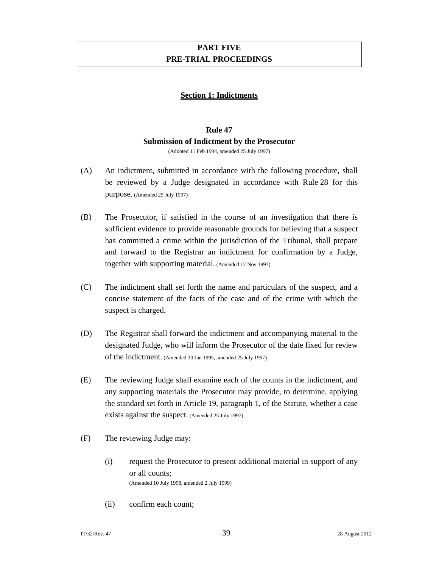## **PART FIVE PRE-TRIAL PROCEEDINGS**

#### **Section 1: Indictments**

#### **Rule 47**

#### **Submission of Indictment by the Prosecutor**

(Adopted 11 Feb 1994, amended 25 July 1997)

- (A) An indictment, submitted in accordance with the following procedure, shall be reviewed by a Judge designated in accordance with Rule 28 for this purpose. (Amended 25 July 1997)
- (B) The Prosecutor, if satisfied in the course of an investigation that there is sufficient evidence to provide reasonable grounds for believing that a suspect has committed a crime within the jurisdiction of the Tribunal, shall prepare and forward to the Registrar an indictment for confirmation by a Judge, together with supporting material. (Amended 12 Nov 1997)
- (C) The indictment shall set forth the name and particulars of the suspect, and a concise statement of the facts of the case and of the crime with which the suspect is charged.
- (D) The Registrar shall forward the indictment and accompanying material to the designated Judge, who will inform the Prosecutor of the date fixed for review of the indictment. (Amended 30 Jan 1995, amended 25 July 1997)
- (E) The reviewing Judge shall examine each of the counts in the indictment, and any supporting materials the Prosecutor may provide, to determine, applying the standard set forth in Article 19, paragraph 1, of the Statute, whether a case exists against the suspect. (Amended 25 July 1997)
- (F) The reviewing Judge may:
	- (i) request the Prosecutor to present additional material in support of any or all counts; (Amended 10 July 1998, amended 2 July 1999)
	- (ii) confirm each count;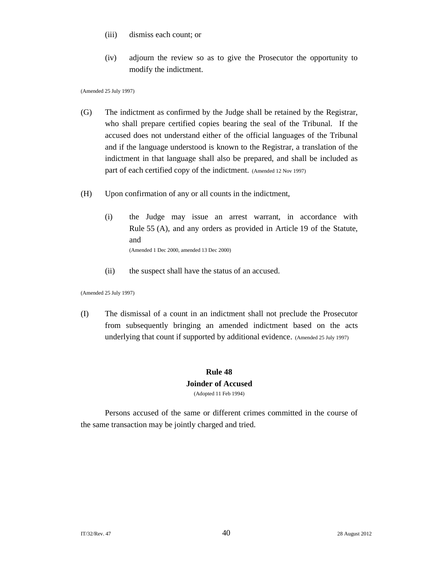- (iii) dismiss each count; or
- (iv) adjourn the review so as to give the Prosecutor the opportunity to modify the indictment.

(Amended 25 July 1997)

- (G) The indictment as confirmed by the Judge shall be retained by the Registrar, who shall prepare certified copies bearing the seal of the Tribunal. If the accused does not understand either of the official languages of the Tribunal and if the language understood is known to the Registrar, a translation of the indictment in that language shall also be prepared, and shall be included as part of each certified copy of the indictment. (Amended 12 Nov 1997)
- (H) Upon confirmation of any or all counts in the indictment,
	- (i) the Judge may issue an arrest warrant, in accordance with Rule 55 (A), and any orders as provided in Article 19 of the Statute, and (Amended 1 Dec 2000, amended 13 Dec 2000)
	- (ii) the suspect shall have the status of an accused.

(Amended 25 July 1997)

(I) The dismissal of a count in an indictment shall not preclude the Prosecutor from subsequently bringing an amended indictment based on the acts underlying that count if supported by additional evidence. (Amended 25 July 1997)

# **Rule 48 Joinder of Accused**

(Adopted 11 Feb 1994)

 Persons accused of the same or different crimes committed in the course of the same transaction may be jointly charged and tried.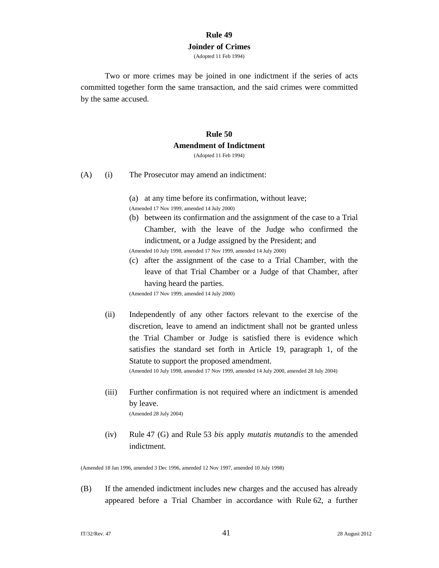#### **Joinder of Crimes**

(Adopted 11 Feb 1994)

 Two or more crimes may be joined in one indictment if the series of acts committed together form the same transaction, and the said crimes were committed by the same accused.

## **Rule 50 Amendment of Indictment**

(Adopted 11 Feb 1994)

(A) (i) The Prosecutor may amend an indictment:

(a) at any time before its confirmation, without leave; (Amended 17 Nov 1999, amended 14 July 2000)

(b) between its confirmation and the assignment of the case to a Trial Chamber, with the leave of the Judge who confirmed the indictment, or a Judge assigned by the President; and (Amended 10 July 1998, amended 17 Nov 1999, amended 14 July 2000)

(c) after the assignment of the case to a Trial Chamber, with the leave of that Trial Chamber or a Judge of that Chamber, after having heard the parties.

(Amended 17 Nov 1999, amended 14 July 2000)

(ii) Independently of any other factors relevant to the exercise of the discretion, leave to amend an indictment shall not be granted unless the Trial Chamber or Judge is satisfied there is evidence which satisfies the standard set forth in Article 19, paragraph 1, of the Statute to support the proposed amendment.

(Amended 10 July 1998, amended 17 Nov 1999, amended 14 July 2000, amended 28 July 2004)

- (iii) Further confirmation is not required where an indictment is amended by leave. (Amended 28 July 2004)
- (iv) Rule 47 (G) and Rule 53 *bis* apply *mutatis mutandis* to the amended indictment.

(Amended 18 Jan 1996, amended 3 Dec 1996, amended 12 Nov 1997, amended 10 July 1998)

(B) If the amended indictment includes new charges and the accused has already appeared before a Trial Chamber in accordance with Rule 62, a further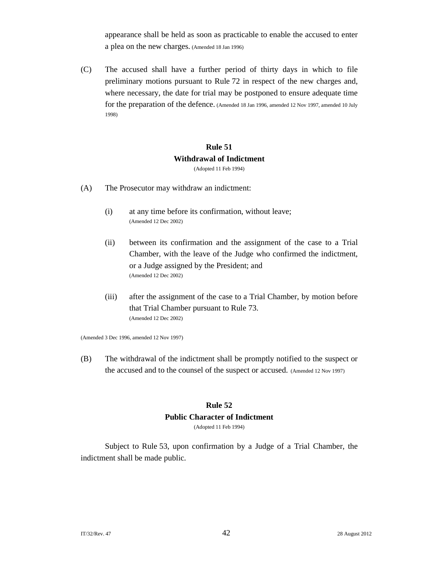appearance shall be held as soon as practicable to enable the accused to enter a plea on the new charges. (Amended 18 Jan 1996)

(C) The accused shall have a further period of thirty days in which to file preliminary motions pursuant to Rule 72 in respect of the new charges and, where necessary, the date for trial may be postponed to ensure adequate time for the preparation of the defence. (Amended 18 Jan 1996, amended 12 Nov 1997, amended 10 July 1998)

# **Rule 51 Withdrawal of Indictment**

(Adopted 11 Feb 1994)

- (A) The Prosecutor may withdraw an indictment:
	- (i) at any time before its confirmation, without leave; (Amended 12 Dec 2002)
	- (ii) between its confirmation and the assignment of the case to a Trial Chamber, with the leave of the Judge who confirmed the indictment, or a Judge assigned by the President; and (Amended 12 Dec 2002)
	- (iii) after the assignment of the case to a Trial Chamber, by motion before that Trial Chamber pursuant to Rule 73. (Amended 12 Dec 2002)

(Amended 3 Dec 1996, amended 12 Nov 1997)

(B) The withdrawal of the indictment shall be promptly notified to the suspect or the accused and to the counsel of the suspect or accused. (Amended 12 Nov 1997)

# **Rule 52 Public Character of Indictment**

(Adopted 11 Feb 1994)

 Subject to Rule 53, upon confirmation by a Judge of a Trial Chamber, the indictment shall be made public.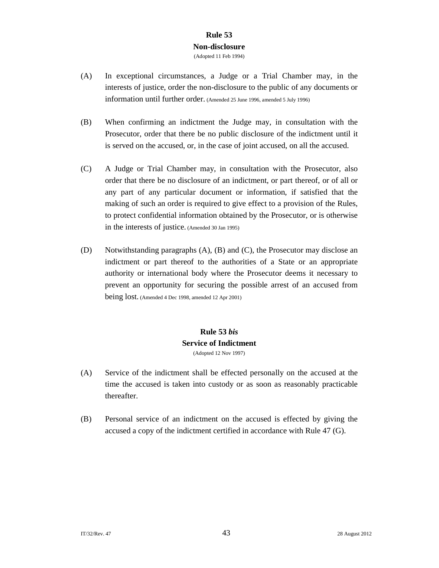#### **Non-disclosure**

(Adopted 11 Feb 1994)

- (A) In exceptional circumstances, a Judge or a Trial Chamber may, in the interests of justice, order the non-disclosure to the public of any documents or information until further order. (Amended 25 June 1996, amended 5 July 1996)
- (B) When confirming an indictment the Judge may, in consultation with the Prosecutor, order that there be no public disclosure of the indictment until it is served on the accused, or, in the case of joint accused, on all the accused.
- (C) A Judge or Trial Chamber may, in consultation with the Prosecutor, also order that there be no disclosure of an indictment, or part thereof, or of all or any part of any particular document or information, if satisfied that the making of such an order is required to give effect to a provision of the Rules, to protect confidential information obtained by the Prosecutor, or is otherwise in the interests of justice. (Amended 30 Jan 1995)
- (D) Notwithstanding paragraphs (A), (B) and (C), the Prosecutor may disclose an indictment or part thereof to the authorities of a State or an appropriate authority or international body where the Prosecutor deems it necessary to prevent an opportunity for securing the possible arrest of an accused from being lost. (Amended 4 Dec 1998, amended 12 Apr 2001)

## **Rule 53** *bis* **Service of Indictment**  (Adopted 12 Nov 1997)

- (A) Service of the indictment shall be effected personally on the accused at the time the accused is taken into custody or as soon as reasonably practicable thereafter.
- (B) Personal service of an indictment on the accused is effected by giving the accused a copy of the indictment certified in accordance with Rule 47 (G).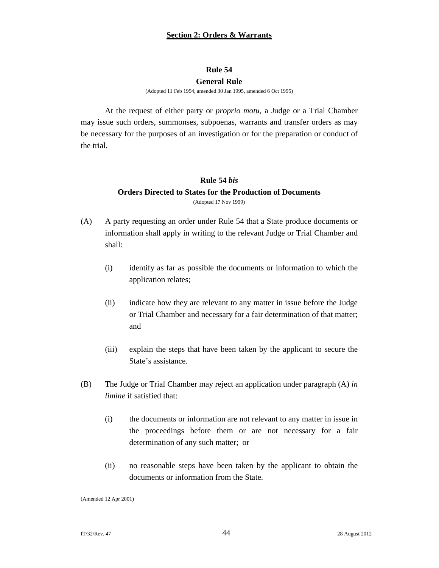#### **General Rule**

(Adopted 11 Feb 1994, amended 30 Jan 1995, amended 6 Oct 1995)

 At the request of either party or *proprio motu*, a Judge or a Trial Chamber may issue such orders, summonses, subpoenas, warrants and transfer orders as may be necessary for the purposes of an investigation or for the preparation or conduct of the trial.

## **Rule 54** *bis*  **Orders Directed to States for the Production of Documents**  (Adopted 17 Nov 1999)

(A) A party requesting an order under Rule 54 that a State produce documents or information shall apply in writing to the relevant Judge or Trial Chamber and shall:

- (i) identify as far as possible the documents or information to which the application relates;
- (ii) indicate how they are relevant to any matter in issue before the Judge or Trial Chamber and necessary for a fair determination of that matter; and
- (iii) explain the steps that have been taken by the applicant to secure the State's assistance.
- (B) The Judge or Trial Chamber may reject an application under paragraph (A) *in limine* if satisfied that:
	- (i) the documents or information are not relevant to any matter in issue in the proceedings before them or are not necessary for a fair determination of any such matter; or
	- (ii) no reasonable steps have been taken by the applicant to obtain the documents or information from the State.

(Amended 12 Apr 2001)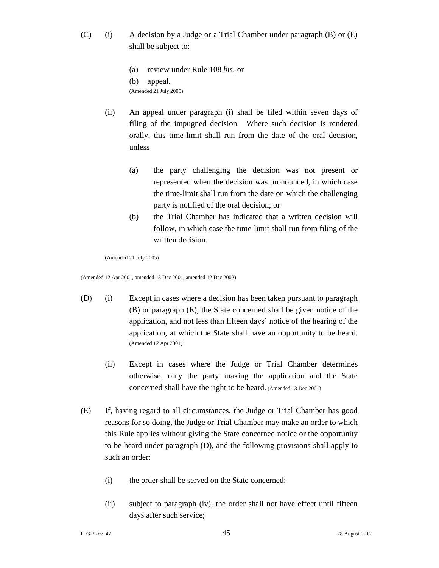- (C) (i) A decision by a Judge or a Trial Chamber under paragraph (B) or (E) shall be subject to:
	- (a) review under Rule 108 *bis*; or (b) appeal. (Amended 21 July 2005)
	- (ii) An appeal under paragraph (i) shall be filed within seven days of filing of the impugned decision. Where such decision is rendered orally, this time-limit shall run from the date of the oral decision, unless
		- (a) the party challenging the decision was not present or represented when the decision was pronounced, in which case the time-limit shall run from the date on which the challenging party is notified of the oral decision; or
		- (b) the Trial Chamber has indicated that a written decision will follow, in which case the time-limit shall run from filing of the written decision.

(Amended 21 July 2005)

(Amended 12 Apr 2001, amended 13 Dec 2001, amended 12 Dec 2002)

- (D) (i) Except in cases where a decision has been taken pursuant to paragraph (B) or paragraph (E), the State concerned shall be given notice of the application, and not less than fifteen days' notice of the hearing of the application, at which the State shall have an opportunity to be heard. (Amended 12 Apr 2001)
	- (ii) Except in cases where the Judge or Trial Chamber determines otherwise, only the party making the application and the State concerned shall have the right to be heard. (Amended 13 Dec 2001)
- (E) If, having regard to all circumstances, the Judge or Trial Chamber has good reasons for so doing, the Judge or Trial Chamber may make an order to which this Rule applies without giving the State concerned notice or the opportunity to be heard under paragraph (D), and the following provisions shall apply to such an order:
	- (i) the order shall be served on the State concerned;
	- (ii) subject to paragraph (iv), the order shall not have effect until fifteen days after such service;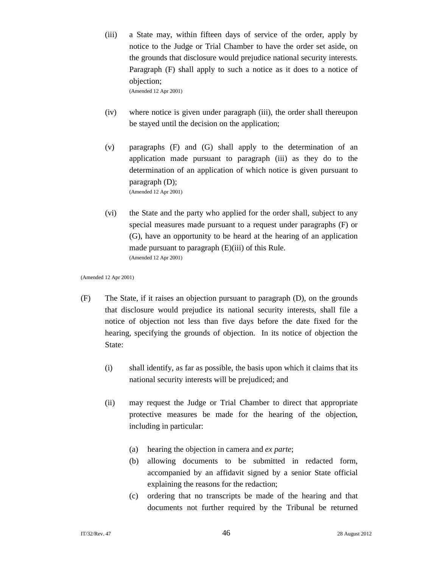- (iii) a State may, within fifteen days of service of the order, apply by notice to the Judge or Trial Chamber to have the order set aside, on the grounds that disclosure would prejudice national security interests. Paragraph (F) shall apply to such a notice as it does to a notice of objection; (Amended 12 Apr 2001)
- (iv) where notice is given under paragraph (iii), the order shall thereupon be stayed until the decision on the application;
- (v) paragraphs (F) and (G) shall apply to the determination of an application made pursuant to paragraph (iii) as they do to the determination of an application of which notice is given pursuant to paragraph (D); (Amended 12 Apr 2001)
- (vi) the State and the party who applied for the order shall, subject to any special measures made pursuant to a request under paragraphs (F) or (G), have an opportunity to be heard at the hearing of an application made pursuant to paragraph (E)(iii) of this Rule. (Amended 12 Apr 2001)

(Amended 12 Apr 2001)

- (F) The State, if it raises an objection pursuant to paragraph (D), on the grounds that disclosure would prejudice its national security interests, shall file a notice of objection not less than five days before the date fixed for the hearing, specifying the grounds of objection. In its notice of objection the State:
	- (i) shall identify, as far as possible, the basis upon which it claims that its national security interests will be prejudiced; and
	- (ii) may request the Judge or Trial Chamber to direct that appropriate protective measures be made for the hearing of the objection, including in particular:
		- (a) hearing the objection in camera and *ex parte*;
		- (b) allowing documents to be submitted in redacted form, accompanied by an affidavit signed by a senior State official explaining the reasons for the redaction;
		- (c) ordering that no transcripts be made of the hearing and that documents not further required by the Tribunal be returned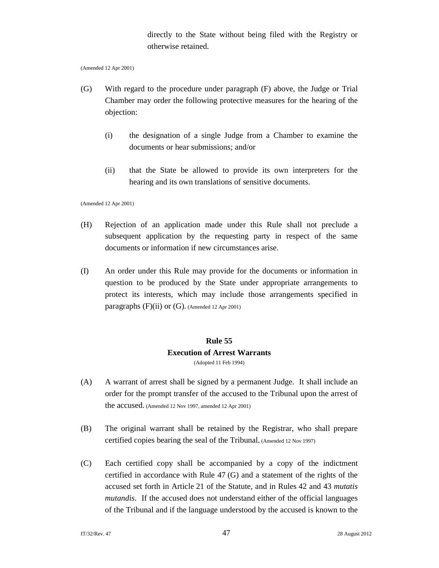directly to the State without being filed with the Registry or otherwise retained.

(Amended 12 Apr 2001)

- (G) With regard to the procedure under paragraph (F) above, the Judge or Trial Chamber may order the following protective measures for the hearing of the objection:
	- (i) the designation of a single Judge from a Chamber to examine the documents or hear submissions; and/or
	- (ii) that the State be allowed to provide its own interpreters for the hearing and its own translations of sensitive documents.

(Amended 12 Apr 2001)

- (H) Rejection of an application made under this Rule shall not preclude a subsequent application by the requesting party in respect of the same documents or information if new circumstances arise.
- (I) An order under this Rule may provide for the documents or information in question to be produced by the State under appropriate arrangements to protect its interests, which may include those arrangements specified in paragraphs  $(F)(ii)$  or  $(G)$ . (Amended 12 Apr 2001)

## **Rule 55 Execution of Arrest Warrants**  (Adopted 11 Feb 1994)

- (A) A warrant of arrest shall be signed by a permanent Judge. It shall include an order for the prompt transfer of the accused to the Tribunal upon the arrest of the accused. (Amended 12 Nov 1997, amended 12 Apr 2001)
- (B) The original warrant shall be retained by the Registrar, who shall prepare certified copies bearing the seal of the Tribunal. (Amended 12 Nov 1997)
- (C) Each certified copy shall be accompanied by a copy of the indictment certified in accordance with Rule 47 (G) and a statement of the rights of the accused set forth in Article 21 of the Statute, and in Rules 42 and 43 *mutatis mutandis*. If the accused does not understand either of the official languages of the Tribunal and if the language understood by the accused is known to the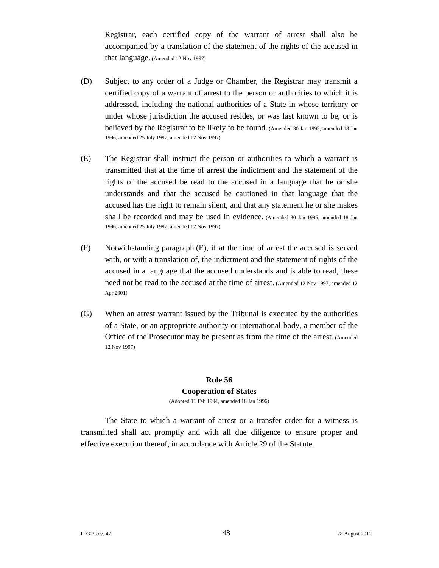Registrar, each certified copy of the warrant of arrest shall also be accompanied by a translation of the statement of the rights of the accused in that language. (Amended 12 Nov 1997)

- (D) Subject to any order of a Judge or Chamber, the Registrar may transmit a certified copy of a warrant of arrest to the person or authorities to which it is addressed, including the national authorities of a State in whose territory or under whose jurisdiction the accused resides, or was last known to be, or is believed by the Registrar to be likely to be found. (Amended 30 Jan 1995, amended 18 Jan 1996, amended 25 July 1997, amended 12 Nov 1997)
- (E) The Registrar shall instruct the person or authorities to which a warrant is transmitted that at the time of arrest the indictment and the statement of the rights of the accused be read to the accused in a language that he or she understands and that the accused be cautioned in that language that the accused has the right to remain silent, and that any statement he or she makes shall be recorded and may be used in evidence. (Amended 30 Jan 1995, amended 18 Jan 1996, amended 25 July 1997, amended 12 Nov 1997)
- (F) Notwithstanding paragraph (E), if at the time of arrest the accused is served with, or with a translation of, the indictment and the statement of rights of the accused in a language that the accused understands and is able to read, these need not be read to the accused at the time of arrest. (Amended 12 Nov 1997, amended 12 Apr 2001)
- (G) When an arrest warrant issued by the Tribunal is executed by the authorities of a State, or an appropriate authority or international body, a member of the Office of the Prosecutor may be present as from the time of the arrest. (Amended 12 Nov 1997)

#### **Rule 56**

#### **Cooperation of States**

(Adopted 11 Feb 1994, amended 18 Jan 1996)

 The State to which a warrant of arrest or a transfer order for a witness is transmitted shall act promptly and with all due diligence to ensure proper and effective execution thereof, in accordance with Article 29 of the Statute.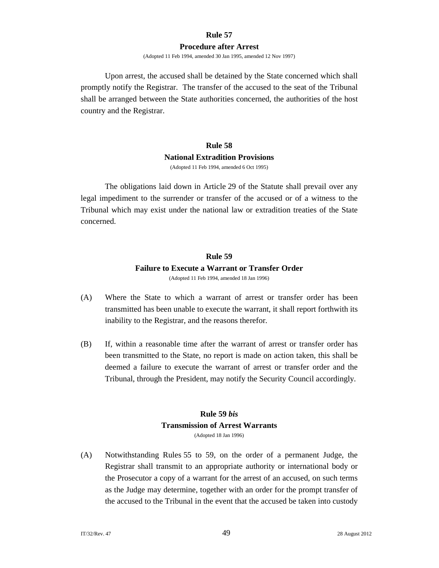#### **Procedure after Arrest**

(Adopted 11 Feb 1994, amended 30 Jan 1995, amended 12 Nov 1997)

 Upon arrest, the accused shall be detained by the State concerned which shall promptly notify the Registrar. The transfer of the accused to the seat of the Tribunal shall be arranged between the State authorities concerned, the authorities of the host country and the Registrar.

## **Rule 58 National Extradition Provisions**

(Adopted 11 Feb 1994, amended 6 Oct 1995)

 The obligations laid down in Article 29 of the Statute shall prevail over any legal impediment to the surrender or transfer of the accused or of a witness to the Tribunal which may exist under the national law or extradition treaties of the State concerned.

# **Rule 59 Failure to Execute a Warrant or Transfer Order**

(Adopted 11 Feb 1994, amended 18 Jan 1996)

- (A) Where the State to which a warrant of arrest or transfer order has been transmitted has been unable to execute the warrant, it shall report forthwith its inability to the Registrar, and the reasons therefor.
- (B) If, within a reasonable time after the warrant of arrest or transfer order has been transmitted to the State, no report is made on action taken, this shall be deemed a failure to execute the warrant of arrest or transfer order and the Tribunal, through the President, may notify the Security Council accordingly.

## **Rule 59** *bis* **Transmission of Arrest Warrants**  (Adopted 18 Jan 1996)

(A) Notwithstanding Rules 55 to 59, on the order of a permanent Judge, the Registrar shall transmit to an appropriate authority or international body or the Prosecutor a copy of a warrant for the arrest of an accused, on such terms as the Judge may determine, together with an order for the prompt transfer of the accused to the Tribunal in the event that the accused be taken into custody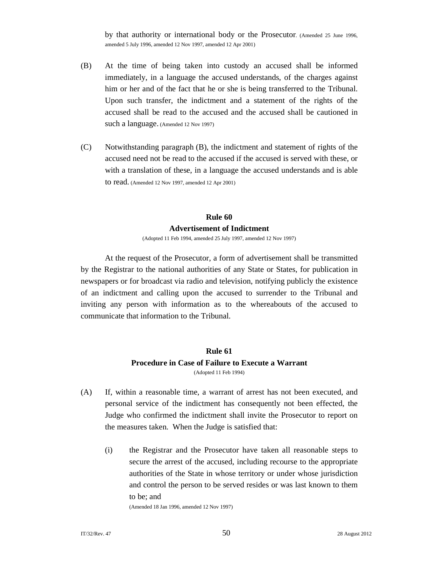by that authority or international body or the Prosecutor. (Amended 25 June 1996, amended 5 July 1996, amended 12 Nov 1997, amended 12 Apr 2001)

- (B) At the time of being taken into custody an accused shall be informed immediately, in a language the accused understands, of the charges against him or her and of the fact that he or she is being transferred to the Tribunal. Upon such transfer, the indictment and a statement of the rights of the accused shall be read to the accused and the accused shall be cautioned in such a language. (Amended 12 Nov 1997)
- (C) Notwithstanding paragraph (B), the indictment and statement of rights of the accused need not be read to the accused if the accused is served with these, or with a translation of these, in a language the accused understands and is able to read. (Amended 12 Nov 1997, amended 12 Apr 2001)

## **Rule 60 Advertisement of Indictment**

(Adopted 11 Feb 1994, amended 25 July 1997, amended 12 Nov 1997)

 At the request of the Prosecutor, a form of advertisement shall be transmitted by the Registrar to the national authorities of any State or States, for publication in newspapers or for broadcast via radio and television, notifying publicly the existence of an indictment and calling upon the accused to surrender to the Tribunal and inviting any person with information as to the whereabouts of the accused to communicate that information to the Tribunal.

## **Rule 61 Procedure in Case of Failure to Execute a Warrant**

(Adopted 11 Feb 1994)

- (A) If, within a reasonable time, a warrant of arrest has not been executed, and personal service of the indictment has consequently not been effected, the Judge who confirmed the indictment shall invite the Prosecutor to report on the measures taken. When the Judge is satisfied that:
	- (i) the Registrar and the Prosecutor have taken all reasonable steps to secure the arrest of the accused, including recourse to the appropriate authorities of the State in whose territory or under whose jurisdiction and control the person to be served resides or was last known to them to be; and

(Amended 18 Jan 1996, amended 12 Nov 1997)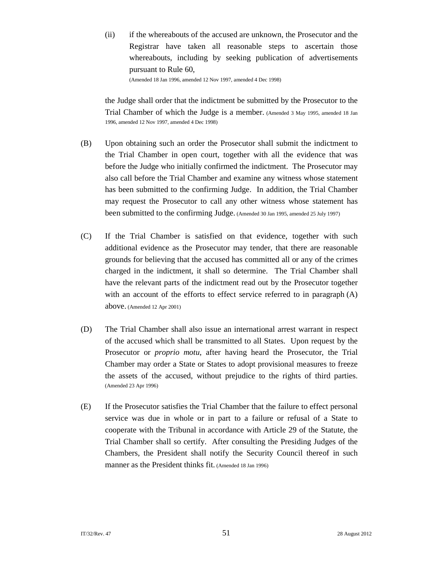(ii) if the whereabouts of the accused are unknown, the Prosecutor and the Registrar have taken all reasonable steps to ascertain those whereabouts, including by seeking publication of advertisements pursuant to Rule 60, (Amended 18 Jan 1996, amended 12 Nov 1997, amended 4 Dec 1998)

the Judge shall order that the indictment be submitted by the Prosecutor to the Trial Chamber of which the Judge is a member. (Amended 3 May 1995, amended 18 Jan 1996, amended 12 Nov 1997, amended 4 Dec 1998)

- (B) Upon obtaining such an order the Prosecutor shall submit the indictment to the Trial Chamber in open court, together with all the evidence that was before the Judge who initially confirmed the indictment. The Prosecutor may also call before the Trial Chamber and examine any witness whose statement has been submitted to the confirming Judge. In addition, the Trial Chamber may request the Prosecutor to call any other witness whose statement has been submitted to the confirming Judge. (Amended 30 Jan 1995, amended 25 July 1997)
- (C) If the Trial Chamber is satisfied on that evidence, together with such additional evidence as the Prosecutor may tender, that there are reasonable grounds for believing that the accused has committed all or any of the crimes charged in the indictment, it shall so determine. The Trial Chamber shall have the relevant parts of the indictment read out by the Prosecutor together with an account of the efforts to effect service referred to in paragraph  $(A)$ above. (Amended 12 Apr 2001)
- (D) The Trial Chamber shall also issue an international arrest warrant in respect of the accused which shall be transmitted to all States. Upon request by the Prosecutor or *proprio motu*, after having heard the Prosecutor, the Trial Chamber may order a State or States to adopt provisional measures to freeze the assets of the accused, without prejudice to the rights of third parties. (Amended 23 Apr 1996)
- (E) If the Prosecutor satisfies the Trial Chamber that the failure to effect personal service was due in whole or in part to a failure or refusal of a State to cooperate with the Tribunal in accordance with Article 29 of the Statute, the Trial Chamber shall so certify. After consulting the Presiding Judges of the Chambers, the President shall notify the Security Council thereof in such manner as the President thinks fit. (Amended 18 Jan 1996)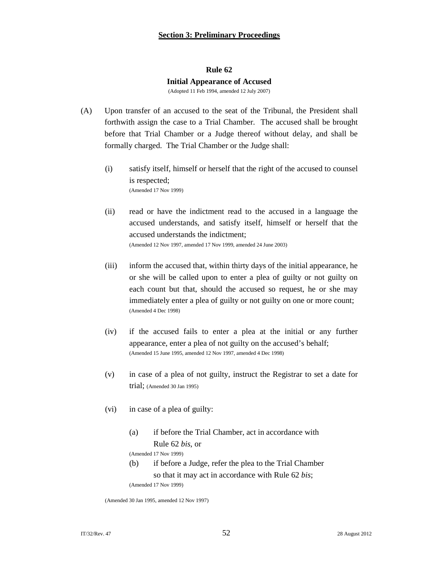## **Initial Appearance of Accused**

(Adopted 11 Feb 1994, amended 12 July 2007)

- (A) Upon transfer of an accused to the seat of the Tribunal, the President shall forthwith assign the case to a Trial Chamber. The accused shall be brought before that Trial Chamber or a Judge thereof without delay, and shall be formally charged. The Trial Chamber or the Judge shall:
	- (i) satisfy itself, himself or herself that the right of the accused to counsel is respected; (Amended 17 Nov 1999)
	- (ii) read or have the indictment read to the accused in a language the accused understands, and satisfy itself, himself or herself that the accused understands the indictment; (Amended 12 Nov 1997, amended 17 Nov 1999, amended 24 June 2003)
	- (iii) inform the accused that, within thirty days of the initial appearance, he or she will be called upon to enter a plea of guilty or not guilty on each count but that, should the accused so request, he or she may immediately enter a plea of guilty or not guilty on one or more count; (Amended 4 Dec 1998)
	- (iv) if the accused fails to enter a plea at the initial or any further appearance, enter a plea of not guilty on the accused's behalf; (Amended 15 June 1995, amended 12 Nov 1997, amended 4 Dec 1998)
	- (v) in case of a plea of not guilty, instruct the Registrar to set a date for trial; (Amended 30 Jan 1995)
	- (vi) in case of a plea of guilty:
		- (a) if before the Trial Chamber, act in accordance with Rule 62 *bis*, or

(Amended 17 Nov 1999)

(b) if before a Judge, refer the plea to the Trial Chamber so that it may act in accordance with Rule 62 *bis*; (Amended 17 Nov 1999)

(Amended 30 Jan 1995, amended 12 Nov 1997)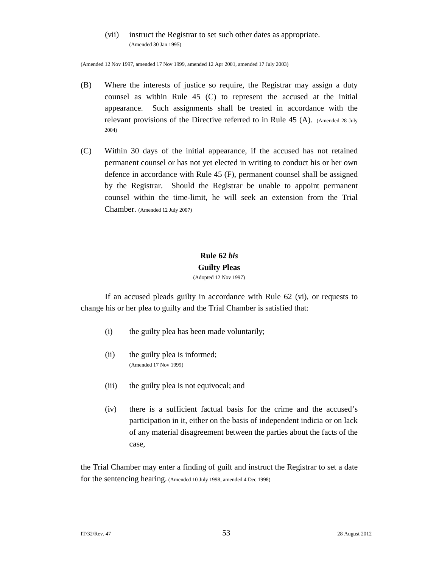### (vii) instruct the Registrar to set such other dates as appropriate. (Amended 30 Jan 1995)

(Amended 12 Nov 1997, amended 17 Nov 1999, amended 12 Apr 2001, amended 17 July 2003)

- (B) Where the interests of justice so require, the Registrar may assign a duty counsel as within Rule 45 (C) to represent the accused at the initial appearance. Such assignments shall be treated in accordance with the relevant provisions of the Directive referred to in Rule 45 (A). (Amended 28 July 2004)
- (C) Within 30 days of the initial appearance, if the accused has not retained permanent counsel or has not yet elected in writing to conduct his or her own defence in accordance with Rule 45 (F), permanent counsel shall be assigned by the Registrar. Should the Registrar be unable to appoint permanent counsel within the time-limit, he will seek an extension from the Trial Chamber. (Amended 12 July 2007)

# **Rule 62** *bis* **Guilty Pleas**

(Adopted 12 Nov 1997)

 If an accused pleads guilty in accordance with Rule 62 (vi), or requests to change his or her plea to guilty and the Trial Chamber is satisfied that:

- (i) the guilty plea has been made voluntarily;
- (ii) the guilty plea is informed; (Amended 17 Nov 1999)
- (iii) the guilty plea is not equivocal; and
- (iv) there is a sufficient factual basis for the crime and the accused's participation in it, either on the basis of independent indicia or on lack of any material disagreement between the parties about the facts of the case,

the Trial Chamber may enter a finding of guilt and instruct the Registrar to set a date for the sentencing hearing. (Amended 10 July 1998, amended 4 Dec 1998)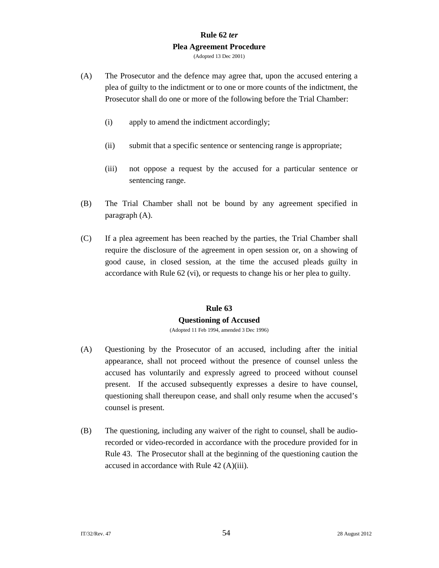# **Rule 62** *ter*  **Plea Agreement Procedure**

(Adopted 13 Dec 2001)

- (A) The Prosecutor and the defence may agree that, upon the accused entering a plea of guilty to the indictment or to one or more counts of the indictment, the Prosecutor shall do one or more of the following before the Trial Chamber:
	- (i) apply to amend the indictment accordingly;
	- (ii) submit that a specific sentence or sentencing range is appropriate;
	- (iii) not oppose a request by the accused for a particular sentence or sentencing range.
- (B) The Trial Chamber shall not be bound by any agreement specified in paragraph (A).
- (C) If a plea agreement has been reached by the parties, the Trial Chamber shall require the disclosure of the agreement in open session or, on a showing of good cause, in closed session, at the time the accused pleads guilty in accordance with Rule 62 (vi), or requests to change his or her plea to guilty.

## **Rule 63 Questioning of Accused**  (Adopted 11 Feb 1994, amended 3 Dec 1996)

- (A) Questioning by the Prosecutor of an accused, including after the initial appearance, shall not proceed without the presence of counsel unless the accused has voluntarily and expressly agreed to proceed without counsel present. If the accused subsequently expresses a desire to have counsel, questioning shall thereupon cease, and shall only resume when the accused's counsel is present.
- (B) The questioning, including any waiver of the right to counsel, shall be audiorecorded or video-recorded in accordance with the procedure provided for in Rule 43. The Prosecutor shall at the beginning of the questioning caution the accused in accordance with Rule 42 (A)(iii).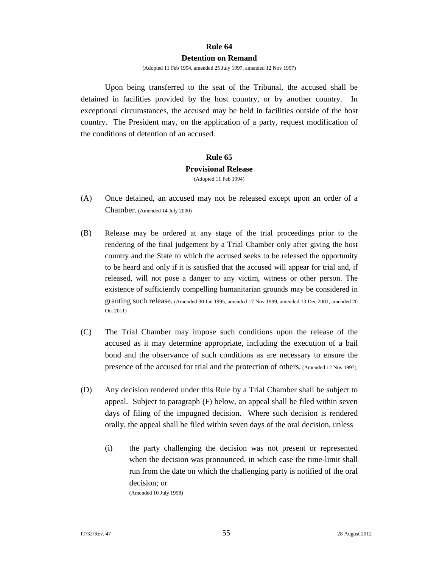#### **Detention on Remand**

(Adopted 11 Feb 1994, amended 25 July 1997, amended 12 Nov 1997)

 Upon being transferred to the seat of the Tribunal, the accused shall be detained in facilities provided by the host country, or by another country. In exceptional circumstances, the accused may be held in facilities outside of the host country. The President may, on the application of a party, request modification of the conditions of detention of an accused.

## **Rule 65 Provisional Release**

(Adopted 11 Feb 1994)

- (A) Once detained, an accused may not be released except upon an order of a Chamber. (Amended 14 July 2000)
- (B) Release may be ordered at any stage of the trial proceedings prior to the rendering of the final judgement by a Trial Chamber only after giving the host country and the State to which the accused seeks to be released the opportunity to be heard and only if it is satisfied that the accused will appear for trial and, if released, will not pose a danger to any victim, witness or other person. The existence of sufficiently compelling humanitarian grounds may be considered in granting such release. (Amended 30 Jan 1995, amended 17 Nov 1999, amended 13 Dec 2001, amended 20 Oct 2011)
- (C) The Trial Chamber may impose such conditions upon the release of the accused as it may determine appropriate, including the execution of a bail bond and the observance of such conditions as are necessary to ensure the presence of the accused for trial and the protection of others. (Amended 12 Nov 1997)
- (D) Any decision rendered under this Rule by a Trial Chamber shall be subject to appeal. Subject to paragraph (F) below, an appeal shall be filed within seven days of filing of the impugned decision. Where such decision is rendered orally, the appeal shall be filed within seven days of the oral decision, unless
	- (i) the party challenging the decision was not present or represented when the decision was pronounced, in which case the time-limit shall run from the date on which the challenging party is notified of the oral decision; or (Amended 10 July 1998)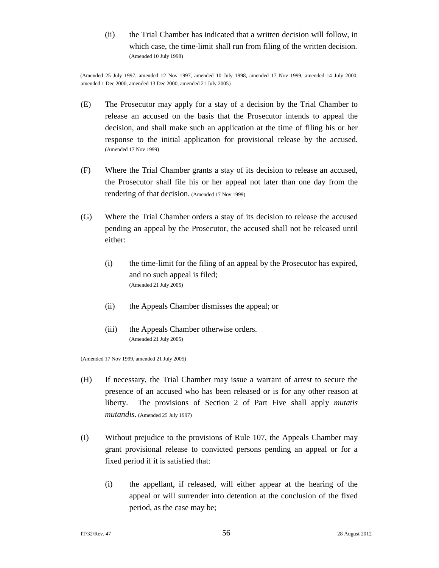(ii) the Trial Chamber has indicated that a written decision will follow, in which case, the time-limit shall run from filing of the written decision. (Amended 10 July 1998)

(Amended 25 July 1997, amended 12 Nov 1997, amended 10 July 1998, amended 17 Nov 1999, amended 14 July 2000, amended 1 Dec 2000, amended 13 Dec 2000, amended 21 July 2005)

- (E) The Prosecutor may apply for a stay of a decision by the Trial Chamber to release an accused on the basis that the Prosecutor intends to appeal the decision, and shall make such an application at the time of filing his or her response to the initial application for provisional release by the accused. (Amended 17 Nov 1999)
- (F) Where the Trial Chamber grants a stay of its decision to release an accused, the Prosecutor shall file his or her appeal not later than one day from the rendering of that decision. (Amended 17 Nov 1999)
- (G) Where the Trial Chamber orders a stay of its decision to release the accused pending an appeal by the Prosecutor, the accused shall not be released until either:
	- (i) the time-limit for the filing of an appeal by the Prosecutor has expired, and no such appeal is filed; (Amended 21 July 2005)
	- (ii) the Appeals Chamber dismisses the appeal; or
	- (iii) the Appeals Chamber otherwise orders. (Amended 21 July 2005)

(Amended 17 Nov 1999, amended 21 July 2005)

- (H) If necessary, the Trial Chamber may issue a warrant of arrest to secure the presence of an accused who has been released or is for any other reason at liberty. The provisions of Section 2 of Part Five shall apply *mutatis mutandis*. (Amended 25 July 1997)
- (I) Without prejudice to the provisions of Rule 107, the Appeals Chamber may grant provisional release to convicted persons pending an appeal or for a fixed period if it is satisfied that:
	- (i) the appellant, if released, will either appear at the hearing of the appeal or will surrender into detention at the conclusion of the fixed period, as the case may be;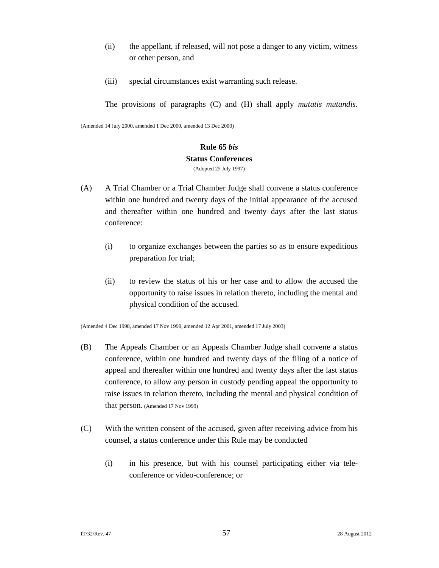- (ii) the appellant, if released, will not pose a danger to any victim, witness or other person, and
- (iii) special circumstances exist warranting such release.

The provisions of paragraphs (C) and (H) shall apply *mutatis mutandis*.

(Amended 14 July 2000, amended 1 Dec 2000, amended 13 Dec 2000)

# **Rule 65** *bis* **Status Conferences**

(Adopted 25 July 1997)

- (A) A Trial Chamber or a Trial Chamber Judge shall convene a status conference within one hundred and twenty days of the initial appearance of the accused and thereafter within one hundred and twenty days after the last status conference:
	- (i) to organize exchanges between the parties so as to ensure expeditious preparation for trial;
	- (ii) to review the status of his or her case and to allow the accused the opportunity to raise issues in relation thereto, including the mental and physical condition of the accused.

(Amended 4 Dec 1998, amended 17 Nov 1999, amended 12 Apr 2001, amended 17 July 2003)

- (B) The Appeals Chamber or an Appeals Chamber Judge shall convene a status conference, within one hundred and twenty days of the filing of a notice of appeal and thereafter within one hundred and twenty days after the last status conference, to allow any person in custody pending appeal the opportunity to raise issues in relation thereto, including the mental and physical condition of that person. (Amended 17 Nov 1999)
- (C) With the written consent of the accused, given after receiving advice from his counsel, a status conference under this Rule may be conducted
	- (i) in his presence, but with his counsel participating either via teleconference or video-conference; or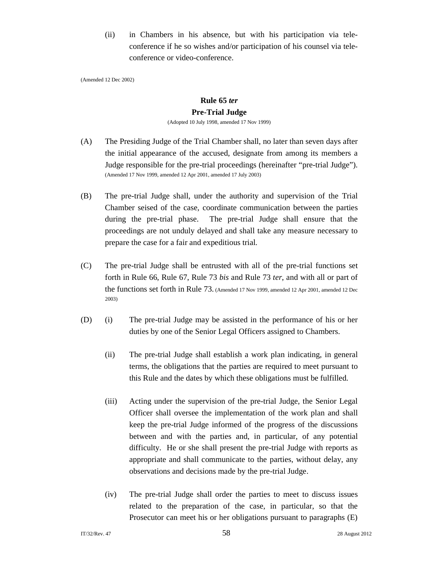(ii) in Chambers in his absence, but with his participation via teleconference if he so wishes and/or participation of his counsel via teleconference or video-conference.

(Amended 12 Dec 2002)

## **Rule 65** *ter*  **Pre-Trial Judge**

(Adopted 10 July 1998, amended 17 Nov 1999)

- (A) The Presiding Judge of the Trial Chamber shall, no later than seven days after the initial appearance of the accused, designate from among its members a Judge responsible for the pre-trial proceedings (hereinafter "pre-trial Judge"). (Amended 17 Nov 1999, amended 12 Apr 2001, amended 17 July 2003)
- (B) The pre-trial Judge shall, under the authority and supervision of the Trial Chamber seised of the case, coordinate communication between the parties during the pre-trial phase. The pre-trial Judge shall ensure that the proceedings are not unduly delayed and shall take any measure necessary to prepare the case for a fair and expeditious trial.
- (C) The pre-trial Judge shall be entrusted with all of the pre-trial functions set forth in Rule 66, Rule 67, Rule 73 *bis* and Rule 73 *ter*, and with all or part of the functions set forth in Rule 73. (Amended 17 Nov 1999, amended 12 Apr 2001, amended 12 Dec 2003)
- (D) (i) The pre-trial Judge may be assisted in the performance of his or her duties by one of the Senior Legal Officers assigned to Chambers.
	- (ii) The pre-trial Judge shall establish a work plan indicating, in general terms, the obligations that the parties are required to meet pursuant to this Rule and the dates by which these obligations must be fulfilled.
	- (iii) Acting under the supervision of the pre-trial Judge, the Senior Legal Officer shall oversee the implementation of the work plan and shall keep the pre-trial Judge informed of the progress of the discussions between and with the parties and, in particular, of any potential difficulty. He or she shall present the pre-trial Judge with reports as appropriate and shall communicate to the parties, without delay, any observations and decisions made by the pre-trial Judge.
	- (iv) The pre-trial Judge shall order the parties to meet to discuss issues related to the preparation of the case, in particular, so that the Prosecutor can meet his or her obligations pursuant to paragraphs (E)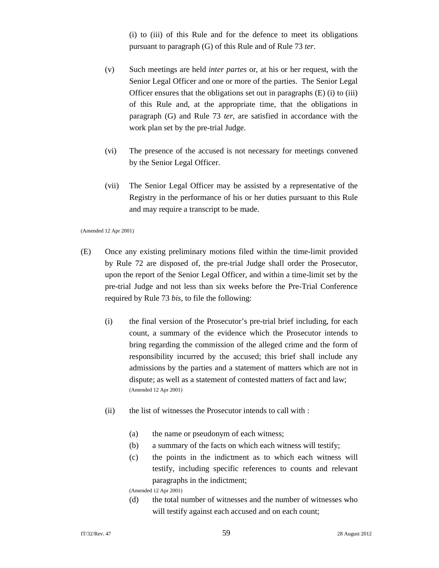(i) to (iii) of this Rule and for the defence to meet its obligations pursuant to paragraph (G) of this Rule and of Rule 73 *ter*.

- (v) Such meetings are held *inter partes* or, at his or her request, with the Senior Legal Officer and one or more of the parties. The Senior Legal Officer ensures that the obligations set out in paragraphs (E) (i) to (iii) of this Rule and, at the appropriate time, that the obligations in paragraph (G) and Rule 73 *ter*, are satisfied in accordance with the work plan set by the pre-trial Judge.
- (vi) The presence of the accused is not necessary for meetings convened by the Senior Legal Officer.
- (vii) The Senior Legal Officer may be assisted by a representative of the Registry in the performance of his or her duties pursuant to this Rule and may require a transcript to be made.

(Amended 12 Apr 2001)

- (E) Once any existing preliminary motions filed within the time-limit provided by Rule 72 are disposed of, the pre-trial Judge shall order the Prosecutor, upon the report of the Senior Legal Officer, and within a time-limit set by the pre-trial Judge and not less than six weeks before the Pre-Trial Conference required by Rule 73 *bis*, to file the following:
	- (i) the final version of the Prosecutor's pre-trial brief including, for each count, a summary of the evidence which the Prosecutor intends to bring regarding the commission of the alleged crime and the form of responsibility incurred by the accused; this brief shall include any admissions by the parties and a statement of matters which are not in dispute; as well as a statement of contested matters of fact and law; (Amended 12 Apr 2001)
	- (ii) the list of witnesses the Prosecutor intends to call with :
		- (a) the name or pseudonym of each witness;
		- (b) a summary of the facts on which each witness will testify;
		- (c) the points in the indictment as to which each witness will testify, including specific references to counts and relevant paragraphs in the indictment;

(Amended 12 Apr 2001)

(d) the total number of witnesses and the number of witnesses who will testify against each accused and on each count;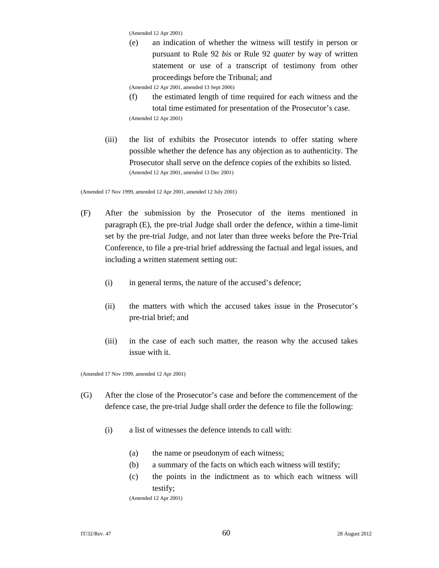(Amended 12 Apr 2001)

(e) an indication of whether the witness will testify in person or pursuant to Rule 92 *bis* or Rule 92 *quater* by way of written statement or use of a transcript of testimony from other proceedings before the Tribunal; and

(Amended 12 Apr 2001, amended 13 Sept 2006)

- (f) the estimated length of time required for each witness and the total time estimated for presentation of the Prosecutor's case. (Amended 12 Apr 2001)
- (iii) the list of exhibits the Prosecutor intends to offer stating where possible whether the defence has any objection as to authenticity. The Prosecutor shall serve on the defence copies of the exhibits so listed. (Amended 12 Apr 2001, amended 13 Dec 2001)

(Amended 17 Nov 1999, amended 12 Apr 2001, amended 12 July 2001)

- (F) After the submission by the Prosecutor of the items mentioned in paragraph (E), the pre-trial Judge shall order the defence, within a time-limit set by the pre-trial Judge, and not later than three weeks before the Pre-Trial Conference, to file a pre-trial brief addressing the factual and legal issues, and including a written statement setting out:
	- (i) in general terms, the nature of the accused's defence;
	- (ii) the matters with which the accused takes issue in the Prosecutor's pre-trial brief; and
	- (iii) in the case of each such matter, the reason why the accused takes issue with it.

(Amended 17 Nov 1999, amended 12 Apr 2001)

- (G) After the close of the Prosecutor's case and before the commencement of the defence case, the pre-trial Judge shall order the defence to file the following:
	- (i) a list of witnesses the defence intends to call with:
		- (a) the name or pseudonym of each witness;
		- (b) a summary of the facts on which each witness will testify;
		- (c) the points in the indictment as to which each witness will testify;

(Amended 12 Apr 2001)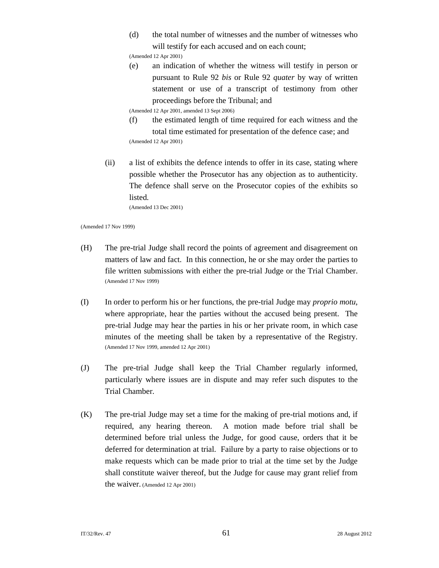- (d) the total number of witnesses and the number of witnesses who will testify for each accused and on each count;
- (Amended 12 Apr 2001)
- (e) an indication of whether the witness will testify in person or pursuant to Rule 92 *bis* or Rule 92 *quater* by way of written statement or use of a transcript of testimony from other proceedings before the Tribunal; and

(Amended 12 Apr 2001, amended 13 Sept 2006)

- (f) the estimated length of time required for each witness and the total time estimated for presentation of the defence case; and (Amended 12 Apr 2001)
- (ii) a list of exhibits the defence intends to offer in its case, stating where possible whether the Prosecutor has any objection as to authenticity. The defence shall serve on the Prosecutor copies of the exhibits so listed. (Amended 13 Dec 2001)

(Amended 17 Nov 1999)

- (H) The pre-trial Judge shall record the points of agreement and disagreement on matters of law and fact. In this connection, he or she may order the parties to file written submissions with either the pre-trial Judge or the Trial Chamber. (Amended 17 Nov 1999)
- (I) In order to perform his or her functions, the pre-trial Judge may *proprio motu*, where appropriate, hear the parties without the accused being present. The pre-trial Judge may hear the parties in his or her private room, in which case minutes of the meeting shall be taken by a representative of the Registry. (Amended 17 Nov 1999, amended 12 Apr 2001)
- (J) The pre-trial Judge shall keep the Trial Chamber regularly informed, particularly where issues are in dispute and may refer such disputes to the Trial Chamber.
- (K) The pre-trial Judge may set a time for the making of pre-trial motions and, if required, any hearing thereon. A motion made before trial shall be determined before trial unless the Judge, for good cause, orders that it be deferred for determination at trial. Failure by a party to raise objections or to make requests which can be made prior to trial at the time set by the Judge shall constitute waiver thereof, but the Judge for cause may grant relief from the waiver. (Amended 12 Apr 2001)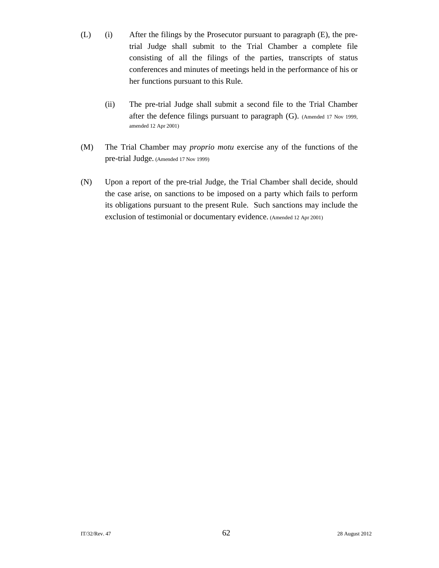- (L) (i) After the filings by the Prosecutor pursuant to paragraph (E), the pretrial Judge shall submit to the Trial Chamber a complete file consisting of all the filings of the parties, transcripts of status conferences and minutes of meetings held in the performance of his or her functions pursuant to this Rule.
	- (ii) The pre-trial Judge shall submit a second file to the Trial Chamber after the defence filings pursuant to paragraph (G). (Amended 17 Nov 1999, amended 12 Apr 2001)
- (M) The Trial Chamber may *proprio motu* exercise any of the functions of the pre-trial Judge. (Amended 17 Nov 1999)
- (N) Upon a report of the pre-trial Judge, the Trial Chamber shall decide, should the case arise, on sanctions to be imposed on a party which fails to perform its obligations pursuant to the present Rule. Such sanctions may include the exclusion of testimonial or documentary evidence. (Amended 12 Apr 2001)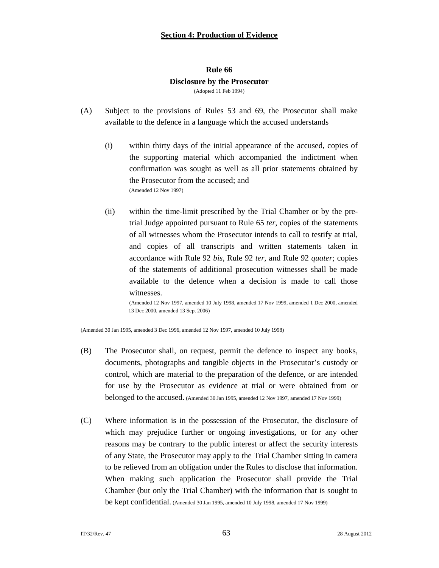## **Rule 66 Disclosure by the Prosecutor**  (Adopted 11 Feb 1994)

- (A) Subject to the provisions of Rules 53 and 69, the Prosecutor shall make available to the defence in a language which the accused understands
	- (i) within thirty days of the initial appearance of the accused, copies of the supporting material which accompanied the indictment when confirmation was sought as well as all prior statements obtained by the Prosecutor from the accused; and (Amended 12 Nov 1997)
	- (ii) within the time-limit prescribed by the Trial Chamber or by the pretrial Judge appointed pursuant to Rule 65 *ter*, copies of the statements of all witnesses whom the Prosecutor intends to call to testify at trial, and copies of all transcripts and written statements taken in accordance with Rule 92 *bis*, Rule 92 *ter*, and Rule 92 *quater*; copies of the statements of additional prosecution witnesses shall be made available to the defence when a decision is made to call those witnesses.

(Amended 12 Nov 1997, amended 10 July 1998, amended 17 Nov 1999, amended 1 Dec 2000, amended 13 Dec 2000, amended 13 Sept 2006)

(Amended 30 Jan 1995, amended 3 Dec 1996, amended 12 Nov 1997, amended 10 July 1998)

- (B) The Prosecutor shall, on request, permit the defence to inspect any books, documents, photographs and tangible objects in the Prosecutor's custody or control, which are material to the preparation of the defence, or are intended for use by the Prosecutor as evidence at trial or were obtained from or belonged to the accused. (Amended 30 Jan 1995, amended 12 Nov 1997, amended 17 Nov 1999)
- (C) Where information is in the possession of the Prosecutor, the disclosure of which may prejudice further or ongoing investigations, or for any other reasons may be contrary to the public interest or affect the security interests of any State, the Prosecutor may apply to the Trial Chamber sitting in camera to be relieved from an obligation under the Rules to disclose that information. When making such application the Prosecutor shall provide the Trial Chamber (but only the Trial Chamber) with the information that is sought to be kept confidential. (Amended 30 Jan 1995, amended 10 July 1998, amended 17 Nov 1999)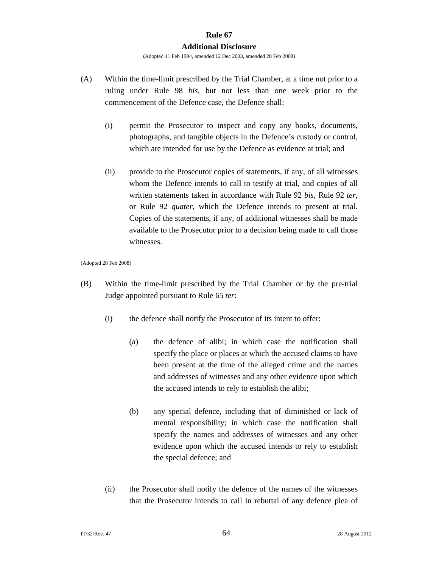#### **Rule 67**

#### **Additional Disclosure**

(Adopted 11 Feb 1994, amended 12 Dec 2003, amended 28 Feb 2008)

- (A) Within the time-limit prescribed by the Trial Chamber, at a time not prior to a ruling under Rule 98 *bis*, but not less than one week prior to the commencement of the Defence case, the Defence shall:
	- (i) permit the Prosecutor to inspect and copy any books, documents, photographs, and tangible objects in the Defence's custody or control, which are intended for use by the Defence as evidence at trial; and
	- (ii) provide to the Prosecutor copies of statements, if any, of all witnesses whom the Defence intends to call to testify at trial, and copies of all written statements taken in accordance with Rule 92 *bis*, Rule 92 *ter*, or Rule 92 *quater*, which the Defence intends to present at trial. Copies of the statements, if any, of additional witnesses shall be made available to the Prosecutor prior to a decision being made to call those witnesses.

(Adopted 28 Feb 2008)

- (B) Within the time-limit prescribed by the Trial Chamber or by the pre-trial Judge appointed pursuant to Rule 65 *ter*:
	- (i) the defence shall notify the Prosecutor of its intent to offer:
		- (a) the defence of alibi; in which case the notification shall specify the place or places at which the accused claims to have been present at the time of the alleged crime and the names and addresses of witnesses and any other evidence upon which the accused intends to rely to establish the alibi;
		- (b) any special defence, including that of diminished or lack of mental responsibility; in which case the notification shall specify the names and addresses of witnesses and any other evidence upon which the accused intends to rely to establish the special defence; and
	- (ii) the Prosecutor shall notify the defence of the names of the witnesses that the Prosecutor intends to call in rebuttal of any defence plea of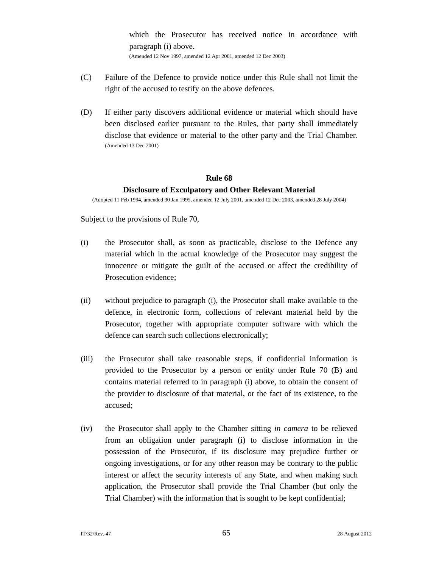which the Prosecutor has received notice in accordance with paragraph (i) above. (Amended 12 Nov 1997, amended 12 Apr 2001, amended 12 Dec 2003)

- (C) Failure of the Defence to provide notice under this Rule shall not limit the right of the accused to testify on the above defences.
- (D) If either party discovers additional evidence or material which should have been disclosed earlier pursuant to the Rules, that party shall immediately disclose that evidence or material to the other party and the Trial Chamber. (Amended 13 Dec 2001)

#### **Rule 68**

#### **Disclosure of Exculpatory and Other Relevant Material**

(Adopted 11 Feb 1994, amended 30 Jan 1995, amended 12 July 2001, amended 12 Dec 2003, amended 28 July 2004)

Subject to the provisions of Rule 70,

- (i) the Prosecutor shall, as soon as practicable, disclose to the Defence any material which in the actual knowledge of the Prosecutor may suggest the innocence or mitigate the guilt of the accused or affect the credibility of Prosecution evidence;
- (ii) without prejudice to paragraph (i), the Prosecutor shall make available to the defence, in electronic form, collections of relevant material held by the Prosecutor, together with appropriate computer software with which the defence can search such collections electronically;
- (iii) the Prosecutor shall take reasonable steps, if confidential information is provided to the Prosecutor by a person or entity under Rule 70 (B) and contains material referred to in paragraph (i) above, to obtain the consent of the provider to disclosure of that material, or the fact of its existence, to the accused;
- (iv) the Prosecutor shall apply to the Chamber sitting *in camera* to be relieved from an obligation under paragraph (i) to disclose information in the possession of the Prosecutor, if its disclosure may prejudice further or ongoing investigations, or for any other reason may be contrary to the public interest or affect the security interests of any State, and when making such application, the Prosecutor shall provide the Trial Chamber (but only the Trial Chamber) with the information that is sought to be kept confidential;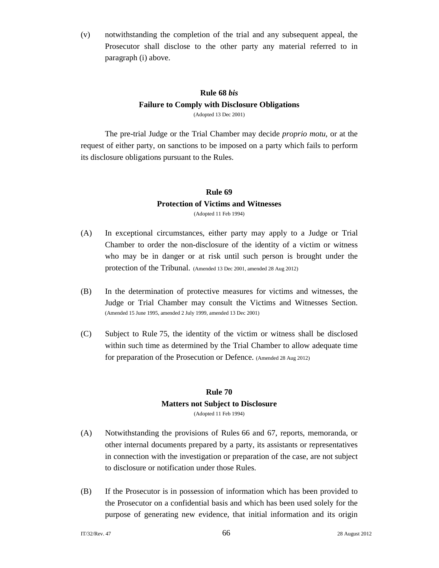(v) notwithstanding the completion of the trial and any subsequent appeal, the Prosecutor shall disclose to the other party any material referred to in paragraph (i) above.

## **Rule 68** *bis* **Failure to Comply with Disclosure Obligations**  (Adopted 13 Dec 2001)

 The pre-trial Judge or the Trial Chamber may decide *proprio motu*, or at the request of either party, on sanctions to be imposed on a party which fails to perform its disclosure obligations pursuant to the Rules.

#### **Rule 69**

## **Protection of Victims and Witnesses**

(Adopted 11 Feb 1994)

- (A) In exceptional circumstances, either party may apply to a Judge or Trial Chamber to order the non-disclosure of the identity of a victim or witness who may be in danger or at risk until such person is brought under the protection of the Tribunal. (Amended 13 Dec 2001, amended 28 Aug 2012)
- (B) In the determination of protective measures for victims and witnesses, the Judge or Trial Chamber may consult the Victims and Witnesses Section. (Amended 15 June 1995, amended 2 July 1999, amended 13 Dec 2001)
- (C) Subject to Rule 75, the identity of the victim or witness shall be disclosed within such time as determined by the Trial Chamber to allow adequate time for preparation of the Prosecution or Defence. (Amended 28 Aug 2012)

# **Rule 70 Matters not Subject to Disclosure**

(Adopted 11 Feb 1994)

- (A) Notwithstanding the provisions of Rules 66 and 67, reports, memoranda, or other internal documents prepared by a party, its assistants or representatives in connection with the investigation or preparation of the case, are not subject to disclosure or notification under those Rules.
- (B) If the Prosecutor is in possession of information which has been provided to the Prosecutor on a confidential basis and which has been used solely for the purpose of generating new evidence, that initial information and its origin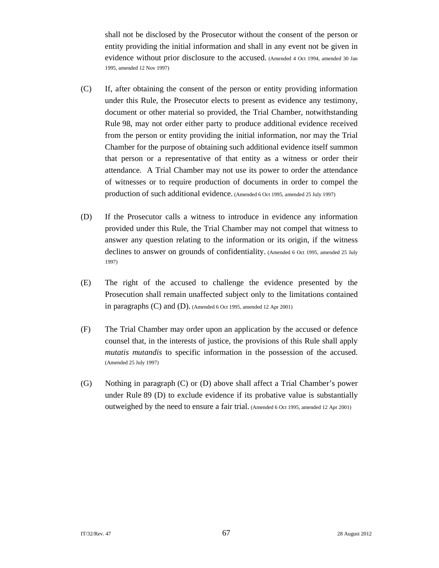shall not be disclosed by the Prosecutor without the consent of the person or entity providing the initial information and shall in any event not be given in evidence without prior disclosure to the accused. (Amended 4 Oct 1994, amended 30 Jan 1995, amended 12 Nov 1997)

- (C) If, after obtaining the consent of the person or entity providing information under this Rule, the Prosecutor elects to present as evidence any testimony, document or other material so provided, the Trial Chamber, notwithstanding Rule 98, may not order either party to produce additional evidence received from the person or entity providing the initial information, nor may the Trial Chamber for the purpose of obtaining such additional evidence itself summon that person or a representative of that entity as a witness or order their attendance. A Trial Chamber may not use its power to order the attendance of witnesses or to require production of documents in order to compel the production of such additional evidence. (Amended 6 Oct 1995, amended 25 July 1997)
- (D) If the Prosecutor calls a witness to introduce in evidence any information provided under this Rule, the Trial Chamber may not compel that witness to answer any question relating to the information or its origin, if the witness declines to answer on grounds of confidentiality. (Amended 6 Oct 1995, amended 25 July 1997)
- (E) The right of the accused to challenge the evidence presented by the Prosecution shall remain unaffected subject only to the limitations contained in paragraphs  $(C)$  and  $(D)$ . (Amended 6 Oct 1995, amended 12 Apr 2001)
- (F) The Trial Chamber may order upon an application by the accused or defence counsel that, in the interests of justice, the provisions of this Rule shall apply *mutatis mutandis* to specific information in the possession of the accused. (Amended 25 July 1997)
- (G) Nothing in paragraph (C) or (D) above shall affect a Trial Chamber's power under Rule 89 (D) to exclude evidence if its probative value is substantially outweighed by the need to ensure a fair trial. (Amended 6 Oct 1995, amended 12 Apr 2001)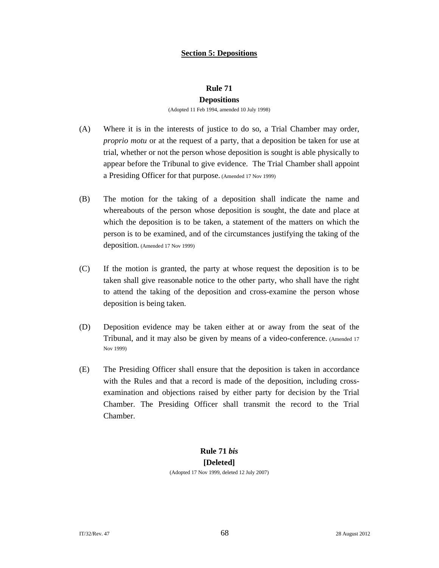## **Section 5: Depositions**

#### **Rule 71**

#### **Depositions**

(Adopted 11 Feb 1994, amended 10 July 1998)

- (A) Where it is in the interests of justice to do so, a Trial Chamber may order, *proprio motu* or at the request of a party, that a deposition be taken for use at trial, whether or not the person whose deposition is sought is able physically to appear before the Tribunal to give evidence. The Trial Chamber shall appoint a Presiding Officer for that purpose. (Amended 17 Nov 1999)
- (B) The motion for the taking of a deposition shall indicate the name and whereabouts of the person whose deposition is sought, the date and place at which the deposition is to be taken, a statement of the matters on which the person is to be examined, and of the circumstances justifying the taking of the deposition. (Amended 17 Nov 1999)
- (C) If the motion is granted, the party at whose request the deposition is to be taken shall give reasonable notice to the other party, who shall have the right to attend the taking of the deposition and cross-examine the person whose deposition is being taken.
- (D) Deposition evidence may be taken either at or away from the seat of the Tribunal, and it may also be given by means of a video-conference. (Amended 17 Nov 1999)
- (E) The Presiding Officer shall ensure that the deposition is taken in accordance with the Rules and that a record is made of the deposition, including crossexamination and objections raised by either party for decision by the Trial Chamber. The Presiding Officer shall transmit the record to the Trial Chamber.

**Rule 71** *bis* **[Deleted]**  (Adopted 17 Nov 1999, deleted 12 July 2007)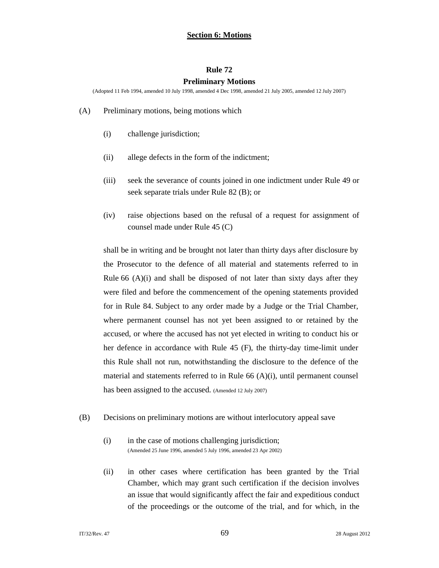## **Rule 72**

### **Preliminary Motions**

(Adopted 11 Feb 1994, amended 10 July 1998, amended 4 Dec 1998, amended 21 July 2005, amended 12 July 2007)

- (A) Preliminary motions, being motions which
	- (i) challenge jurisdiction;
	- (ii) allege defects in the form of the indictment;
	- (iii) seek the severance of counts joined in one indictment under Rule 49 or seek separate trials under Rule 82 (B); or
	- (iv) raise objections based on the refusal of a request for assignment of counsel made under Rule 45 (C)

shall be in writing and be brought not later than thirty days after disclosure by the Prosecutor to the defence of all material and statements referred to in Rule 66  $(A)(i)$  and shall be disposed of not later than sixty days after they were filed and before the commencement of the opening statements provided for in Rule 84. Subject to any order made by a Judge or the Trial Chamber, where permanent counsel has not yet been assigned to or retained by the accused, or where the accused has not yet elected in writing to conduct his or her defence in accordance with Rule 45 (F), the thirty-day time-limit under this Rule shall not run, notwithstanding the disclosure to the defence of the material and statements referred to in Rule 66 (A)(i), until permanent counsel has been assigned to the accused. (Amended 12 July 2007)

- (B) Decisions on preliminary motions are without interlocutory appeal save
	- (i) in the case of motions challenging jurisdiction; (Amended 25 June 1996, amended 5 July 1996, amended 23 Apr 2002)
	- (ii) in other cases where certification has been granted by the Trial Chamber, which may grant such certification if the decision involves an issue that would significantly affect the fair and expeditious conduct of the proceedings or the outcome of the trial, and for which, in the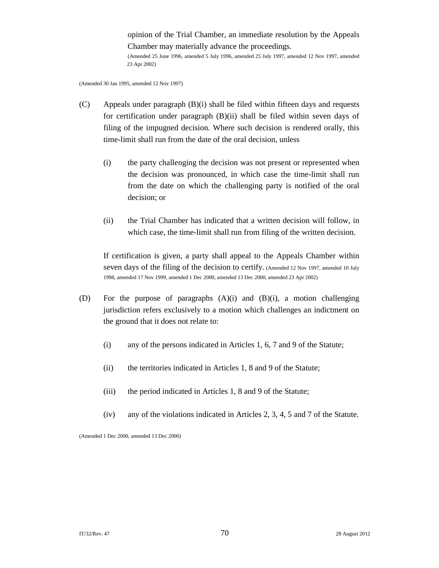opinion of the Trial Chamber, an immediate resolution by the Appeals Chamber may materially advance the proceedings. (Amended 25 June 1996, amended 5 July 1996, amended 25 July 1997, amended 12 Nov 1997, amended 23 Apr 2002)

(Amended 30 Jan 1995, amended 12 Nov 1997)

- (C) Appeals under paragraph (B)(i) shall be filed within fifteen days and requests for certification under paragraph (B)(ii) shall be filed within seven days of filing of the impugned decision. Where such decision is rendered orally, this time-limit shall run from the date of the oral decision, unless
	- (i) the party challenging the decision was not present or represented when the decision was pronounced, in which case the time-limit shall run from the date on which the challenging party is notified of the oral decision; or
	- (ii) the Trial Chamber has indicated that a written decision will follow, in which case, the time-limit shall run from filing of the written decision.

If certification is given, a party shall appeal to the Appeals Chamber within seven days of the filing of the decision to certify. (Amended 12 Nov 1997, amended 10 July 1998, amended 17 Nov 1999, amended 1 Dec 2000, amended 13 Dec 2000, amended 23 Apr 2002)

- (D) For the purpose of paragraphs (A)(i) and (B)(i), a motion challenging jurisdiction refers exclusively to a motion which challenges an indictment on the ground that it does not relate to:
	- (i) any of the persons indicated in Articles 1, 6, 7 and 9 of the Statute;
	- (ii) the territories indicated in Articles 1, 8 and 9 of the Statute;
	- (iii) the period indicated in Articles 1, 8 and 9 of the Statute;
	- (iv) any of the violations indicated in Articles 2, 3, 4, 5 and 7 of the Statute.

(Amended 1 Dec 2000, amended 13 Dec 2000)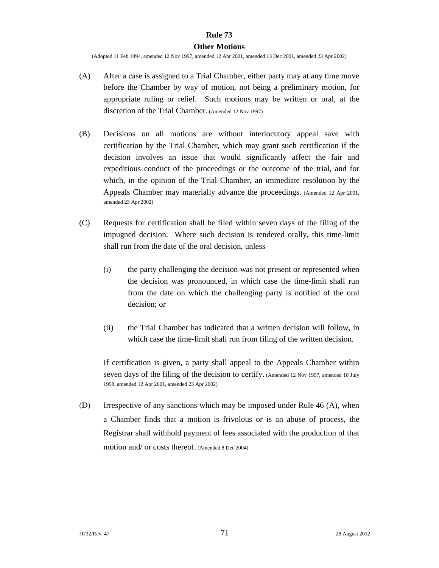#### **Rule 73**

#### **Other Motions**

(Adopted 11 Feb 1994, amended 12 Nov 1997, amended 12 Apr 2001, amended 13 Dec 2001, amended 23 Apr 2002)

- (A) After a case is assigned to a Trial Chamber, either party may at any time move before the Chamber by way of motion, not being a preliminary motion, for appropriate ruling or relief. Such motions may be written or oral, at the discretion of the Trial Chamber. (Amended 12 Nov 1997)
- (B) Decisions on all motions are without interlocutory appeal save with certification by the Trial Chamber, which may grant such certification if the decision involves an issue that would significantly affect the fair and expeditious conduct of the proceedings or the outcome of the trial, and for which, in the opinion of the Trial Chamber, an immediate resolution by the Appeals Chamber may materially advance the proceedings. (Amended 12 Apr 2001, amended 23 Apr 2002)
- (C) Requests for certification shall be filed within seven days of the filing of the impugned decision. Where such decision is rendered orally, this time-limit shall run from the date of the oral decision, unless
	- (i) the party challenging the decision was not present or represented when the decision was pronounced, in which case the time-limit shall run from the date on which the challenging party is notified of the oral decision; or
	- (ii) the Trial Chamber has indicated that a written decision will follow, in which case the time-limit shall run from filing of the written decision.

If certification is given, a party shall appeal to the Appeals Chamber within seven days of the filing of the decision to certify. (Amended 12 Nov 1997, amended 10 July 1998, amended 12 Apr 2001, amended 23 Apr 2002)

(D) Irrespective of any sanctions which may be imposed under Rule 46 (A), when a Chamber finds that a motion is frivolous or is an abuse of process, the Registrar shall withhold payment of fees associated with the production of that motion and/ or costs thereof. (Amended 8 Dec 2004)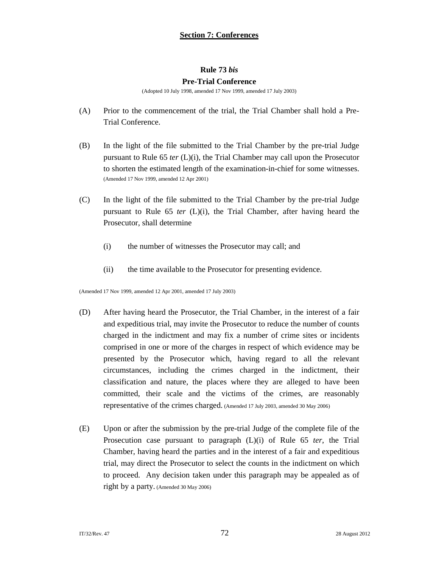### **Rule 73** *bis* **Pre-Trial Conference**

(Adopted 10 July 1998, amended 17 Nov 1999, amended 17 July 2003)

- (A) Prior to the commencement of the trial, the Trial Chamber shall hold a Pre-Trial Conference.
- (B) In the light of the file submitted to the Trial Chamber by the pre-trial Judge pursuant to Rule 65 *ter* (L)(i), the Trial Chamber may call upon the Prosecutor to shorten the estimated length of the examination-in-chief for some witnesses. (Amended 17 Nov 1999, amended 12 Apr 2001)
- (C) In the light of the file submitted to the Trial Chamber by the pre-trial Judge pursuant to Rule 65 *ter* (L)(i), the Trial Chamber, after having heard the Prosecutor, shall determine
	- (i) the number of witnesses the Prosecutor may call; and
	- (ii) the time available to the Prosecutor for presenting evidence.

(Amended 17 Nov 1999, amended 12 Apr 2001, amended 17 July 2003)

- (D) After having heard the Prosecutor, the Trial Chamber, in the interest of a fair and expeditious trial, may invite the Prosecutor to reduce the number of counts charged in the indictment and may fix a number of crime sites or incidents comprised in one or more of the charges in respect of which evidence may be presented by the Prosecutor which, having regard to all the relevant circumstances, including the crimes charged in the indictment, their classification and nature, the places where they are alleged to have been committed, their scale and the victims of the crimes, are reasonably representative of the crimes charged. (Amended 17 July 2003, amended 30 May 2006)
- (E) Upon or after the submission by the pre-trial Judge of the complete file of the Prosecution case pursuant to paragraph (L)(i) of Rule 65 *ter*, the Trial Chamber, having heard the parties and in the interest of a fair and expeditious trial, may direct the Prosecutor to select the counts in the indictment on which to proceed. Any decision taken under this paragraph may be appealed as of right by a party. (Amended 30 May 2006)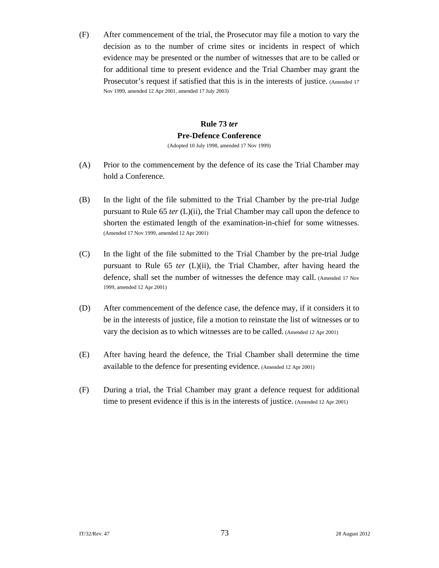(F) After commencement of the trial, the Prosecutor may file a motion to vary the decision as to the number of crime sites or incidents in respect of which evidence may be presented or the number of witnesses that are to be called or for additional time to present evidence and the Trial Chamber may grant the Prosecutor's request if satisfied that this is in the interests of justice. (Amended 17) Nov 1999, amended 12 Apr 2001, amended 17 July 2003)

# **Rule 73** *ter*  **Pre-Defence Conference**

(Adopted 10 July 1998, amended 17 Nov 1999)

- (A) Prior to the commencement by the defence of its case the Trial Chamber may hold a Conference.
- (B) In the light of the file submitted to the Trial Chamber by the pre-trial Judge pursuant to Rule 65 *ter* (L)(ii), the Trial Chamber may call upon the defence to shorten the estimated length of the examination-in-chief for some witnesses. (Amended 17 Nov 1999, amended 12 Apr 2001)
- (C) In the light of the file submitted to the Trial Chamber by the pre-trial Judge pursuant to Rule 65 *ter* (L)(ii), the Trial Chamber, after having heard the defence, shall set the number of witnesses the defence may call. (Amended 17 Nov 1999, amended 12 Apr 2001)
- (D) After commencement of the defence case, the defence may, if it considers it to be in the interests of justice, file a motion to reinstate the list of witnesses or to vary the decision as to which witnesses are to be called. (Amended 12 Apr 2001)
- (E) After having heard the defence, the Trial Chamber shall determine the time available to the defence for presenting evidence. (Amended 12 Apr 2001)
- (F) During a trial, the Trial Chamber may grant a defence request for additional time to present evidence if this is in the interests of justice. (Amended 12 Apr 2001)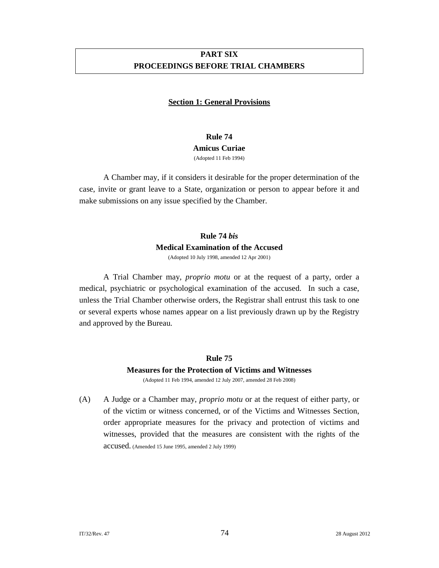## **PART SIX PROCEEDINGS BEFORE TRIAL CHAMBERS**

#### **Section 1: General Provisions**

# **Rule 74**

### **Amicus Curiae**

(Adopted 11 Feb 1994)

 A Chamber may, if it considers it desirable for the proper determination of the case, invite or grant leave to a State, organization or person to appear before it and make submissions on any issue specified by the Chamber.

# **Rule 74** *bis* **Medical Examination of the Accused**

(Adopted 10 July 1998, amended 12 Apr 2001)

A Trial Chamber may, *proprio motu* or at the request of a party, order a medical, psychiatric or psychological examination of the accused. In such a case, unless the Trial Chamber otherwise orders, the Registrar shall entrust this task to one or several experts whose names appear on a list previously drawn up by the Registry and approved by the Bureau.

#### **Rule 75**

## **Measures for the Protection of Victims and Witnesses**

(Adopted 11 Feb 1994, amended 12 July 2007, amended 28 Feb 2008)

(A) A Judge or a Chamber may, *proprio motu* or at the request of either party, or of the victim or witness concerned, or of the Victims and Witnesses Section, order appropriate measures for the privacy and protection of victims and witnesses, provided that the measures are consistent with the rights of the accused. (Amended 15 June 1995, amended 2 July 1999)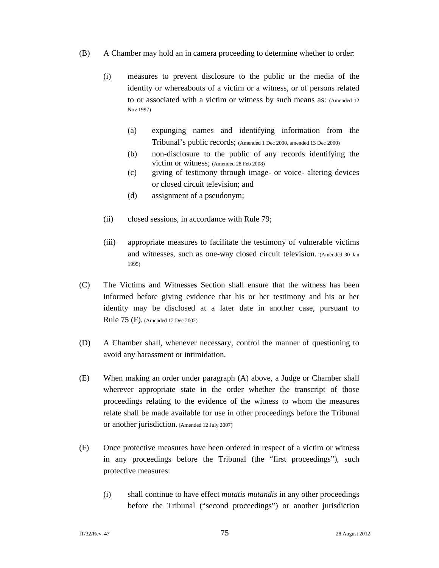- (B) A Chamber may hold an in camera proceeding to determine whether to order:
	- (i) measures to prevent disclosure to the public or the media of the identity or whereabouts of a victim or a witness, or of persons related to or associated with a victim or witness by such means as: (Amended 12 Nov 1997)
		- (a) expunging names and identifying information from the Tribunal's public records; (Amended 1 Dec 2000, amended 13 Dec 2000)
		- (b) non-disclosure to the public of any records identifying the victim or witness; (Amended 28 Feb 2008)
		- (c) giving of testimony through image- or voice- altering devices or closed circuit television; and
		- (d) assignment of a pseudonym;
	- (ii) closed sessions, in accordance with Rule 79;
	- (iii) appropriate measures to facilitate the testimony of vulnerable victims and witnesses, such as one-way closed circuit television. (Amended 30 Jan 1995)
- (C) The Victims and Witnesses Section shall ensure that the witness has been informed before giving evidence that his or her testimony and his or her identity may be disclosed at a later date in another case, pursuant to Rule 75 (F). (Amended 12 Dec 2002)
- (D) A Chamber shall, whenever necessary, control the manner of questioning to avoid any harassment or intimidation.
- (E) When making an order under paragraph (A) above, a Judge or Chamber shall wherever appropriate state in the order whether the transcript of those proceedings relating to the evidence of the witness to whom the measures relate shall be made available for use in other proceedings before the Tribunal or another jurisdiction. (Amended 12 July 2007)
- (F) Once protective measures have been ordered in respect of a victim or witness in any proceedings before the Tribunal (the "first proceedings"), such protective measures:
	- (i) shall continue to have effect *mutatis mutandis* in any other proceedings before the Tribunal ("second proceedings") or another jurisdiction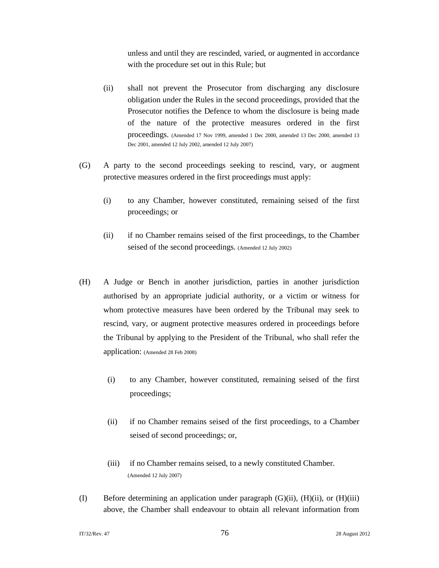unless and until they are rescinded, varied, or augmented in accordance with the procedure set out in this Rule; but

- (ii) shall not prevent the Prosecutor from discharging any disclosure obligation under the Rules in the second proceedings, provided that the Prosecutor notifies the Defence to whom the disclosure is being made of the nature of the protective measures ordered in the first proceedings. (Amended 17 Nov 1999, amended 1 Dec 2000, amended 13 Dec 2000, amended 13 Dec 2001, amended 12 July 2002, amended 12 July 2007)
- (G) A party to the second proceedings seeking to rescind, vary, or augment protective measures ordered in the first proceedings must apply:
	- (i) to any Chamber, however constituted, remaining seised of the first proceedings; or
	- (ii) if no Chamber remains seised of the first proceedings, to the Chamber seised of the second proceedings. (Amended 12 July 2002)
- (H) A Judge or Bench in another jurisdiction, parties in another jurisdiction authorised by an appropriate judicial authority, or a victim or witness for whom protective measures have been ordered by the Tribunal may seek to rescind, vary, or augment protective measures ordered in proceedings before the Tribunal by applying to the President of the Tribunal, who shall refer the application: (Amended 28 Feb 2008)
	- (i) to any Chamber, however constituted, remaining seised of the first proceedings;
	- (ii) if no Chamber remains seised of the first proceedings, to a Chamber seised of second proceedings; or,
	- (iii) if no Chamber remains seised, to a newly constituted Chamber. (Amended 12 July 2007)
- (I) Before determining an application under paragraph  $(G)(ii)$ ,  $(H)(ii)$ , or  $(H)(iii)$ above, the Chamber shall endeavour to obtain all relevant information from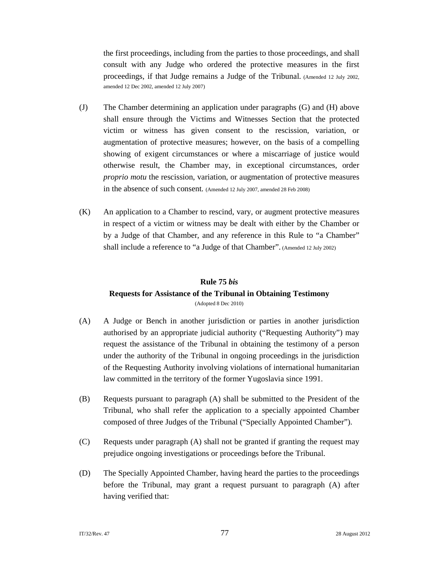the first proceedings, including from the parties to those proceedings, and shall consult with any Judge who ordered the protective measures in the first proceedings, if that Judge remains a Judge of the Tribunal. (Amended 12 July 2002, amended 12 Dec 2002, amended 12 July 2007)

- (J) The Chamber determining an application under paragraphs (G) and (H) above shall ensure through the Victims and Witnesses Section that the protected victim or witness has given consent to the rescission, variation, or augmentation of protective measures; however, on the basis of a compelling showing of exigent circumstances or where a miscarriage of justice would otherwise result, the Chamber may, in exceptional circumstances, order *proprio motu* the rescission, variation, or augmentation of protective measures in the absence of such consent. (Amended 12 July 2007, amended 28 Feb 2008)
- (K) An application to a Chamber to rescind, vary, or augment protective measures in respect of a victim or witness may be dealt with either by the Chamber or by a Judge of that Chamber, and any reference in this Rule to "a Chamber" shall include a reference to "a Judge of that Chamber". (Amended 12 July 2002)

# **Rule 75** *bis* **Requests for Assistance of the Tribunal in Obtaining Testimony**  (Adopted 8 Dec 2010)

- (A) A Judge or Bench in another jurisdiction or parties in another jurisdiction authorised by an appropriate judicial authority ("Requesting Authority") may request the assistance of the Tribunal in obtaining the testimony of a person under the authority of the Tribunal in ongoing proceedings in the jurisdiction of the Requesting Authority involving violations of international humanitarian law committed in the territory of the former Yugoslavia since 1991.
- (B) Requests pursuant to paragraph (A) shall be submitted to the President of the Tribunal, who shall refer the application to a specially appointed Chamber composed of three Judges of the Tribunal ("Specially Appointed Chamber").
- (C) Requests under paragraph (A) shall not be granted if granting the request may prejudice ongoing investigations or proceedings before the Tribunal.
- (D) The Specially Appointed Chamber, having heard the parties to the proceedings before the Tribunal, may grant a request pursuant to paragraph (A) after having verified that: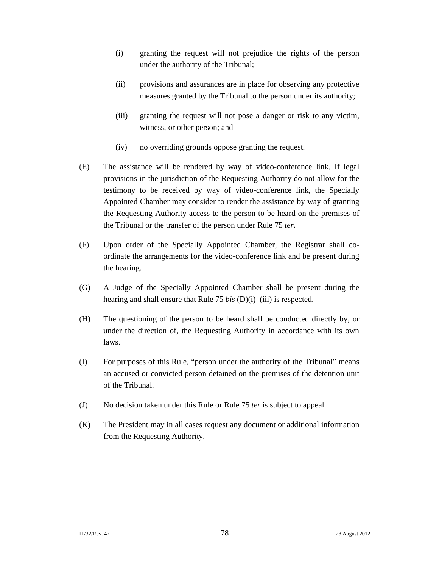- (i) granting the request will not prejudice the rights of the person under the authority of the Tribunal;
- (ii) provisions and assurances are in place for observing any protective measures granted by the Tribunal to the person under its authority;
- (iii) granting the request will not pose a danger or risk to any victim, witness, or other person; and
- (iv) no overriding grounds oppose granting the request.
- (E) The assistance will be rendered by way of video-conference link. If legal provisions in the jurisdiction of the Requesting Authority do not allow for the testimony to be received by way of video-conference link, the Specially Appointed Chamber may consider to render the assistance by way of granting the Requesting Authority access to the person to be heard on the premises of the Tribunal or the transfer of the person under Rule 75 *ter*.
- (F) Upon order of the Specially Appointed Chamber, the Registrar shall coordinate the arrangements for the video-conference link and be present during the hearing.
- (G) A Judge of the Specially Appointed Chamber shall be present during the hearing and shall ensure that Rule 75 *bis* (D)(i)–(iii) is respected.
- (H) The questioning of the person to be heard shall be conducted directly by, or under the direction of, the Requesting Authority in accordance with its own laws.
- (I) For purposes of this Rule, "person under the authority of the Tribunal" means an accused or convicted person detained on the premises of the detention unit of the Tribunal.
- (J) No decision taken under this Rule or Rule 75 *ter* is subject to appeal.
- (K) The President may in all cases request any document or additional information from the Requesting Authority.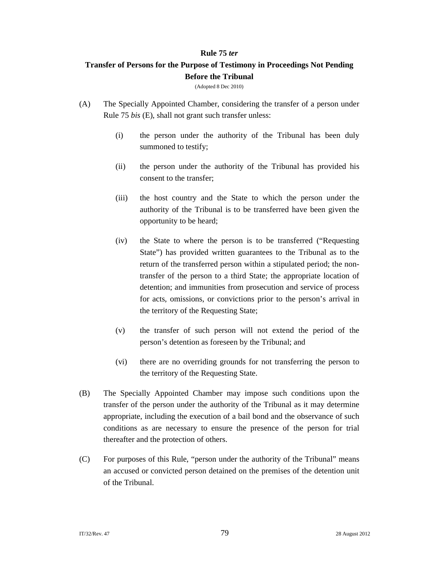### **Rule 75** *ter*

# **Transfer of Persons for the Purpose of Testimony in Proceedings Not Pending Before the Tribunal**

(Adopted 8 Dec 2010)

- (A) The Specially Appointed Chamber, considering the transfer of a person under Rule 75 *bis* (E), shall not grant such transfer unless:
	- (i) the person under the authority of the Tribunal has been duly summoned to testify;
	- (ii) the person under the authority of the Tribunal has provided his consent to the transfer;
	- (iii) the host country and the State to which the person under the authority of the Tribunal is to be transferred have been given the opportunity to be heard;
	- (iv) the State to where the person is to be transferred ("Requesting State") has provided written guarantees to the Tribunal as to the return of the transferred person within a stipulated period; the nontransfer of the person to a third State; the appropriate location of detention; and immunities from prosecution and service of process for acts, omissions, or convictions prior to the person's arrival in the territory of the Requesting State;
	- (v) the transfer of such person will not extend the period of the person's detention as foreseen by the Tribunal; and
	- (vi) there are no overriding grounds for not transferring the person to the territory of the Requesting State.
- (B) The Specially Appointed Chamber may impose such conditions upon the transfer of the person under the authority of the Tribunal as it may determine appropriate, including the execution of a bail bond and the observance of such conditions as are necessary to ensure the presence of the person for trial thereafter and the protection of others.
- (C) For purposes of this Rule, "person under the authority of the Tribunal" means an accused or convicted person detained on the premises of the detention unit of the Tribunal.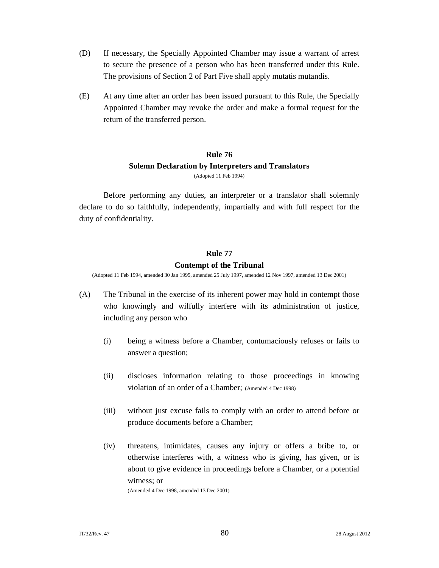- (D) If necessary, the Specially Appointed Chamber may issue a warrant of arrest to secure the presence of a person who has been transferred under this Rule. The provisions of Section 2 of Part Five shall apply mutatis mutandis.
- (E) At any time after an order has been issued pursuant to this Rule, the Specially Appointed Chamber may revoke the order and make a formal request for the return of the transferred person.

## **Rule 76 Solemn Declaration by Interpreters and Translators**  (Adopted 11 Feb 1994)

 Before performing any duties, an interpreter or a translator shall solemnly declare to do so faithfully, independently, impartially and with full respect for the duty of confidentiality.

### **Rule 77**

### **Contempt of the Tribunal**

(Adopted 11 Feb 1994, amended 30 Jan 1995, amended 25 July 1997, amended 12 Nov 1997, amended 13 Dec 2001)

- (A) The Tribunal in the exercise of its inherent power may hold in contempt those who knowingly and wilfully interfere with its administration of justice, including any person who
	- (i) being a witness before a Chamber, contumaciously refuses or fails to answer a question;
	- (ii) discloses information relating to those proceedings in knowing violation of an order of a Chamber; (Amended 4 Dec 1998)
	- (iii) without just excuse fails to comply with an order to attend before or produce documents before a Chamber;
	- (iv) threatens, intimidates, causes any injury or offers a bribe to, or otherwise interferes with, a witness who is giving, has given, or is about to give evidence in proceedings before a Chamber, or a potential witness; or (Amended 4 Dec 1998, amended 13 Dec 2001)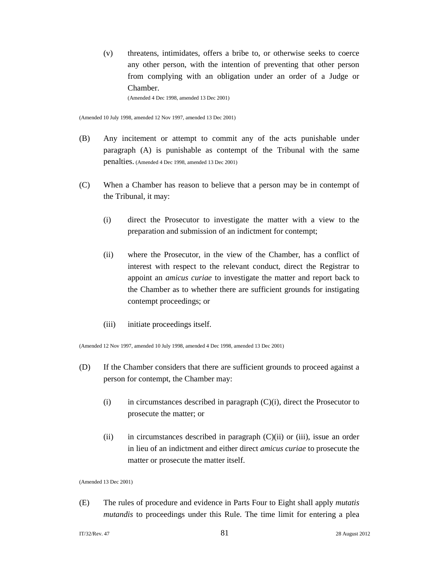(v) threatens, intimidates, offers a bribe to, or otherwise seeks to coerce any other person, with the intention of preventing that other person from complying with an obligation under an order of a Judge or Chamber.

(Amended 4 Dec 1998, amended 13 Dec 2001)

(Amended 10 July 1998, amended 12 Nov 1997, amended 13 Dec 2001)

- (B) Any incitement or attempt to commit any of the acts punishable under paragraph (A) is punishable as contempt of the Tribunal with the same penalties. (Amended 4 Dec 1998, amended 13 Dec 2001)
- (C) When a Chamber has reason to believe that a person may be in contempt of the Tribunal, it may:
	- (i) direct the Prosecutor to investigate the matter with a view to the preparation and submission of an indictment for contempt;
	- (ii) where the Prosecutor, in the view of the Chamber, has a conflict of interest with respect to the relevant conduct, direct the Registrar to appoint an *amicus curiae* to investigate the matter and report back to the Chamber as to whether there are sufficient grounds for instigating contempt proceedings; or
	- (iii) initiate proceedings itself.

(Amended 12 Nov 1997, amended 10 July 1998, amended 4 Dec 1998, amended 13 Dec 2001)

- (D) If the Chamber considers that there are sufficient grounds to proceed against a person for contempt, the Chamber may:
	- (i) in circumstances described in paragraph  $(C)(i)$ , direct the Prosecutor to prosecute the matter; or
	- (ii) in circumstances described in paragraph  $(C)(ii)$  or (iii), issue an order in lieu of an indictment and either direct *amicus curiae* to prosecute the matter or prosecute the matter itself.

(Amended 13 Dec 2001)

(E) The rules of procedure and evidence in Parts Four to Eight shall apply *mutatis mutandis* to proceedings under this Rule. The time limit for entering a plea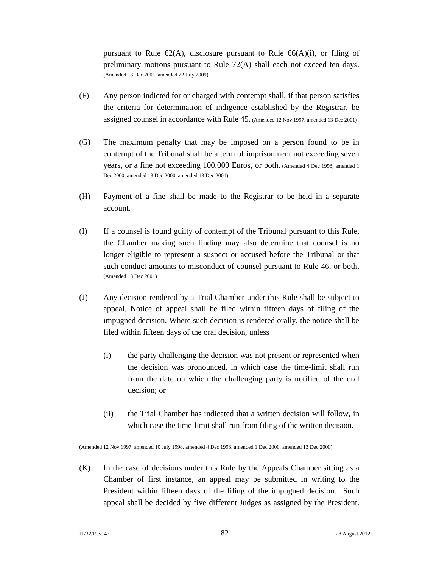pursuant to Rule  $62(A)$ , disclosure pursuant to Rule  $66(A)(i)$ , or filing of preliminary motions pursuant to Rule 72(A) shall each not exceed ten days. (Amended 13 Dec 2001, amended 22 July 2009)

- (F) Any person indicted for or charged with contempt shall, if that person satisfies the criteria for determination of indigence established by the Registrar, be assigned counsel in accordance with Rule 45. (Amended 12 Nov 1997, amended 13 Dec 2001)
- (G) The maximum penalty that may be imposed on a person found to be in contempt of the Tribunal shall be a term of imprisonment not exceeding seven years, or a fine not exceeding 100,000 Euros, or both. (Amended 4 Dec 1998, amended 1 Dec 2000, amended 13 Dec 2000, amended 13 Dec 2001)
- (H) Payment of a fine shall be made to the Registrar to be held in a separate account.
- (I) If a counsel is found guilty of contempt of the Tribunal pursuant to this Rule, the Chamber making such finding may also determine that counsel is no longer eligible to represent a suspect or accused before the Tribunal or that such conduct amounts to misconduct of counsel pursuant to Rule 46, or both. (Amended 13 Dec 2001)
- (J) Any decision rendered by a Trial Chamber under this Rule shall be subject to appeal. Notice of appeal shall be filed within fifteen days of filing of the impugned decision. Where such decision is rendered orally, the notice shall be filed within fifteen days of the oral decision, unless
	- (i) the party challenging the decision was not present or represented when the decision was pronounced, in which case the time-limit shall run from the date on which the challenging party is notified of the oral decision; or
	- (ii) the Trial Chamber has indicated that a written decision will follow, in which case the time-limit shall run from filing of the written decision.

(Amended 12 Nov 1997, amended 10 July 1998, amended 4 Dec 1998, amended 1 Dec 2000, amended 13 Dec 2000)

(K) In the case of decisions under this Rule by the Appeals Chamber sitting as a Chamber of first instance, an appeal may be submitted in writing to the President within fifteen days of the filing of the impugned decision. Such appeal shall be decided by five different Judges as assigned by the President.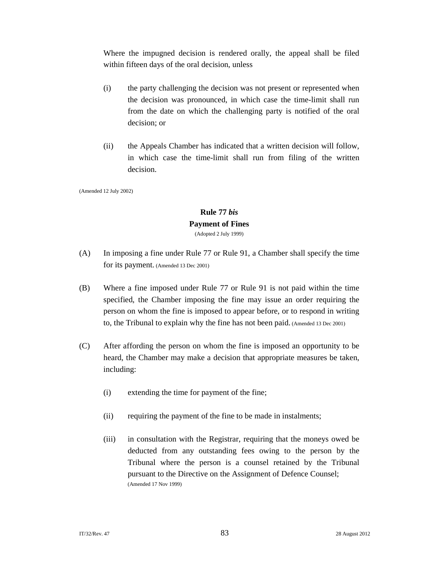Where the impugned decision is rendered orally, the appeal shall be filed within fifteen days of the oral decision, unless

- (i) the party challenging the decision was not present or represented when the decision was pronounced, in which case the time-limit shall run from the date on which the challenging party is notified of the oral decision; or
- (ii) the Appeals Chamber has indicated that a written decision will follow, in which case the time-limit shall run from filing of the written decision.

(Amended 12 July 2002)

### **Rule 77** *bis*

### **Payment of Fines**

(Adopted 2 July 1999)

- (A) In imposing a fine under Rule 77 or Rule 91, a Chamber shall specify the time for its payment. (Amended 13 Dec 2001)
- (B) Where a fine imposed under Rule 77 or Rule 91 is not paid within the time specified, the Chamber imposing the fine may issue an order requiring the person on whom the fine is imposed to appear before, or to respond in writing to, the Tribunal to explain why the fine has not been paid. (Amended 13 Dec 2001)
- (C) After affording the person on whom the fine is imposed an opportunity to be heard, the Chamber may make a decision that appropriate measures be taken, including:
	- (i) extending the time for payment of the fine;
	- (ii) requiring the payment of the fine to be made in instalments;
	- (iii) in consultation with the Registrar, requiring that the moneys owed be deducted from any outstanding fees owing to the person by the Tribunal where the person is a counsel retained by the Tribunal pursuant to the Directive on the Assignment of Defence Counsel; (Amended 17 Nov 1999)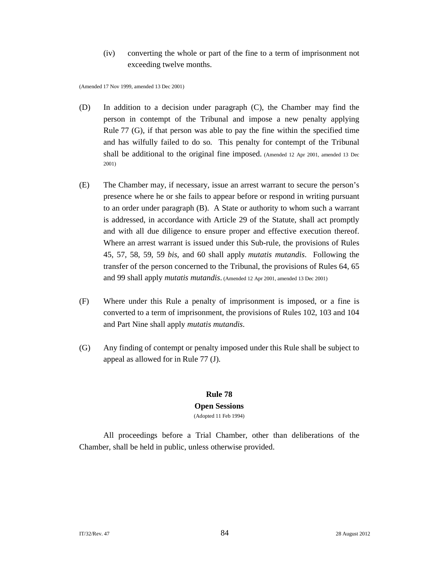(iv) converting the whole or part of the fine to a term of imprisonment not exceeding twelve months.

(Amended 17 Nov 1999, amended 13 Dec 2001)

- (D) In addition to a decision under paragraph (C), the Chamber may find the person in contempt of the Tribunal and impose a new penalty applying Rule 77 (G), if that person was able to pay the fine within the specified time and has wilfully failed to do so. This penalty for contempt of the Tribunal shall be additional to the original fine imposed. (Amended 12 Apr 2001, amended 13 Dec 2001)
- (E) The Chamber may, if necessary, issue an arrest warrant to secure the person's presence where he or she fails to appear before or respond in writing pursuant to an order under paragraph (B). A State or authority to whom such a warrant is addressed, in accordance with Article 29 of the Statute, shall act promptly and with all due diligence to ensure proper and effective execution thereof. Where an arrest warrant is issued under this Sub-rule, the provisions of Rules 45, 57, 58, 59, 59 *bis*, and 60 shall apply *mutatis mutandis*. Following the transfer of the person concerned to the Tribunal, the provisions of Rules 64, 65 and 99 shall apply *mutatis mutandis*. (Amended 12 Apr 2001, amended 13 Dec 2001)
- (F) Where under this Rule a penalty of imprisonment is imposed, or a fine is converted to a term of imprisonment, the provisions of Rules 102, 103 and 104 and Part Nine shall apply *mutatis mutandis*.
- (G) Any finding of contempt or penalty imposed under this Rule shall be subject to appeal as allowed for in Rule 77 (J).

#### **Rule 78**

#### **Open Sessions**

(Adopted 11 Feb 1994)

 All proceedings before a Trial Chamber, other than deliberations of the Chamber, shall be held in public, unless otherwise provided.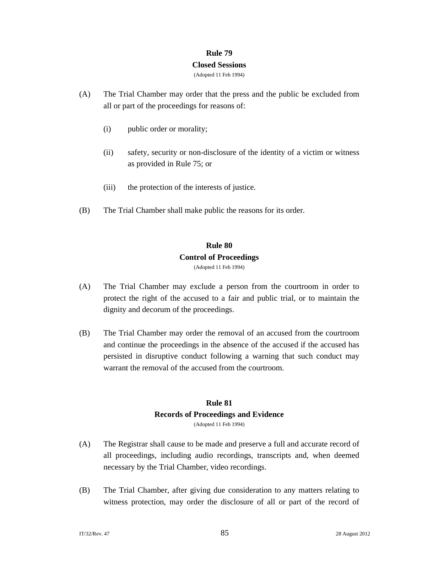#### **Rule 79**

#### **Closed Sessions**

(Adopted 11 Feb 1994)

- (A) The Trial Chamber may order that the press and the public be excluded from all or part of the proceedings for reasons of:
	- (i) public order or morality;
	- (ii) safety, security or non-disclosure of the identity of a victim or witness as provided in Rule 75; or
	- (iii) the protection of the interests of justice.
- (B) The Trial Chamber shall make public the reasons for its order.

# **Rule 80 Control of Proceedings**

(Adopted 11 Feb 1994)

- (A) The Trial Chamber may exclude a person from the courtroom in order to protect the right of the accused to a fair and public trial, or to maintain the dignity and decorum of the proceedings.
- (B) The Trial Chamber may order the removal of an accused from the courtroom and continue the proceedings in the absence of the accused if the accused has persisted in disruptive conduct following a warning that such conduct may warrant the removal of the accused from the courtroom.

#### **Rule 81**

# **Records of Proceedings and Evidence**

(Adopted 11 Feb 1994)

- (A) The Registrar shall cause to be made and preserve a full and accurate record of all proceedings, including audio recordings, transcripts and, when deemed necessary by the Trial Chamber, video recordings.
- (B) The Trial Chamber, after giving due consideration to any matters relating to witness protection, may order the disclosure of all or part of the record of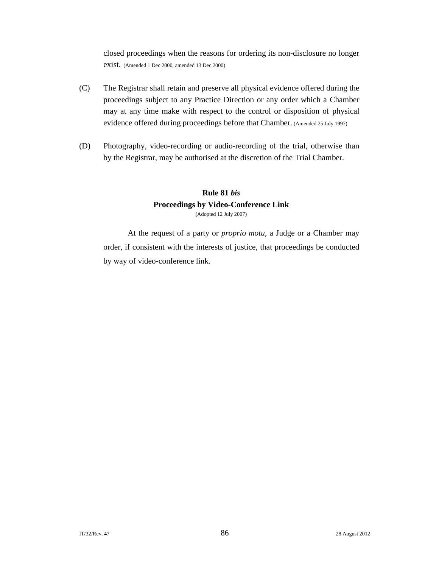closed proceedings when the reasons for ordering its non-disclosure no longer exist. (Amended 1 Dec 2000, amended 13 Dec 2000)

- (C) The Registrar shall retain and preserve all physical evidence offered during the proceedings subject to any Practice Direction or any order which a Chamber may at any time make with respect to the control or disposition of physical evidence offered during proceedings before that Chamber. (Amended 25 July 1997)
- (D) Photography, video-recording or audio-recording of the trial, otherwise than by the Registrar, may be authorised at the discretion of the Trial Chamber.

## **Rule 81** *bis* **Proceedings by Video-Conference Link**  (Adopted 12 July 2007)

 At the request of a party or *proprio motu,* a Judge or a Chamber may order, if consistent with the interests of justice, that proceedings be conducted by way of video-conference link.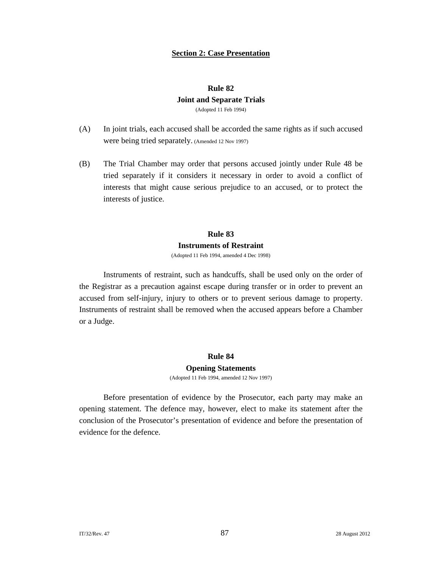#### **Section 2: Case Presentation**

# **Rule 82**

### **Joint and Separate Trials**

(Adopted 11 Feb 1994)

- (A) In joint trials, each accused shall be accorded the same rights as if such accused were being tried separately. (Amended 12 Nov 1997)
- (B) The Trial Chamber may order that persons accused jointly under Rule 48 be tried separately if it considers it necessary in order to avoid a conflict of interests that might cause serious prejudice to an accused, or to protect the interests of justice.

# **Rule 83 Instruments of Restraint**

(Adopted 11 Feb 1994, amended 4 Dec 1998)

 Instruments of restraint, such as handcuffs, shall be used only on the order of the Registrar as a precaution against escape during transfer or in order to prevent an accused from self-injury, injury to others or to prevent serious damage to property. Instruments of restraint shall be removed when the accused appears before a Chamber or a Judge.

# **Rule 84 Opening Statements**

(Adopted 11 Feb 1994, amended 12 Nov 1997)

 Before presentation of evidence by the Prosecutor, each party may make an opening statement. The defence may, however, elect to make its statement after the conclusion of the Prosecutor's presentation of evidence and before the presentation of evidence for the defence.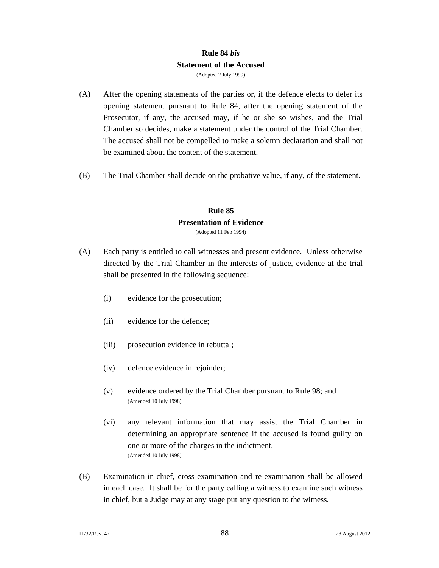# **Rule 84** *bis*  **Statement of the Accused**

(Adopted 2 July 1999)

- (A) After the opening statements of the parties or, if the defence elects to defer its opening statement pursuant to Rule 84, after the opening statement of the Prosecutor, if any, the accused may, if he or she so wishes, and the Trial Chamber so decides, make a statement under the control of the Trial Chamber. The accused shall not be compelled to make a solemn declaration and shall not be examined about the content of the statement.
- (B) The Trial Chamber shall decide on the probative value, if any, of the statement.

# **Rule 85 Presentation of Evidence**

(Adopted 11 Feb 1994)

- (A) Each party is entitled to call witnesses and present evidence. Unless otherwise directed by the Trial Chamber in the interests of justice, evidence at the trial shall be presented in the following sequence:
	- (i) evidence for the prosecution;
	- (ii) evidence for the defence;
	- (iii) prosecution evidence in rebuttal;
	- (iv) defence evidence in rejoinder;
	- (v) evidence ordered by the Trial Chamber pursuant to Rule 98; and (Amended 10 July 1998)
	- (vi) any relevant information that may assist the Trial Chamber in determining an appropriate sentence if the accused is found guilty on one or more of the charges in the indictment. (Amended 10 July 1998)
- (B) Examination-in-chief, cross-examination and re-examination shall be allowed in each case. It shall be for the party calling a witness to examine such witness in chief, but a Judge may at any stage put any question to the witness.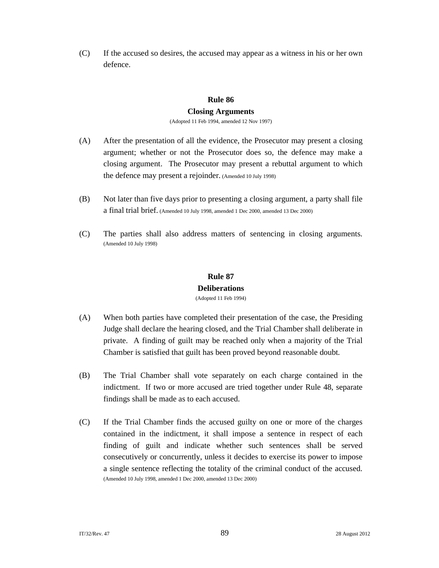(C) If the accused so desires, the accused may appear as a witness in his or her own defence.

## **Rule 86 Closing Arguments**

(Adopted 11 Feb 1994, amended 12 Nov 1997)

- (A) After the presentation of all the evidence, the Prosecutor may present a closing argument; whether or not the Prosecutor does so, the defence may make a closing argument. The Prosecutor may present a rebuttal argument to which the defence may present a rejoinder. (Amended 10 July 1998)
- (B) Not later than five days prior to presenting a closing argument, a party shall file a final trial brief. (Amended 10 July 1998, amended 1 Dec 2000, amended 13 Dec 2000)
- (C) The parties shall also address matters of sentencing in closing arguments. (Amended 10 July 1998)

# **Rule 87**

# **Deliberations**

(Adopted 11 Feb 1994)

- (A) When both parties have completed their presentation of the case, the Presiding Judge shall declare the hearing closed, and the Trial Chamber shall deliberate in private. A finding of guilt may be reached only when a majority of the Trial Chamber is satisfied that guilt has been proved beyond reasonable doubt.
- (B) The Trial Chamber shall vote separately on each charge contained in the indictment. If two or more accused are tried together under Rule 48, separate findings shall be made as to each accused.
- (C) If the Trial Chamber finds the accused guilty on one or more of the charges contained in the indictment, it shall impose a sentence in respect of each finding of guilt and indicate whether such sentences shall be served consecutively or concurrently, unless it decides to exercise its power to impose a single sentence reflecting the totality of the criminal conduct of the accused. (Amended 10 July 1998, amended 1 Dec 2000, amended 13 Dec 2000)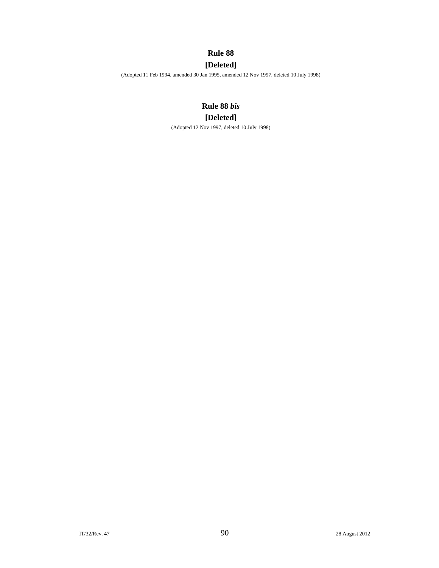# **Rule 88**

## **[Deleted]**

(Adopted 11 Feb 1994, amended 30 Jan 1995, amended 12 Nov 1997, deleted 10 July 1998)

**Rule 88** *bis*

#### **[Deleted]**

(Adopted 12 Nov 1997, deleted 10 July 1998)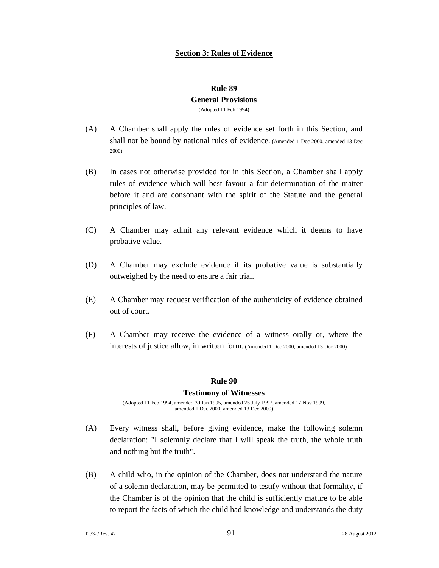#### **Section 3: Rules of Evidence**

#### **Rule 89**

#### **General Provisions**

(Adopted 11 Feb 1994)

- (A) A Chamber shall apply the rules of evidence set forth in this Section, and shall not be bound by national rules of evidence. (Amended 1 Dec 2000, amended 13 Dec 2000)
- (B) In cases not otherwise provided for in this Section, a Chamber shall apply rules of evidence which will best favour a fair determination of the matter before it and are consonant with the spirit of the Statute and the general principles of law.
- (C) A Chamber may admit any relevant evidence which it deems to have probative value.
- (D) A Chamber may exclude evidence if its probative value is substantially outweighed by the need to ensure a fair trial.
- (E) A Chamber may request verification of the authenticity of evidence obtained out of court.
- (F) A Chamber may receive the evidence of a witness orally or, where the interests of justice allow, in written form. (Amended 1 Dec 2000, amended 13 Dec 2000)

#### **Rule 90**

#### **Testimony of Witnesses**

(Adopted 11 Feb 1994, amended 30 Jan 1995, amended 25 July 1997, amended 17 Nov 1999, amended 1 Dec 2000, amended 13 Dec 2000)

- (A) Every witness shall, before giving evidence, make the following solemn declaration: "I solemnly declare that I will speak the truth, the whole truth and nothing but the truth".
- (B) A child who, in the opinion of the Chamber, does not understand the nature of a solemn declaration, may be permitted to testify without that formality, if the Chamber is of the opinion that the child is sufficiently mature to be able to report the facts of which the child had knowledge and understands the duty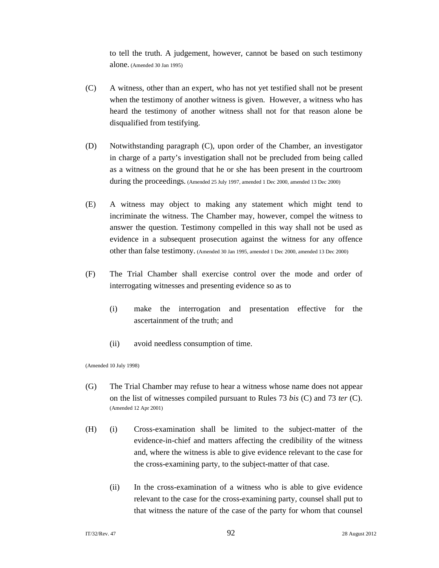to tell the truth. A judgement, however, cannot be based on such testimony alone. (Amended 30 Jan 1995)

- (C) A witness, other than an expert, who has not yet testified shall not be present when the testimony of another witness is given. However, a witness who has heard the testimony of another witness shall not for that reason alone be disqualified from testifying.
- (D) Notwithstanding paragraph (C), upon order of the Chamber, an investigator in charge of a party's investigation shall not be precluded from being called as a witness on the ground that he or she has been present in the courtroom during the proceedings. (Amended 25 July 1997, amended 1 Dec 2000, amended 13 Dec 2000)
- (E) A witness may object to making any statement which might tend to incriminate the witness. The Chamber may, however, compel the witness to answer the question. Testimony compelled in this way shall not be used as evidence in a subsequent prosecution against the witness for any offence other than false testimony. (Amended 30 Jan 1995, amended 1 Dec 2000, amended 13 Dec 2000)
- (F) The Trial Chamber shall exercise control over the mode and order of interrogating witnesses and presenting evidence so as to
	- (i) make the interrogation and presentation effective for the ascertainment of the truth; and
	- (ii) avoid needless consumption of time.

(Amended 10 July 1998)

- (G) The Trial Chamber may refuse to hear a witness whose name does not appear on the list of witnesses compiled pursuant to Rules 73 *bis* (C) and 73 *ter* (C). (Amended 12 Apr 2001)
- (H) (i) Cross-examination shall be limited to the subject-matter of the evidence-in-chief and matters affecting the credibility of the witness and, where the witness is able to give evidence relevant to the case for the cross-examining party, to the subject-matter of that case.
	- (ii) In the cross-examination of a witness who is able to give evidence relevant to the case for the cross-examining party, counsel shall put to that witness the nature of the case of the party for whom that counsel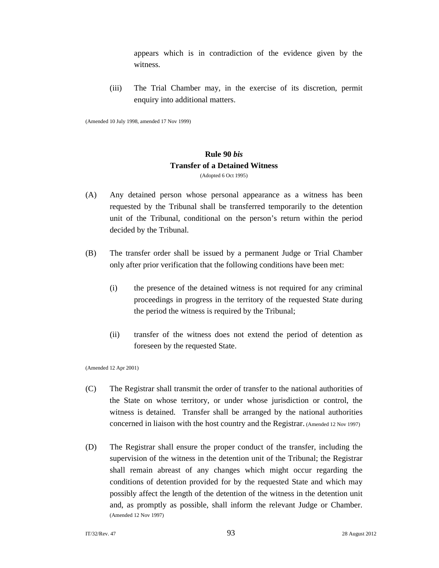appears which is in contradiction of the evidence given by the witness.

(iii) The Trial Chamber may, in the exercise of its discretion, permit enquiry into additional matters.

(Amended 10 July 1998, amended 17 Nov 1999)

## **Rule 90** *bis* **Transfer of a Detained Witness**  (Adopted 6 Oct 1995)

- (A) Any detained person whose personal appearance as a witness has been requested by the Tribunal shall be transferred temporarily to the detention unit of the Tribunal, conditional on the person's return within the period decided by the Tribunal.
- (B) The transfer order shall be issued by a permanent Judge or Trial Chamber only after prior verification that the following conditions have been met:
	- (i) the presence of the detained witness is not required for any criminal proceedings in progress in the territory of the requested State during the period the witness is required by the Tribunal;
	- (ii) transfer of the witness does not extend the period of detention as foreseen by the requested State.

(Amended 12 Apr 2001)

- (C) The Registrar shall transmit the order of transfer to the national authorities of the State on whose territory, or under whose jurisdiction or control, the witness is detained. Transfer shall be arranged by the national authorities concerned in liaison with the host country and the Registrar. (Amended 12 Nov 1997)
- (D) The Registrar shall ensure the proper conduct of the transfer, including the supervision of the witness in the detention unit of the Tribunal; the Registrar shall remain abreast of any changes which might occur regarding the conditions of detention provided for by the requested State and which may possibly affect the length of the detention of the witness in the detention unit and, as promptly as possible, shall inform the relevant Judge or Chamber. (Amended 12 Nov 1997)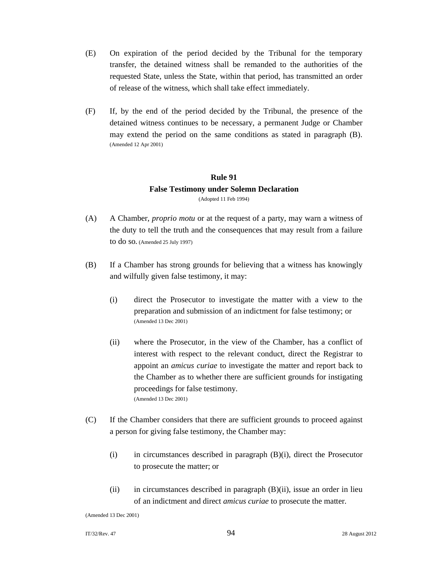- (E) On expiration of the period decided by the Tribunal for the temporary transfer, the detained witness shall be remanded to the authorities of the requested State, unless the State, within that period, has transmitted an order of release of the witness, which shall take effect immediately.
- (F) If, by the end of the period decided by the Tribunal, the presence of the detained witness continues to be necessary, a permanent Judge or Chamber may extend the period on the same conditions as stated in paragraph (B). (Amended 12 Apr 2001)

# **Rule 91 False Testimony under Solemn Declaration**

(Adopted 11 Feb 1994)

- (A) A Chamber, *proprio motu* or at the request of a party, may warn a witness of the duty to tell the truth and the consequences that may result from a failure to do so. (Amended 25 July 1997)
- (B) If a Chamber has strong grounds for believing that a witness has knowingly and wilfully given false testimony, it may:
	- (i) direct the Prosecutor to investigate the matter with a view to the preparation and submission of an indictment for false testimony; or (Amended 13 Dec 2001)
	- (ii) where the Prosecutor, in the view of the Chamber, has a conflict of interest with respect to the relevant conduct, direct the Registrar to appoint an *amicus curiae* to investigate the matter and report back to the Chamber as to whether there are sufficient grounds for instigating proceedings for false testimony. (Amended 13 Dec 2001)
- (C) If the Chamber considers that there are sufficient grounds to proceed against a person for giving false testimony, the Chamber may:
	- (i) in circumstances described in paragraph (B)(i), direct the Prosecutor to prosecute the matter; or
	- (ii) in circumstances described in paragraph (B)(ii), issue an order in lieu of an indictment and direct *amicus curiae* to prosecute the matter.

<sup>(</sup>Amended 13 Dec 2001)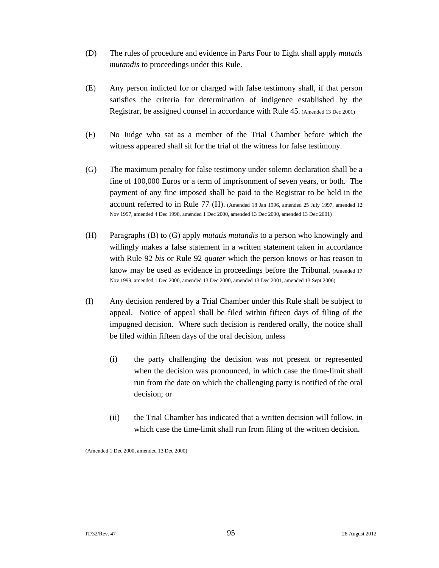- (D) The rules of procedure and evidence in Parts Four to Eight shall apply *mutatis mutandis* to proceedings under this Rule.
- (E) Any person indicted for or charged with false testimony shall, if that person satisfies the criteria for determination of indigence established by the Registrar, be assigned counsel in accordance with Rule 45. (Amended 13 Dec 2001)
- (F) No Judge who sat as a member of the Trial Chamber before which the witness appeared shall sit for the trial of the witness for false testimony.
- (G) The maximum penalty for false testimony under solemn declaration shall be a fine of 100,000 Euros or a term of imprisonment of seven years, or both. The payment of any fine imposed shall be paid to the Registrar to be held in the account referred to in Rule 77 (H). (Amended 18 Jan 1996, amended 25 July 1997, amended 12 Nov 1997, amended 4 Dec 1998, amended 1 Dec 2000, amended 13 Dec 2000, amended 13 Dec 2001)
- (H) Paragraphs (B) to (G) apply *mutatis mutandis* to a person who knowingly and willingly makes a false statement in a written statement taken in accordance with Rule 92 *bis* or Rule 92 *quater* which the person knows or has reason to know may be used as evidence in proceedings before the Tribunal. (Amended 17 Nov 1999, amended 1 Dec 2000, amended 13 Dec 2000, amended 13 Dec 2001, amended 13 Sept 2006)
- (I) Any decision rendered by a Trial Chamber under this Rule shall be subject to appeal. Notice of appeal shall be filed within fifteen days of filing of the impugned decision. Where such decision is rendered orally, the notice shall be filed within fifteen days of the oral decision, unless
	- (i) the party challenging the decision was not present or represented when the decision was pronounced, in which case the time-limit shall run from the date on which the challenging party is notified of the oral decision; or
	- (ii) the Trial Chamber has indicated that a written decision will follow, in which case the time-limit shall run from filing of the written decision.

(Amended 1 Dec 2000, amended 13 Dec 2000)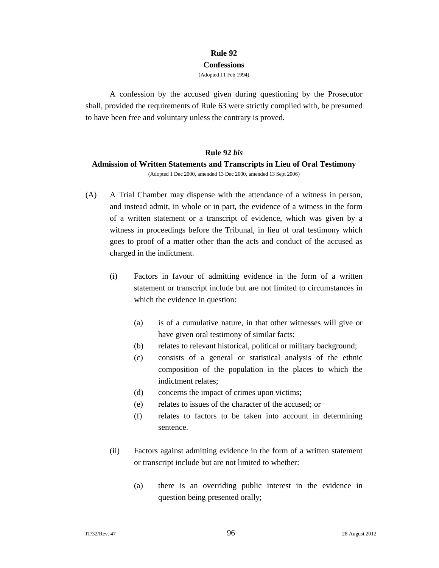#### **Rule 92**

#### **Confessions**

(Adopted 11 Feb 1994)

 A confession by the accused given during questioning by the Prosecutor shall, provided the requirements of Rule 63 were strictly complied with, be presumed to have been free and voluntary unless the contrary is proved.

#### **Rule 92** *bis*

# **Admission of Written Statements and Transcripts in Lieu of Oral Testimony**

(Adopted 1 Dec 2000, amended 13 Dec 2000, amended 13 Sept 2006)

- (A) A Trial Chamber may dispense with the attendance of a witness in person, and instead admit, in whole or in part, the evidence of a witness in the form of a written statement or a transcript of evidence, which was given by a witness in proceedings before the Tribunal, in lieu of oral testimony which goes to proof of a matter other than the acts and conduct of the accused as charged in the indictment.
	- (i) Factors in favour of admitting evidence in the form of a written statement or transcript include but are not limited to circumstances in which the evidence in question:
		- (a) is of a cumulative nature, in that other witnesses will give or have given oral testimony of similar facts;
		- (b) relates to relevant historical, political or military background;
		- (c) consists of a general or statistical analysis of the ethnic composition of the population in the places to which the indictment relates;
		- (d) concerns the impact of crimes upon victims;
		- (e) relates to issues of the character of the accused; or
		- (f) relates to factors to be taken into account in determining sentence.
	- (ii) Factors against admitting evidence in the form of a written statement or transcript include but are not limited to whether:
		- (a) there is an overriding public interest in the evidence in question being presented orally;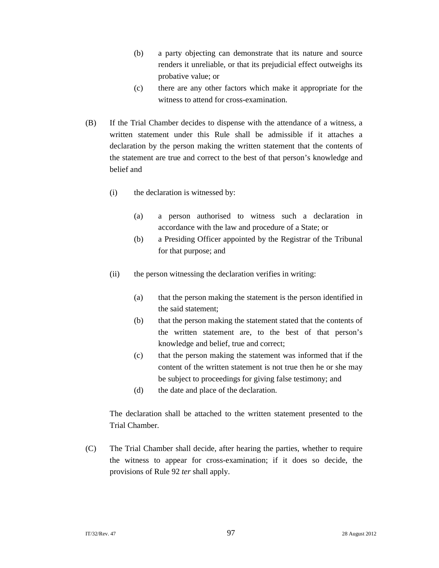- (b) a party objecting can demonstrate that its nature and source renders it unreliable, or that its prejudicial effect outweighs its probative value; or
- (c) there are any other factors which make it appropriate for the witness to attend for cross-examination.
- (B) If the Trial Chamber decides to dispense with the attendance of a witness, a written statement under this Rule shall be admissible if it attaches a declaration by the person making the written statement that the contents of the statement are true and correct to the best of that person's knowledge and belief and
	- (i) the declaration is witnessed by:
		- (a) a person authorised to witness such a declaration in accordance with the law and procedure of a State; or
		- (b) a Presiding Officer appointed by the Registrar of the Tribunal for that purpose; and
	- (ii) the person witnessing the declaration verifies in writing:
		- (a) that the person making the statement is the person identified in the said statement;
		- (b) that the person making the statement stated that the contents of the written statement are, to the best of that person's knowledge and belief, true and correct;
		- (c) that the person making the statement was informed that if the content of the written statement is not true then he or she may be subject to proceedings for giving false testimony; and
		- (d) the date and place of the declaration.

The declaration shall be attached to the written statement presented to the Trial Chamber.

(C) The Trial Chamber shall decide, after hearing the parties, whether to require the witness to appear for cross-examination; if it does so decide, the provisions of Rule 92 *ter* shall apply.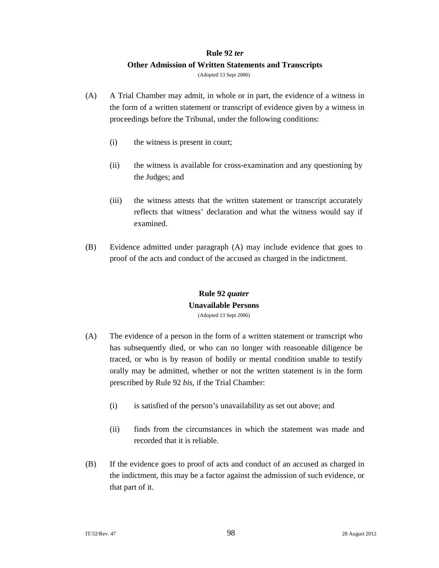#### **Rule 92** *ter*

#### **Other Admission of Written Statements and Transcripts**

(Adopted 13 Sept 2006)

- (A) A Trial Chamber may admit, in whole or in part, the evidence of a witness in the form of a written statement or transcript of evidence given by a witness in proceedings before the Tribunal, under the following conditions:
	- (i) the witness is present in court;
	- (ii) the witness is available for cross-examination and any questioning by the Judges; and
	- (iii) the witness attests that the written statement or transcript accurately reflects that witness' declaration and what the witness would say if examined.
- (B) Evidence admitted under paragraph (A) may include evidence that goes to proof of the acts and conduct of the accused as charged in the indictment.

## **Rule 92** *quater* **Unavailable Persons**  (Adopted 13 Sept 2006)

- (A) The evidence of a person in the form of a written statement or transcript who has subsequently died, or who can no longer with reasonable diligence be traced, or who is by reason of bodily or mental condition unable to testify orally may be admitted, whether or not the written statement is in the form prescribed by Rule 92 *bis*, if the Trial Chamber:
	- (i) is satisfied of the person's unavailability as set out above; and
	- (ii) finds from the circumstances in which the statement was made and recorded that it is reliable.
- (B) If the evidence goes to proof of acts and conduct of an accused as charged in the indictment, this may be a factor against the admission of such evidence, or that part of it.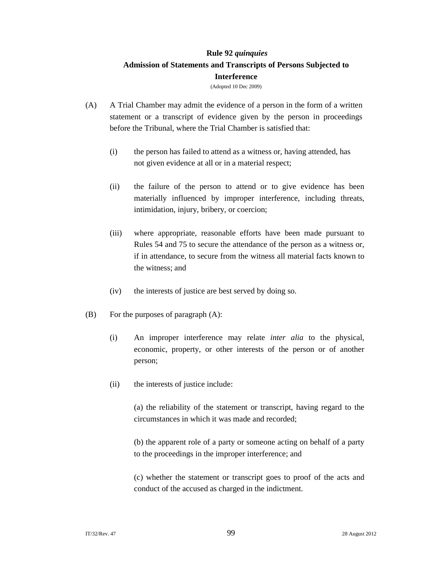## **Rule 92** *quinquies* **Admission of Statements and Transcripts of Persons Subjected to Interference**  (Adopted 10 Dec 2009)

- (A) A Trial Chamber may admit the evidence of a person in the form of a written statement or a transcript of evidence given by the person in proceedings before the Tribunal, where the Trial Chamber is satisfied that:
	- (i) the person has failed to attend as a witness or, having attended, has not given evidence at all or in a material respect;
	- (ii) the failure of the person to attend or to give evidence has been materially influenced by improper interference, including threats, intimidation, injury, bribery, or coercion;
	- (iii) where appropriate, reasonable efforts have been made pursuant to Rules 54 and 75 to secure the attendance of the person as a witness or, if in attendance, to secure from the witness all material facts known to the witness; and
	- (iv) the interests of justice are best served by doing so.
- (B) For the purposes of paragraph (A):
	- (i) An improper interference may relate *inter alia* to the physical, economic, property, or other interests of the person or of another person;
	- (ii) the interests of justice include:

 (a) the reliability of the statement or transcript, having regard to the circumstances in which it was made and recorded;

 (b) the apparent role of a party or someone acting on behalf of a party to the proceedings in the improper interference; and

(c) whether the statement or transcript goes to proof of the acts and conduct of the accused as charged in the indictment.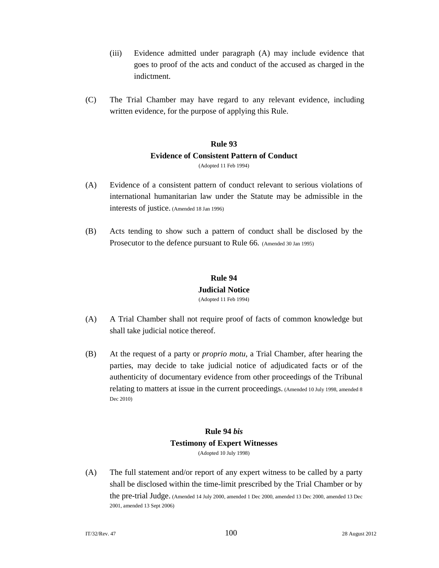- (iii) Evidence admitted under paragraph (A) may include evidence that goes to proof of the acts and conduct of the accused as charged in the indictment.
- (C) The Trial Chamber may have regard to any relevant evidence, including written evidence, for the purpose of applying this Rule.

## **Rule 93 Evidence of Consistent Pattern of Conduct**  (Adopted 11 Feb 1994)

- (A) Evidence of a consistent pattern of conduct relevant to serious violations of international humanitarian law under the Statute may be admissible in the interests of justice. (Amended 18 Jan 1996)
- (B) Acts tending to show such a pattern of conduct shall be disclosed by the Prosecutor to the defence pursuant to Rule 66. (Amended 30 Jan 1995)

## **Rule 94 Judicial Notice**  (Adopted 11 Feb 1994)

- (A) A Trial Chamber shall not require proof of facts of common knowledge but shall take judicial notice thereof.
- (B) At the request of a party or *proprio motu*, a Trial Chamber, after hearing the parties, may decide to take judicial notice of adjudicated facts or of the authenticity of documentary evidence from other proceedings of the Tribunal relating to matters at issue in the current proceedings. (Amended 10 July 1998, amended 8 Dec 2010)

## **Rule 94** *bis* **Testimony of Expert Witnesses**  (Adopted 10 July 1998)

(A) The full statement and/or report of any expert witness to be called by a party shall be disclosed within the time-limit prescribed by the Trial Chamber or by the pre-trial Judge. (Amended 14 July 2000, amended 1 Dec 2000, amended 13 Dec 2000, amended 13 Dec 2001, amended 13 Sept 2006)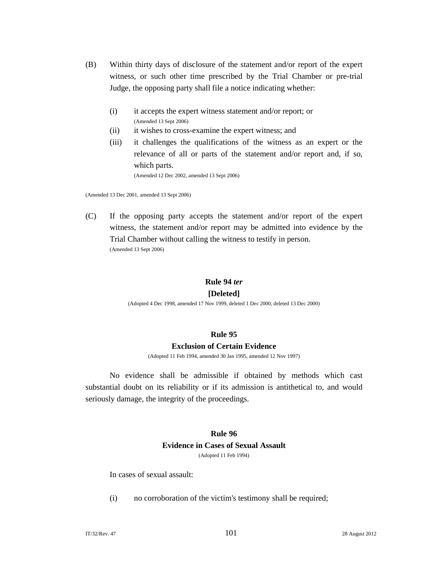- (B) Within thirty days of disclosure of the statement and/or report of the expert witness, or such other time prescribed by the Trial Chamber or pre-trial Judge, the opposing party shall file a notice indicating whether:
	- (i) it accepts the expert witness statement and/or report; or (Amended 13 Sept 2006)
	- (ii) it wishes to cross-examine the expert witness; and
	- (iii) it challenges the qualifications of the witness as an expert or the relevance of all or parts of the statement and/or report and, if so, which parts. (Amended 12 Dec 2002, amended 13 Sept 2006)

(Amended 13 Dec 2001, amended 13 Sept 2006)

(C) If the opposing party accepts the statement and/or report of the expert witness, the statement and/or report may be admitted into evidence by the Trial Chamber without calling the witness to testify in person. (Amended 13 Sept 2006)

#### **Rule 94** *ter*

### **[Deleted]**

(Adopted 4 Dec 1998, amended 17 Nov 1999, deleted 1 Dec 2000, deleted 13 Dec 2000)

### **Rule 95**

#### **Exclusion of Certain Evidence**

(Adopted 11 Feb 1994, amended 30 Jan 1995, amended 12 Nov 1997)

No evidence shall be admissible if obtained by methods which cast substantial doubt on its reliability or if its admission is antithetical to, and would seriously damage, the integrity of the proceedings.

## **Rule 96 Evidence in Cases of Sexual Assault**  (Adopted 11 Feb 1994)

In cases of sexual assault:

(i) no corroboration of the victim's testimony shall be required;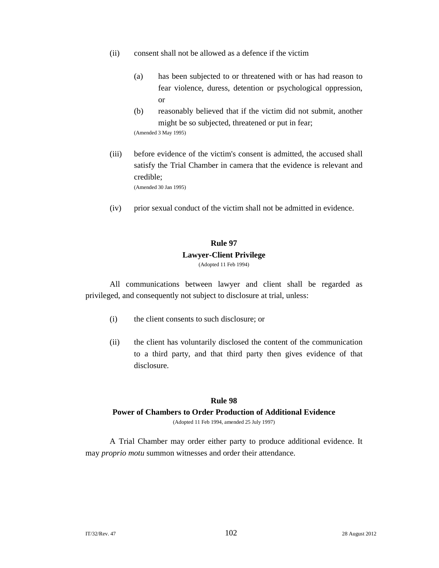- (ii) consent shall not be allowed as a defence if the victim
	- (a) has been subjected to or threatened with or has had reason to fear violence, duress, detention or psychological oppression, or
	- (b) reasonably believed that if the victim did not submit, another might be so subjected, threatened or put in fear; (Amended 3 May 1995)
- (iii) before evidence of the victim's consent is admitted, the accused shall satisfy the Trial Chamber in camera that the evidence is relevant and credible; (Amended 30 Jan 1995)
- (iv) prior sexual conduct of the victim shall not be admitted in evidence.

# **Rule 97 Lawyer-Client Privilege**

(Adopted 11 Feb 1994)

 All communications between lawyer and client shall be regarded as privileged, and consequently not subject to disclosure at trial, unless:

- (i) the client consents to such disclosure; or
- (ii) the client has voluntarily disclosed the content of the communication to a third party, and that third party then gives evidence of that disclosure.

# **Rule 98 Power of Chambers to Order Production of Additional Evidence**

(Adopted 11 Feb 1994, amended 25 July 1997)

 A Trial Chamber may order either party to produce additional evidence. It may *proprio motu* summon witnesses and order their attendance.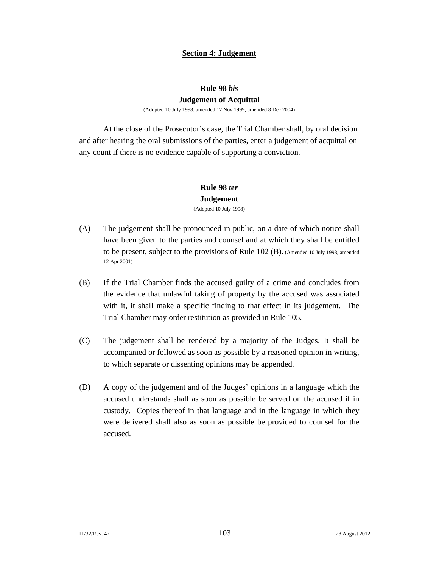### **Section 4: Judgement**

#### **Rule 98** *bis*

### **Judgement of Acquittal**

(Adopted 10 July 1998, amended 17 Nov 1999, amended 8 Dec 2004)

At the close of the Prosecutor's case, the Trial Chamber shall, by oral decision and after hearing the oral submissions of the parties, enter a judgement of acquittal on any count if there is no evidence capable of supporting a conviction.

# **Rule 98** *ter* **Judgement**

#### (Adopted 10 July 1998)

- (A) The judgement shall be pronounced in public, on a date of which notice shall have been given to the parties and counsel and at which they shall be entitled to be present, subject to the provisions of Rule 102 (B). (Amended 10 July 1998, amended 12 Apr 2001)
- (B) If the Trial Chamber finds the accused guilty of a crime and concludes from the evidence that unlawful taking of property by the accused was associated with it, it shall make a specific finding to that effect in its judgement. The Trial Chamber may order restitution as provided in Rule 105.
- (C) The judgement shall be rendered by a majority of the Judges. It shall be accompanied or followed as soon as possible by a reasoned opinion in writing, to which separate or dissenting opinions may be appended.
- (D) A copy of the judgement and of the Judges' opinions in a language which the accused understands shall as soon as possible be served on the accused if in custody. Copies thereof in that language and in the language in which they were delivered shall also as soon as possible be provided to counsel for the accused.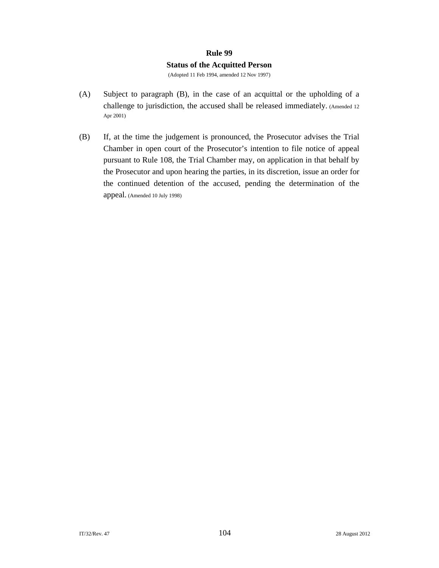#### **Status of the Acquitted Person**

(Adopted 11 Feb 1994, amended 12 Nov 1997)

- (A) Subject to paragraph (B), in the case of an acquittal or the upholding of a challenge to jurisdiction, the accused shall be released immediately. (Amended 12 Apr 2001)
- (B) If, at the time the judgement is pronounced, the Prosecutor advises the Trial Chamber in open court of the Prosecutor's intention to file notice of appeal pursuant to Rule 108, the Trial Chamber may, on application in that behalf by the Prosecutor and upon hearing the parties, in its discretion, issue an order for the continued detention of the accused, pending the determination of the appeal. (Amended 10 July 1998)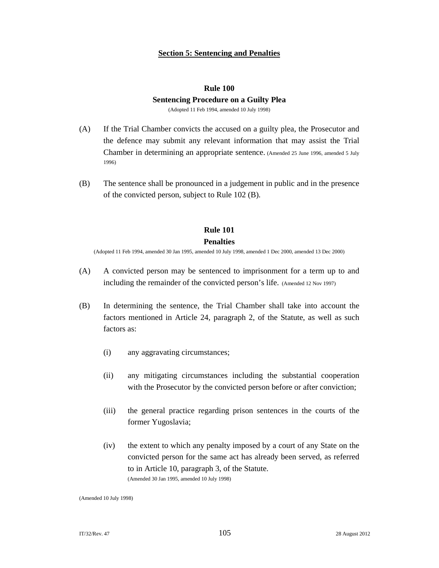### **Section 5: Sentencing and Penalties**

#### **Rule 100**

#### **Sentencing Procedure on a Guilty Plea**

(Adopted 11 Feb 1994, amended 10 July 1998)

- (A) If the Trial Chamber convicts the accused on a guilty plea, the Prosecutor and the defence may submit any relevant information that may assist the Trial Chamber in determining an appropriate sentence. (Amended 25 June 1996, amended 5 July 1996)
- (B) The sentence shall be pronounced in a judgement in public and in the presence of the convicted person, subject to Rule 102 (B).

## **Rule 101**

#### **Penalties**

(Adopted 11 Feb 1994, amended 30 Jan 1995, amended 10 July 1998, amended 1 Dec 2000, amended 13 Dec 2000)

- (A) A convicted person may be sentenced to imprisonment for a term up to and including the remainder of the convicted person's life. (Amended 12 Nov 1997)
- (B) In determining the sentence, the Trial Chamber shall take into account the factors mentioned in Article 24, paragraph 2, of the Statute, as well as such factors as:
	- (i) any aggravating circumstances;
	- (ii) any mitigating circumstances including the substantial cooperation with the Prosecutor by the convicted person before or after conviction;
	- (iii) the general practice regarding prison sentences in the courts of the former Yugoslavia;
	- (iv) the extent to which any penalty imposed by a court of any State on the convicted person for the same act has already been served, as referred to in Article 10, paragraph 3, of the Statute. (Amended 30 Jan 1995, amended 10 July 1998)

(Amended 10 July 1998)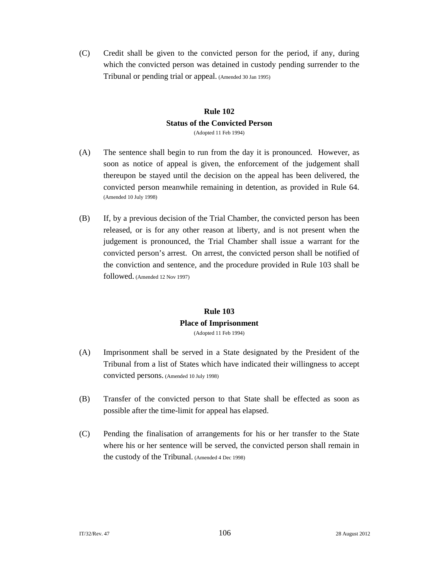(C) Credit shall be given to the convicted person for the period, if any, during which the convicted person was detained in custody pending surrender to the Tribunal or pending trial or appeal. (Amended 30 Jan 1995)

# **Rule 102 Status of the Convicted Person**

(Adopted 11 Feb 1994)

- (A) The sentence shall begin to run from the day it is pronounced. However, as soon as notice of appeal is given, the enforcement of the judgement shall thereupon be stayed until the decision on the appeal has been delivered, the convicted person meanwhile remaining in detention, as provided in Rule 64. (Amended 10 July 1998)
- (B) If, by a previous decision of the Trial Chamber, the convicted person has been released, or is for any other reason at liberty, and is not present when the judgement is pronounced, the Trial Chamber shall issue a warrant for the convicted person's arrest. On arrest, the convicted person shall be notified of the conviction and sentence, and the procedure provided in Rule 103 shall be followed. (Amended 12 Nov 1997)

## **Rule 103 Place of Imprisonment**  (Adopted 11 Feb 1994)

- (A) Imprisonment shall be served in a State designated by the President of the Tribunal from a list of States which have indicated their willingness to accept convicted persons. (Amended 10 July 1998)
- (B) Transfer of the convicted person to that State shall be effected as soon as possible after the time-limit for appeal has elapsed.
- (C) Pending the finalisation of arrangements for his or her transfer to the State where his or her sentence will be served, the convicted person shall remain in the custody of the Tribunal. (Amended 4 Dec 1998)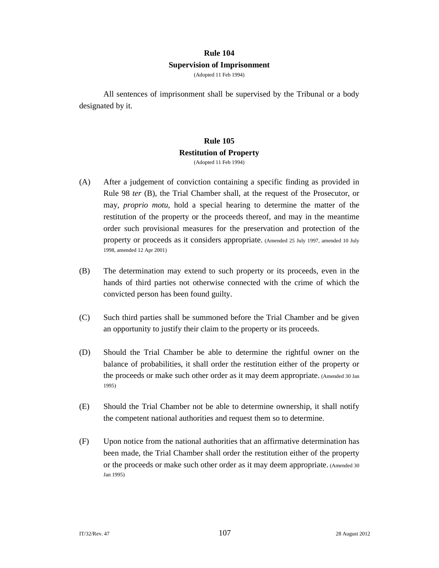# **Rule 104 Supervision of Imprisonment**

(Adopted 11 Feb 1994)

 All sentences of imprisonment shall be supervised by the Tribunal or a body designated by it.

## **Rule 105 Restitution of Property**  (Adopted 11 Feb 1994)

- (A) After a judgement of conviction containing a specific finding as provided in Rule 98 *ter* (B), the Trial Chamber shall, at the request of the Prosecutor, or may, *proprio motu*, hold a special hearing to determine the matter of the restitution of the property or the proceeds thereof, and may in the meantime order such provisional measures for the preservation and protection of the property or proceeds as it considers appropriate. (Amended 25 July 1997, amended 10 July 1998, amended 12 Apr 2001)
- (B) The determination may extend to such property or its proceeds, even in the hands of third parties not otherwise connected with the crime of which the convicted person has been found guilty.
- (C) Such third parties shall be summoned before the Trial Chamber and be given an opportunity to justify their claim to the property or its proceeds.
- (D) Should the Trial Chamber be able to determine the rightful owner on the balance of probabilities, it shall order the restitution either of the property or the proceeds or make such other order as it may deem appropriate. (Amended 30 Jan 1995)
- (E) Should the Trial Chamber not be able to determine ownership, it shall notify the competent national authorities and request them so to determine.
- (F) Upon notice from the national authorities that an affirmative determination has been made, the Trial Chamber shall order the restitution either of the property or the proceeds or make such other order as it may deem appropriate. (Amended 30 Jan 1995)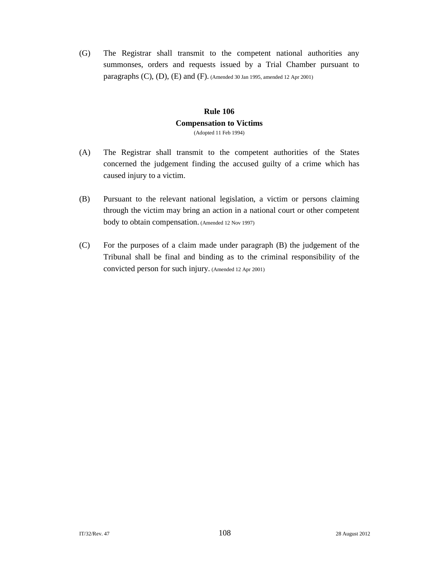(G) The Registrar shall transmit to the competent national authorities any summonses, orders and requests issued by a Trial Chamber pursuant to paragraphs (C), (D), (E) and (F). (Amended 30 Jan 1995, amended 12 Apr 2001)

# **Rule 106 Compensation to Victims**

(Adopted 11 Feb 1994)

- (A) The Registrar shall transmit to the competent authorities of the States concerned the judgement finding the accused guilty of a crime which has caused injury to a victim.
- (B) Pursuant to the relevant national legislation, a victim or persons claiming through the victim may bring an action in a national court or other competent body to obtain compensation. (Amended 12 Nov 1997)
- (C) For the purposes of a claim made under paragraph (B) the judgement of the Tribunal shall be final and binding as to the criminal responsibility of the convicted person for such injury. (Amended 12 Apr 2001)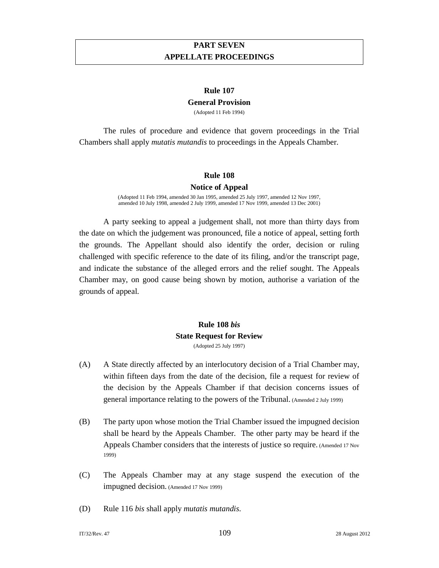# **PART SEVEN APPELLATE PROCEEDINGS**

# **Rule 107 General Provision**

(Adopted 11 Feb 1994)

 The rules of procedure and evidence that govern proceedings in the Trial Chambers shall apply *mutatis mutandis* to proceedings in the Appeals Chamber.

### **Rule 108**

#### **Notice of Appeal**

(Adopted 11 Feb 1994, amended 30 Jan 1995, amended 25 July 1997, amended 12 Nov 1997, amended 10 July 1998, amended 2 July 1999, amended 17 Nov 1999, amended 13 Dec 2001)

A party seeking to appeal a judgement shall, not more than thirty days from the date on which the judgement was pronounced, file a notice of appeal, setting forth the grounds. The Appellant should also identify the order, decision or ruling challenged with specific reference to the date of its filing, and/or the transcript page, and indicate the substance of the alleged errors and the relief sought. The Appeals Chamber may, on good cause being shown by motion, authorise a variation of the grounds of appeal.

## **Rule 108** *bis* **State Request for Review**  (Adopted 25 July 1997)

- (A) A State directly affected by an interlocutory decision of a Trial Chamber may, within fifteen days from the date of the decision, file a request for review of the decision by the Appeals Chamber if that decision concerns issues of general importance relating to the powers of the Tribunal. (Amended 2 July 1999)
- (B) The party upon whose motion the Trial Chamber issued the impugned decision shall be heard by the Appeals Chamber. The other party may be heard if the Appeals Chamber considers that the interests of justice so require. (Amended 17 Nov 1999)
- (C) The Appeals Chamber may at any stage suspend the execution of the impugned decision. (Amended 17 Nov 1999)
- (D) Rule 116 *bis* shall apply *mutatis mutandis*.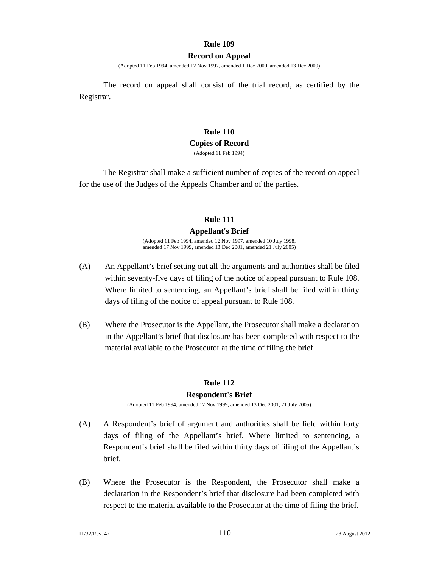#### **Record on Appeal**

(Adopted 11 Feb 1994, amended 12 Nov 1997, amended 1 Dec 2000, amended 13 Dec 2000)

 The record on appeal shall consist of the trial record, as certified by the Registrar.

### **Rule 110**

# **Copies of Record**

(Adopted 11 Feb 1994)

 The Registrar shall make a sufficient number of copies of the record on appeal for the use of the Judges of the Appeals Chamber and of the parties.

### **Rule 111**

#### **Appellant's Brief**

(Adopted 11 Feb 1994, amended 12 Nov 1997, amended 10 July 1998, amended 17 Nov 1999, amended 13 Dec 2001, amended 21 July 2005)

- (A) An Appellant's brief setting out all the arguments and authorities shall be filed within seventy-five days of filing of the notice of appeal pursuant to Rule 108. Where limited to sentencing, an Appellant's brief shall be filed within thirty days of filing of the notice of appeal pursuant to Rule 108.
- (B) Where the Prosecutor is the Appellant, the Prosecutor shall make a declaration in the Appellant's brief that disclosure has been completed with respect to the material available to the Prosecutor at the time of filing the brief.

### **Rule 112**

### **Respondent's Brief**

(Adopted 11 Feb 1994, amended 17 Nov 1999, amended 13 Dec 2001, 21 July 2005)

- (A) A Respondent's brief of argument and authorities shall be field within forty days of filing of the Appellant's brief. Where limited to sentencing, a Respondent's brief shall be filed within thirty days of filing of the Appellant's brief.
- (B) Where the Prosecutor is the Respondent, the Prosecutor shall make a declaration in the Respondent's brief that disclosure had been completed with respect to the material available to the Prosecutor at the time of filing the brief.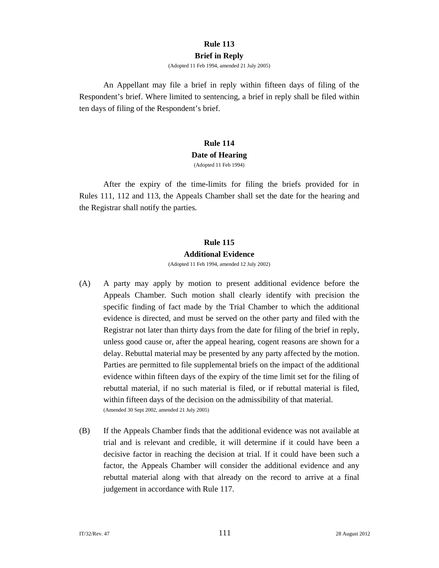#### **Brief in Reply**

(Adopted 11 Feb 1994, amended 21 July 2005)

An Appellant may file a brief in reply within fifteen days of filing of the Respondent's brief. Where limited to sentencing, a brief in reply shall be filed within ten days of filing of the Respondent's brief.

## **Rule 114 Date of Hearing**  (Adopted 11 Feb 1994)

 After the expiry of the time-limits for filing the briefs provided for in Rules 111, 112 and 113, the Appeals Chamber shall set the date for the hearing and the Registrar shall notify the parties.

# **Rule 115 Additional Evidence**

(Adopted 11 Feb 1994, amended 12 July 2002)

- (A) A party may apply by motion to present additional evidence before the Appeals Chamber. Such motion shall clearly identify with precision the specific finding of fact made by the Trial Chamber to which the additional evidence is directed, and must be served on the other party and filed with the Registrar not later than thirty days from the date for filing of the brief in reply, unless good cause or, after the appeal hearing, cogent reasons are shown for a delay. Rebuttal material may be presented by any party affected by the motion. Parties are permitted to file supplemental briefs on the impact of the additional evidence within fifteen days of the expiry of the time limit set for the filing of rebuttal material, if no such material is filed, or if rebuttal material is filed, within fifteen days of the decision on the admissibility of that material. (Amended 30 Sept 2002, amended 21 July 2005)
- (B) If the Appeals Chamber finds that the additional evidence was not available at trial and is relevant and credible, it will determine if it could have been a decisive factor in reaching the decision at trial. If it could have been such a factor, the Appeals Chamber will consider the additional evidence and any rebuttal material along with that already on the record to arrive at a final judgement in accordance with Rule 117.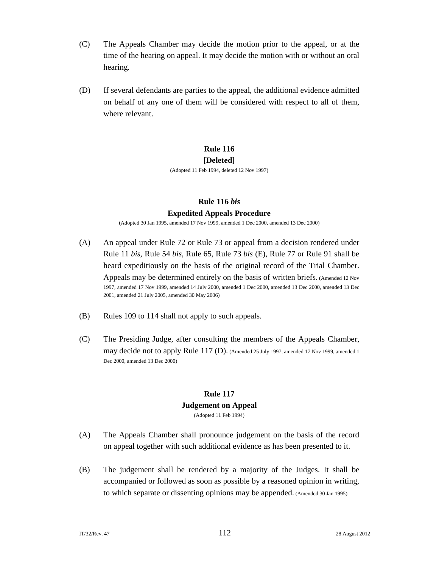- (C) The Appeals Chamber may decide the motion prior to the appeal, or at the time of the hearing on appeal. It may decide the motion with or without an oral hearing.
- (D) If several defendants are parties to the appeal, the additional evidence admitted on behalf of any one of them will be considered with respect to all of them, where relevant.

## **Rule 116 [Deleted]**

(Adopted 11 Feb 1994, deleted 12 Nov 1997)

## **Rule 116** *bis* **Expedited Appeals Procedure**

(Adopted 30 Jan 1995, amended 17 Nov 1999, amended 1 Dec 2000, amended 13 Dec 2000)

- (A) An appeal under Rule 72 or Rule 73 or appeal from a decision rendered under Rule 11 *bis,* Rule 54 *bis*, Rule 65, Rule 73 *bis* (E), Rule 77 or Rule 91 shall be heard expeditiously on the basis of the original record of the Trial Chamber. Appeals may be determined entirely on the basis of written briefs. (Amended 12 Nov 1997, amended 17 Nov 1999, amended 14 July 2000, amended 1 Dec 2000, amended 13 Dec 2000, amended 13 Dec 2001, amended 21 July 2005, amended 30 May 2006)
- (B) Rules 109 to 114 shall not apply to such appeals.
- (C) The Presiding Judge, after consulting the members of the Appeals Chamber, may decide not to apply Rule 117 (D). (Amended 25 July 1997, amended 17 Nov 1999, amended 1 Dec 2000, amended 13 Dec 2000)

# **Rule 117 Judgement on Appeal**

(Adopted 11 Feb 1994)

- (A) The Appeals Chamber shall pronounce judgement on the basis of the record on appeal together with such additional evidence as has been presented to it.
- (B) The judgement shall be rendered by a majority of the Judges. It shall be accompanied or followed as soon as possible by a reasoned opinion in writing, to which separate or dissenting opinions may be appended. (Amended 30 Jan 1995)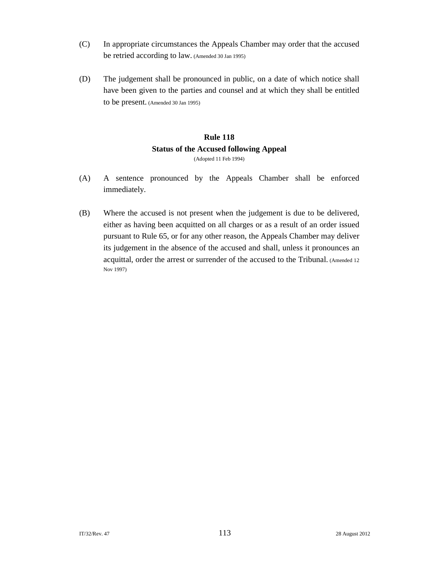- (C) In appropriate circumstances the Appeals Chamber may order that the accused be retried according to law. (Amended 30 Jan 1995)
- (D) The judgement shall be pronounced in public, on a date of which notice shall have been given to the parties and counsel and at which they shall be entitled to be present. (Amended 30 Jan 1995)

# **Rule 118 Status of the Accused following Appeal**

(Adopted 11 Feb 1994)

- (A) A sentence pronounced by the Appeals Chamber shall be enforced immediately.
- (B) Where the accused is not present when the judgement is due to be delivered, either as having been acquitted on all charges or as a result of an order issued pursuant to Rule 65, or for any other reason, the Appeals Chamber may deliver its judgement in the absence of the accused and shall, unless it pronounces an acquittal, order the arrest or surrender of the accused to the Tribunal. (Amended 12 Nov 1997)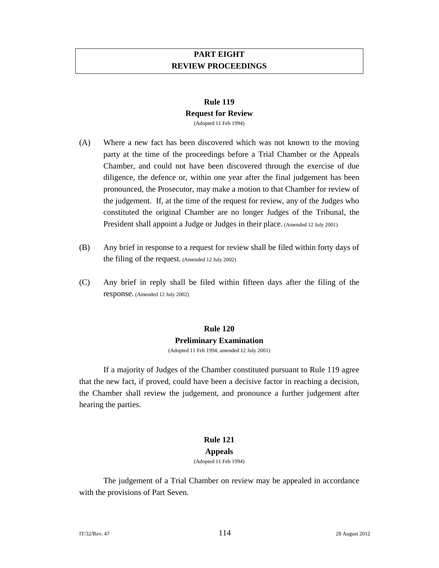## **PART EIGHT REVIEW PROCEEDINGS**

# **Rule 119 Request for Review**

(Adopted 11 Feb 1994)

- (A) Where a new fact has been discovered which was not known to the moving party at the time of the proceedings before a Trial Chamber or the Appeals Chamber, and could not have been discovered through the exercise of due diligence, the defence or, within one year after the final judgement has been pronounced, the Prosecutor, may make a motion to that Chamber for review of the judgement. If, at the time of the request for review, any of the Judges who constituted the original Chamber are no longer Judges of the Tribunal, the President shall appoint a Judge or Judges in their place. (Amended 12 July 2001)
- (B) Any brief in response to a request for review shall be filed within forty days of the filing of the request. (Amended 12 July 2002)
- (C) Any brief in reply shall be filed within fifteen days after the filing of the response. (Amended 12 July 2002)

# **Rule 120 Preliminary Examination**

(Adopted 11 Feb 1994, amended 12 July 2001)

 If a majority of Judges of the Chamber constituted pursuant to Rule 119 agree that the new fact, if proved, could have been a decisive factor in reaching a decision, the Chamber shall review the judgement, and pronounce a further judgement after hearing the parties.

## **Rule 121 Appeals**  (Adopted 11 Feb 1994)

 The judgement of a Trial Chamber on review may be appealed in accordance with the provisions of Part Seven.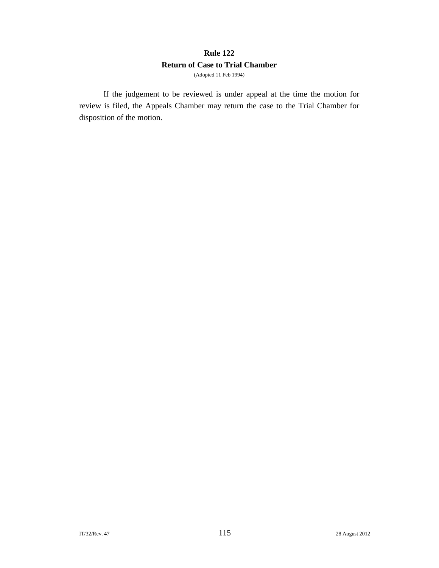# **Rule 122 Return of Case to Trial Chamber**

(Adopted 11 Feb 1994)

 If the judgement to be reviewed is under appeal at the time the motion for review is filed, the Appeals Chamber may return the case to the Trial Chamber for disposition of the motion.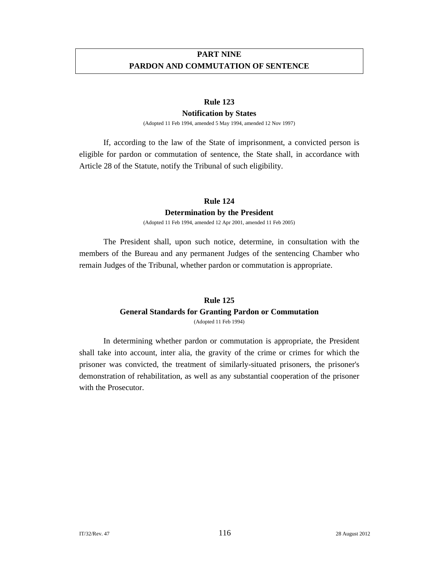## **PART NINE PARDON AND COMMUTATION OF SENTENCE**

#### **Rule 123**

#### **Notification by States**

(Adopted 11 Feb 1994, amended 5 May 1994, amended 12 Nov 1997)

 If, according to the law of the State of imprisonment, a convicted person is eligible for pardon or commutation of sentence, the State shall, in accordance with Article 28 of the Statute, notify the Tribunal of such eligibility.

## **Rule 124 Determination by the President**

(Adopted 11 Feb 1994, amended 12 Apr 2001, amended 11 Feb 2005)

 The President shall, upon such notice, determine, in consultation with the members of the Bureau and any permanent Judges of the sentencing Chamber who remain Judges of the Tribunal, whether pardon or commutation is appropriate.

## **Rule 125 General Standards for Granting Pardon or Commutation**  (Adopted 11 Feb 1994)

 In determining whether pardon or commutation is appropriate, the President shall take into account, inter alia, the gravity of the crime or crimes for which the prisoner was convicted, the treatment of similarly-situated prisoners, the prisoner's demonstration of rehabilitation, as well as any substantial cooperation of the prisoner with the Prosecutor.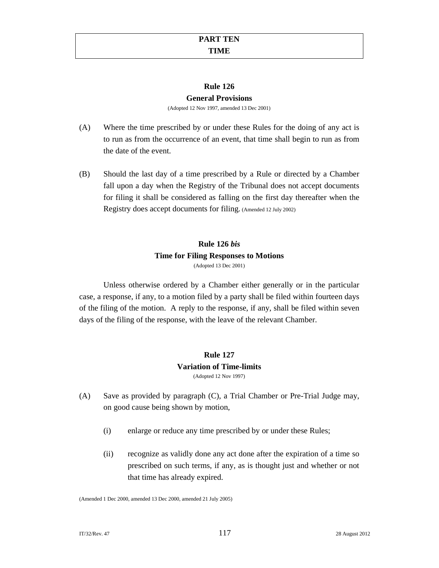#### **General Provisions**

(Adopted 12 Nov 1997, amended 13 Dec 2001)

- (A) Where the time prescribed by or under these Rules for the doing of any act is to run as from the occurrence of an event, that time shall begin to run as from the date of the event.
- (B) Should the last day of a time prescribed by a Rule or directed by a Chamber fall upon a day when the Registry of the Tribunal does not accept documents for filing it shall be considered as falling on the first day thereafter when the Registry does accept documents for filing. (Amended 12 July 2002)

## **Rule 126** *bis* **Time for Filing Responses to Motions**  (Adopted 13 Dec 2001)

Unless otherwise ordered by a Chamber either generally or in the particular case, a response, if any, to a motion filed by a party shall be filed within fourteen days of the filing of the motion. A reply to the response, if any, shall be filed within seven days of the filing of the response, with the leave of the relevant Chamber.

## **Rule 127 Variation of Time-limits**  (Adopted 12 Nov 1997)

- (A) Save as provided by paragraph (C), a Trial Chamber or Pre-Trial Judge may, on good cause being shown by motion,
	- (i) enlarge or reduce any time prescribed by or under these Rules;
	- (ii) recognize as validly done any act done after the expiration of a time so prescribed on such terms, if any, as is thought just and whether or not that time has already expired.

(Amended 1 Dec 2000, amended 13 Dec 2000, amended 21 July 2005)